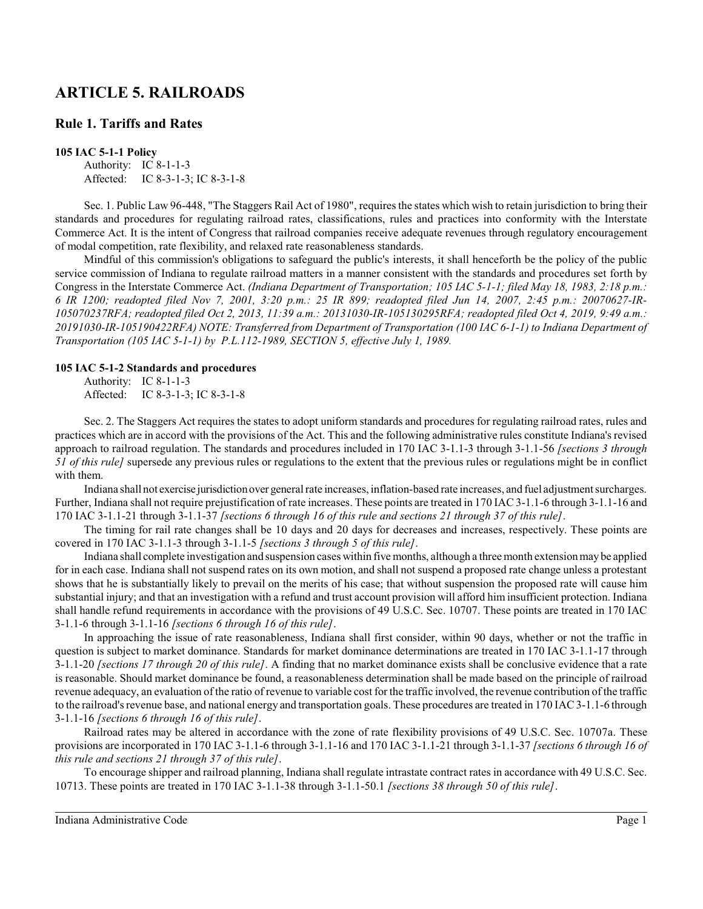# **ARTICLE 5. RAILROADS**

# **Rule 1. Tariffs and Rates**

# **105 IAC 5-1-1 Policy**

Authority: IC 8-1-1-3 Affected: IC 8-3-1-3; IC 8-3-1-8

Sec. 1. Public Law 96-448, "The Staggers Rail Act of 1980", requires the states which wish to retain jurisdiction to bring their standards and procedures for regulating railroad rates, classifications, rules and practices into conformity with the Interstate Commerce Act. It is the intent of Congress that railroad companies receive adequate revenues through regulatory encouragement of modal competition, rate flexibility, and relaxed rate reasonableness standards.

Mindful of this commission's obligations to safeguard the public's interests, it shall henceforth be the policy of the public service commission of Indiana to regulate railroad matters in a manner consistent with the standards and procedures set forth by Congress in the Interstate Commerce Act. *(Indiana Department of Transportation; 105 IAC 5-1-1; filed May 18, 1983, 2:18 p.m.: 6 IR 1200; readopted filed Nov 7, 2001, 3:20 p.m.: 25 IR 899; readopted filed Jun 14, 2007, 2:45 p.m.: 20070627-IR-105070237RFA; readopted filed Oct 2, 2013, 11:39 a.m.: 20131030-IR-105130295RFA; readopted filed Oct 4, 2019, 9:49 a.m.: 20191030-IR-105190422RFA) NOTE: Transferred from Department of Transportation (100 IAC 6-1-1) to Indiana Department of Transportation (105 IAC 5-1-1) by P.L.112-1989, SECTION 5, effective July 1, 1989.*

# **105 IAC 5-1-2 Standards and procedures**

Authority: IC 8-1-1-3 Affected: IC 8-3-1-3; IC 8-3-1-8

Sec. 2. The Staggers Act requires the states to adopt uniform standards and procedures for regulating railroad rates, rules and practices which are in accord with the provisions of the Act. This and the following administrative rules constitute Indiana's revised approach to railroad regulation. The standards and procedures included in 170 IAC 3-1.1-3 through 3-1.1-56 *[sections 3 through 51 of this rule]* supersede any previous rules or regulations to the extent that the previous rules or regulations might be in conflict with them.

Indiana shall not exercise jurisdictionover general rate increases, inflation-based rate increases, and fuel adjustment surcharges. Further, Indiana shall not require prejustification of rate increases. These points are treated in 170 IAC 3-1.1-6 through 3-1.1-16 and 170 IAC 3-1.1-21 through 3-1.1-37 *[sections 6 through 16 of this rule and sections 21 through 37 of this rule]*.

The timing for rail rate changes shall be 10 days and 20 days for decreases and increases, respectively. These points are covered in 170 IAC 3-1.1-3 through 3-1.1-5 *[sections 3 through 5 of this rule]*.

Indiana shall complete investigation and suspension cases within five months, although a three month extension may be applied for in each case. Indiana shall not suspend rates on its own motion, and shall not suspend a proposed rate change unless a protestant shows that he is substantially likely to prevail on the merits of his case; that without suspension the proposed rate will cause him substantial injury; and that an investigation with a refund and trust account provision will afford him insufficient protection. Indiana shall handle refund requirements in accordance with the provisions of 49 U.S.C. Sec. 10707. These points are treated in 170 IAC 3-1.1-6 through 3-1.1-16 *[sections 6 through 16 of this rule]*.

In approaching the issue of rate reasonableness, Indiana shall first consider, within 90 days, whether or not the traffic in question is subject to market dominance. Standards for market dominance determinations are treated in 170 IAC 3-1.1-17 through 3-1.1-20 *[sections 17 through 20 of this rule]*. A finding that no market dominance exists shall be conclusive evidence that a rate is reasonable. Should market dominance be found, a reasonableness determination shall be made based on the principle of railroad revenue adequacy, an evaluation of the ratio of revenue to variable cost for the traffic involved, the revenue contribution of the traffic to the railroad's revenue base, and national energy and transportation goals. These procedures are treated in 170 IAC3-1.1-6 through 3-1.1-16 *[sections 6 through 16 of this rule]*.

Railroad rates may be altered in accordance with the zone of rate flexibility provisions of 49 U.S.C. Sec. 10707a. These provisions are incorporated in 170 IAC 3-1.1-6 through 3-1.1-16 and 170 IAC 3-1.1-21 through 3-1.1-37 *[sections 6 through 16 of this rule and sections 21 through 37 of this rule]*.

To encourage shipper and railroad planning, Indiana shall regulate intrastate contract rates in accordance with 49 U.S.C. Sec. 10713. These points are treated in 170 IAC 3-1.1-38 through 3-1.1-50.1 *[sections 38 through 50 of this rule]*.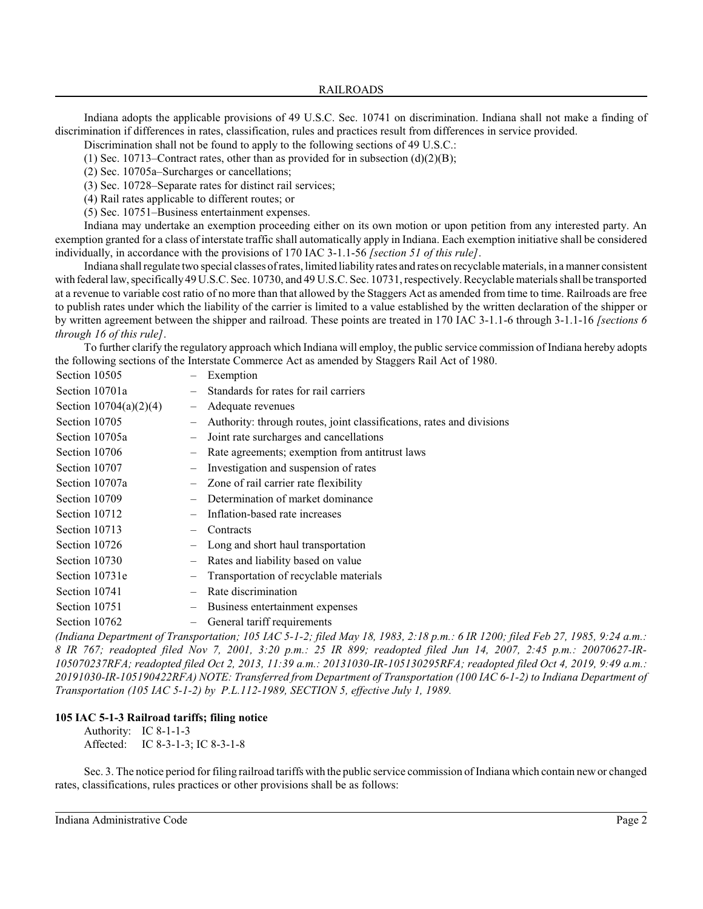Indiana adopts the applicable provisions of 49 U.S.C. Sec. 10741 on discrimination. Indiana shall not make a finding of discrimination if differences in rates, classification, rules and practices result from differences in service provided.

Discrimination shall not be found to apply to the following sections of 49 U.S.C.:

(1) Sec. 10713–Contract rates, other than as provided for in subsection  $(d)(2)(B)$ ;

(2) Sec. 10705a–Surcharges or cancellations;

(3) Sec. 10728–Separate rates for distinct rail services;

(4) Rail rates applicable to different routes; or

(5) Sec. 10751–Business entertainment expenses.

Indiana may undertake an exemption proceeding either on its own motion or upon petition from any interested party. An exemption granted for a class of interstate traffic shall automatically apply in Indiana. Each exemption initiative shall be considered individually, in accordance with the provisions of 170 IAC 3-1.1-56 *[section 51 of this rule]*.

Indiana shall regulate two special classes of rates, limited liability rates and rates on recyclable materials, in a manner consistent with federal law, specifically49 U.S.C. Sec. 10730, and 49 U.S.C. Sec. 10731, respectively. Recyclable materials shall be transported at a revenue to variable cost ratio of no more than that allowed by the Staggers Act as amended from time to time. Railroads are free to publish rates under which the liability of the carrier is limited to a value established by the written declaration of the shipper or by written agreement between the shipper and railroad. These points are treated in 170 IAC 3-1.1-6 through 3-1.1-16 *[sections 6 through 16 of this rule]*.

To further clarify the regulatory approach which Indiana will employ, the public service commission of Indiana hereby adopts the following sections of the Interstate Commerce Act as amended by Staggers Rail Act of 1980.

| Section 10505            |                                | Exemption                                                             |
|--------------------------|--------------------------------|-----------------------------------------------------------------------|
| Section 10701a           |                                | Standards for rates for rail carriers                                 |
| Section $10704(a)(2)(4)$ | $\overline{\phantom{m}}$       | Adequate revenues                                                     |
| Section 10705            |                                | Authority: through routes, joint classifications, rates and divisions |
| Section 10705a           |                                | Joint rate surcharges and cancellations                               |
| Section 10706            |                                | Rate agreements; exemption from antitrust laws                        |
| Section 10707            | $\overline{\phantom{m}}$       | Investigation and suspension of rates                                 |
| Section 10707a           |                                | Zone of rail carrier rate flexibility                                 |
| Section 10709            |                                | Determination of market dominance                                     |
| Section 10712            |                                | Inflation-based rate increases                                        |
| Section 10713            | $\qquad \qquad \longleftarrow$ | Contracts                                                             |
| Section 10726            |                                | Long and short haul transportation                                    |
| Section 10730            |                                | Rates and liability based on value                                    |
| Section 10731e           |                                | Transportation of recyclable materials                                |
| Section 10741            |                                | Rate discrimination                                                   |
| Section 10751            |                                | Business entertainment expenses                                       |
| Section 10762            |                                | General tariff requirements                                           |
|                          |                                |                                                                       |

*(Indiana Department of Transportation; 105 IAC 5-1-2; filed May 18, 1983, 2:18 p.m.: 6 IR 1200; filed Feb 27, 1985, 9:24 a.m.: 8 IR 767; readopted filed Nov 7, 2001, 3:20 p.m.: 25 IR 899; readopted filed Jun 14, 2007, 2:45 p.m.: 20070627-IR-105070237RFA; readopted filed Oct 2, 2013, 11:39 a.m.: 20131030-IR-105130295RFA; readopted filed Oct 4, 2019, 9:49 a.m.: 20191030-IR-105190422RFA) NOTE: Transferred from Department of Transportation (100 IAC 6-1-2) to Indiana Department of Transportation (105 IAC 5-1-2) by P.L.112-1989, SECTION 5, effective July 1, 1989.*

# **105 IAC 5-1-3 Railroad tariffs; filing notice**

Authority: IC 8-1-1-3 Affected: IC 8-3-1-3; IC 8-3-1-8

Sec. 3. The notice period for filing railroad tariffs with the public service commission of Indiana which contain newor changed rates, classifications, rules practices or other provisions shall be as follows: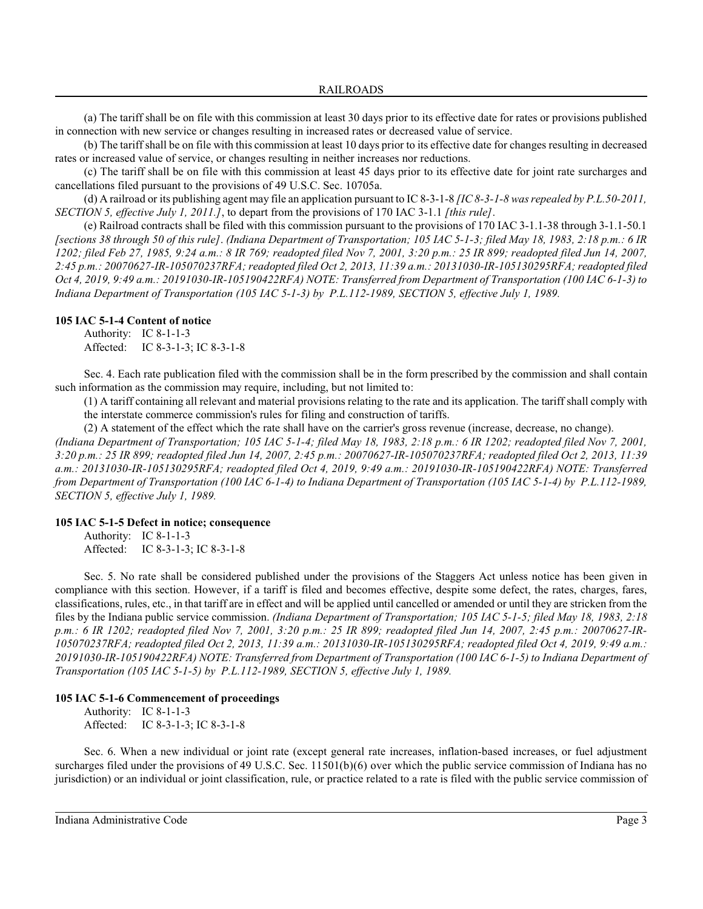(a) The tariff shall be on file with this commission at least 30 days prior to its effective date for rates or provisions published in connection with new service or changes resulting in increased rates or decreased value of service.

(b) The tariffshall be on file with this commission at least 10 days prior to its effective date for changes resulting in decreased rates or increased value of service, or changes resulting in neither increases nor reductions.

(c) The tariff shall be on file with this commission at least 45 days prior to its effective date for joint rate surcharges and cancellations filed pursuant to the provisions of 49 U.S.C. Sec. 10705a.

(d) A railroad or its publishing agent may file an application pursuant to IC 8-3-1-8 *[IC 8-3-1-8 was repealed by P.L.50-2011, SECTION 5, effective July 1, 2011.]*, to depart from the provisions of 170 IAC 3-1.1 *[this rule]*.

(e) Railroad contracts shall be filed with this commission pursuant to the provisions of 170 IAC 3-1.1-38 through 3-1.1-50.1 *[sections 38 through 50 of this rule]*. *(Indiana Department of Transportation; 105 IAC 5-1-3; filed May 18, 1983, 2:18 p.m.: 6 IR 1202; filed Feb 27, 1985, 9:24 a.m.: 8 IR 769; readopted filed Nov 7, 2001, 3:20 p.m.: 25 IR 899; readopted filed Jun 14, 2007, 2:45 p.m.: 20070627-IR-105070237RFA; readopted filed Oct 2, 2013, 11:39 a.m.: 20131030-IR-105130295RFA; readopted filed Oct 4, 2019, 9:49 a.m.: 20191030-IR-105190422RFA) NOTE: Transferred from Department of Transportation (100 IAC 6-1-3) to Indiana Department of Transportation (105 IAC 5-1-3) by P.L.112-1989, SECTION 5, effective July 1, 1989.*

#### **105 IAC 5-1-4 Content of notice**

Authority: IC 8-1-1-3 Affected: IC 8-3-1-3; IC 8-3-1-8

Sec. 4. Each rate publication filed with the commission shall be in the form prescribed by the commission and shall contain such information as the commission may require, including, but not limited to:

(1) A tariff containing all relevant and material provisions relating to the rate and its application. The tariff shall comply with the interstate commerce commission's rules for filing and construction of tariffs.

(2) A statement of the effect which the rate shall have on the carrier's gross revenue (increase, decrease, no change).

*(Indiana Department of Transportation; 105 IAC 5-1-4; filed May 18, 1983, 2:18 p.m.: 6 IR 1202; readopted filed Nov 7, 2001, 3:20 p.m.: 25 IR 899; readopted filed Jun 14, 2007, 2:45 p.m.: 20070627-IR-105070237RFA; readopted filed Oct 2, 2013, 11:39 a.m.: 20131030-IR-105130295RFA; readopted filed Oct 4, 2019, 9:49 a.m.: 20191030-IR-105190422RFA) NOTE: Transferred from Department of Transportation (100 IAC 6-1-4) to Indiana Department of Transportation (105 IAC 5-1-4) by P.L.112-1989, SECTION 5, effective July 1, 1989.*

### **105 IAC 5-1-5 Defect in notice; consequence**

Authority: IC 8-1-1-3 Affected: IC 8-3-1-3; IC 8-3-1-8

Sec. 5. No rate shall be considered published under the provisions of the Staggers Act unless notice has been given in compliance with this section. However, if a tariff is filed and becomes effective, despite some defect, the rates, charges, fares, classifications, rules, etc., in that tariff are in effect and will be applied until cancelled or amended or until they are stricken from the files by the Indiana public service commission. *(Indiana Department of Transportation; 105 IAC 5-1-5; filed May 18, 1983, 2:18 p.m.: 6 IR 1202; readopted filed Nov 7, 2001, 3:20 p.m.: 25 IR 899; readopted filed Jun 14, 2007, 2:45 p.m.: 20070627-IR-105070237RFA; readopted filed Oct 2, 2013, 11:39 a.m.: 20131030-IR-105130295RFA; readopted filed Oct 4, 2019, 9:49 a.m.: 20191030-IR-105190422RFA) NOTE: Transferred from Department of Transportation (100 IAC 6-1-5) to Indiana Department of Transportation (105 IAC 5-1-5) by P.L.112-1989, SECTION 5, effective July 1, 1989.*

### **105 IAC 5-1-6 Commencement of proceedings**

Authority: IC 8-1-1-3 Affected: IC 8-3-1-3; IC 8-3-1-8

Sec. 6. When a new individual or joint rate (except general rate increases, inflation-based increases, or fuel adjustment surcharges filed under the provisions of 49 U.S.C. Sec. 11501(b)(6) over which the public service commission of Indiana has no jurisdiction) or an individual or joint classification, rule, or practice related to a rate is filed with the public service commission of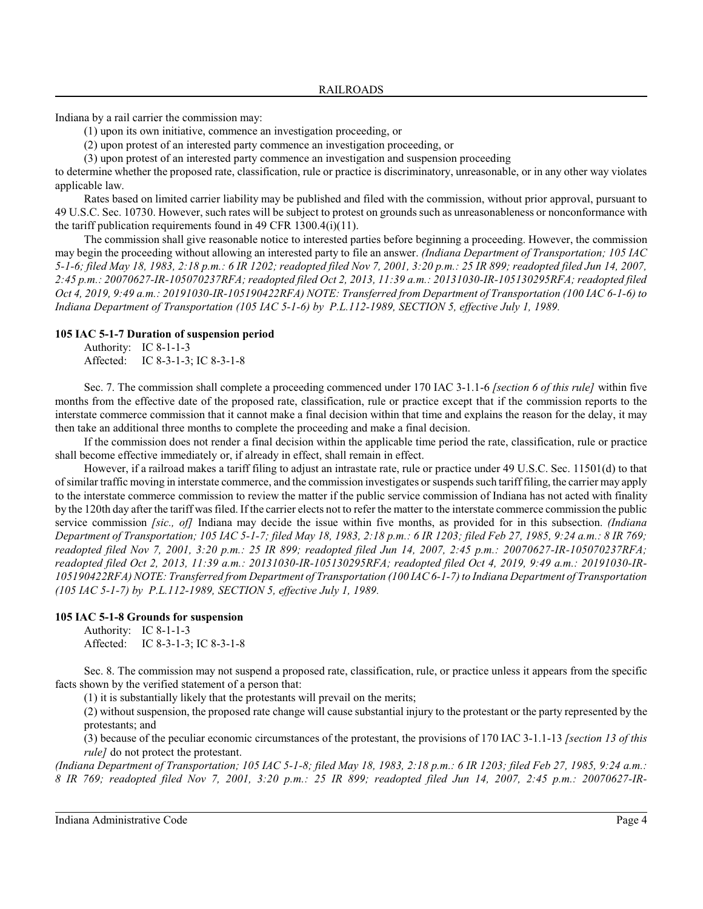Indiana by a rail carrier the commission may:

(1) upon its own initiative, commence an investigation proceeding, or

(2) upon protest of an interested party commence an investigation proceeding, or

(3) upon protest of an interested party commence an investigation and suspension proceeding

to determine whether the proposed rate, classification, rule or practice is discriminatory, unreasonable, or in any other way violates applicable law.

Rates based on limited carrier liability may be published and filed with the commission, without prior approval, pursuant to 49 U.S.C. Sec. 10730. However, such rates will be subject to protest on grounds such as unreasonableness or nonconformance with the tariff publication requirements found in 49 CFR 1300.4(i)(11).

The commission shall give reasonable notice to interested parties before beginning a proceeding. However, the commission may begin the proceeding without allowing an interested party to file an answer. *(Indiana Department of Transportation; 105 IAC 5-1-6; filed May 18, 1983, 2:18 p.m.: 6 IR 1202; readopted filed Nov 7, 2001, 3:20 p.m.: 25 IR 899; readopted filed Jun 14, 2007, 2:45 p.m.: 20070627-IR-105070237RFA; readopted filed Oct 2, 2013, 11:39 a.m.: 20131030-IR-105130295RFA; readopted filed Oct 4, 2019, 9:49 a.m.: 20191030-IR-105190422RFA) NOTE: Transferred from Department of Transportation (100 IAC 6-1-6) to Indiana Department of Transportation (105 IAC 5-1-6) by P.L.112-1989, SECTION 5, effective July 1, 1989.*

# **105 IAC 5-1-7 Duration of suspension period**

Authority: IC 8-1-1-3 Affected: IC 8-3-1-3; IC 8-3-1-8

Sec. 7. The commission shall complete a proceeding commenced under 170 IAC 3-1.1-6 *[section 6 of this rule]* within five months from the effective date of the proposed rate, classification, rule or practice except that if the commission reports to the interstate commerce commission that it cannot make a final decision within that time and explains the reason for the delay, it may then take an additional three months to complete the proceeding and make a final decision.

If the commission does not render a final decision within the applicable time period the rate, classification, rule or practice shall become effective immediately or, if already in effect, shall remain in effect.

However, if a railroad makes a tariff filing to adjust an intrastate rate, rule or practice under 49 U.S.C. Sec. 11501(d) to that of similar traffic moving in interstate commerce, and the commission investigates orsuspends such tarifffiling, the carrier may apply to the interstate commerce commission to review the matter if the public service commission of Indiana has not acted with finality by the 120th day after the tariff was filed. If the carrier elects not to refer the matter to the interstate commerce commission the public service commission *[sic., of]* Indiana may decide the issue within five months, as provided for in this subsection. *(Indiana Department of Transportation; 105 IAC 5-1-7; filed May 18, 1983, 2:18 p.m.: 6 IR 1203; filed Feb 27, 1985, 9:24 a.m.: 8 IR 769; readopted filed Nov 7, 2001, 3:20 p.m.: 25 IR 899; readopted filed Jun 14, 2007, 2:45 p.m.: 20070627-IR-105070237RFA; readopted filed Oct 2, 2013, 11:39 a.m.: 20131030-IR-105130295RFA; readopted filed Oct 4, 2019, 9:49 a.m.: 20191030-IR-105190422RFA) NOTE: Transferred from Department of Transportation (100 IAC 6-1-7) to Indiana Department of Transportation (105 IAC 5-1-7) by P.L.112-1989, SECTION 5, effective July 1, 1989.*

# **105 IAC 5-1-8 Grounds for suspension**

Authority: IC 8-1-1-3 Affected: IC 8-3-1-3; IC 8-3-1-8

Sec. 8. The commission may not suspend a proposed rate, classification, rule, or practice unless it appears from the specific facts shown by the verified statement of a person that:

(1) it is substantially likely that the protestants will prevail on the merits;

(2) without suspension, the proposed rate change will cause substantial injury to the protestant or the party represented by the protestants; and

(3) because of the peculiar economic circumstances of the protestant, the provisions of 170 IAC 3-1.1-13 *[section 13 of this rule]* do not protect the protestant.

*(Indiana Department of Transportation; 105 IAC 5-1-8; filed May 18, 1983, 2:18 p.m.: 6 IR 1203; filed Feb 27, 1985, 9:24 a.m.: 8 IR 769; readopted filed Nov 7, 2001, 3:20 p.m.: 25 IR 899; readopted filed Jun 14, 2007, 2:45 p.m.: 20070627-IR-*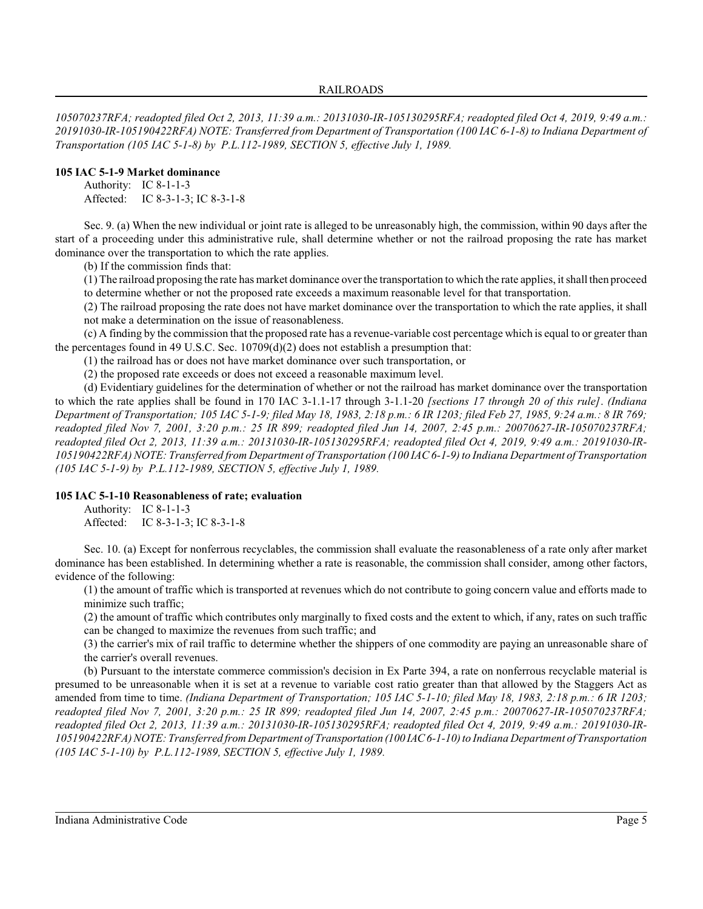*105070237RFA; readopted filed Oct 2, 2013, 11:39 a.m.: 20131030-IR-105130295RFA; readopted filed Oct 4, 2019, 9:49 a.m.: 20191030-IR-105190422RFA) NOTE: Transferred from Department of Transportation (100 IAC 6-1-8) to Indiana Department of Transportation (105 IAC 5-1-8) by P.L.112-1989, SECTION 5, effective July 1, 1989.*

# **105 IAC 5-1-9 Market dominance**

Authority: IC 8-1-1-3 Affected: IC 8-3-1-3; IC 8-3-1-8

Sec. 9. (a) When the new individual or joint rate is alleged to be unreasonably high, the commission, within 90 days after the start of a proceeding under this administrative rule, shall determine whether or not the railroad proposing the rate has market dominance over the transportation to which the rate applies.

(b) If the commission finds that:

(1) The railroad proposing the rate has market dominance over the transportation to which the rate applies, it shall then proceed to determine whether or not the proposed rate exceeds a maximum reasonable level for that transportation.

(2) The railroad proposing the rate does not have market dominance over the transportation to which the rate applies, it shall not make a determination on the issue of reasonableness.

(c) A finding by the commission that the proposed rate has a revenue-variable cost percentage which is equal to or greater than the percentages found in 49 U.S.C. Sec. 10709(d)(2) does not establish a presumption that:

(1) the railroad has or does not have market dominance over such transportation, or

(2) the proposed rate exceeds or does not exceed a reasonable maximum level.

(d) Evidentiary guidelines for the determination of whether or not the railroad has market dominance over the transportation to which the rate applies shall be found in 170 IAC 3-1.1-17 through 3-1.1-20 *[sections 17 through 20 of this rule]*. *(Indiana Department of Transportation; 105 IAC 5-1-9; filed May 18, 1983, 2:18 p.m.: 6 IR 1203; filed Feb 27, 1985, 9:24 a.m.: 8 IR 769; readopted filed Nov 7, 2001, 3:20 p.m.: 25 IR 899; readopted filed Jun 14, 2007, 2:45 p.m.: 20070627-IR-105070237RFA; readopted filed Oct 2, 2013, 11:39 a.m.: 20131030-IR-105130295RFA; readopted filed Oct 4, 2019, 9:49 a.m.: 20191030-IR-105190422RFA) NOTE: Transferred from Department of Transportation (100 IAC 6-1-9) to Indiana Department of Transportation (105 IAC 5-1-9) by P.L.112-1989, SECTION 5, effective July 1, 1989.*

# **105 IAC 5-1-10 Reasonableness of rate; evaluation**

Authority: IC 8-1-1-3 Affected: IC 8-3-1-3; IC 8-3-1-8

Sec. 10. (a) Except for nonferrous recyclables, the commission shall evaluate the reasonableness of a rate only after market dominance has been established. In determining whether a rate is reasonable, the commission shall consider, among other factors, evidence of the following:

(1) the amount of traffic which is transported at revenues which do not contribute to going concern value and efforts made to minimize such traffic;

(2) the amount of traffic which contributes only marginally to fixed costs and the extent to which, if any, rates on such traffic can be changed to maximize the revenues from such traffic; and

(3) the carrier's mix of rail traffic to determine whether the shippers of one commodity are paying an unreasonable share of the carrier's overall revenues.

(b) Pursuant to the interstate commerce commission's decision in Ex Parte 394, a rate on nonferrous recyclable material is presumed to be unreasonable when it is set at a revenue to variable cost ratio greater than that allowed by the Staggers Act as amended from time to time. *(Indiana Department of Transportation; 105 IAC 5-1-10; filed May 18, 1983, 2:18 p.m.: 6 IR 1203; readopted filed Nov 7, 2001, 3:20 p.m.: 25 IR 899; readopted filed Jun 14, 2007, 2:45 p.m.: 20070627-IR-105070237RFA; readopted filed Oct 2, 2013, 11:39 a.m.: 20131030-IR-105130295RFA; readopted filed Oct 4, 2019, 9:49 a.m.: 20191030-IR-105190422RFA) NOTE: Transferred from Department of Transportation (100 IAC6-1-10) to Indiana Department of Transportation (105 IAC 5-1-10) by P.L.112-1989, SECTION 5, effective July 1, 1989.*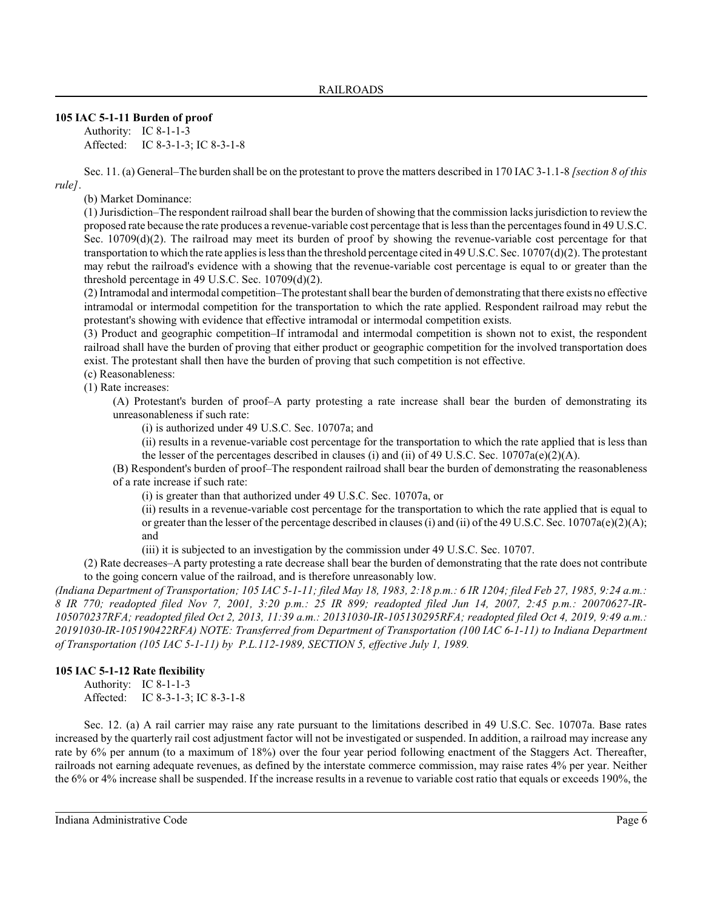# **105 IAC 5-1-11 Burden of proof**

Authority: IC 8-1-1-3 Affected: IC 8-3-1-3; IC 8-3-1-8

Sec. 11. (a) General–The burden shall be on the protestant to prove the matters described in 170 IAC 3-1.1-8 *[section 8 of this rule]*.

(b) Market Dominance:

(1) Jurisdiction–The respondent railroad shall bear the burden of showing that the commission lacks jurisdiction to review the proposed rate because the rate produces a revenue-variable cost percentage that is less than the percentages found in 49 U.S.C. Sec. 10709(d)(2). The railroad may meet its burden of proof by showing the revenue-variable cost percentage for that transportation to which the rate applies is less than the threshold percentage cited in 49 U.S.C. Sec. 10707(d)(2). The protestant may rebut the railroad's evidence with a showing that the revenue-variable cost percentage is equal to or greater than the threshold percentage in 49 U.S.C. Sec.  $10709(d)(2)$ .

(2) Intramodal and intermodal competition–The protestant shall bear the burden of demonstrating that there exists no effective intramodal or intermodal competition for the transportation to which the rate applied. Respondent railroad may rebut the protestant's showing with evidence that effective intramodal or intermodal competition exists.

(3) Product and geographic competition–If intramodal and intermodal competition is shown not to exist, the respondent railroad shall have the burden of proving that either product or geographic competition for the involved transportation does exist. The protestant shall then have the burden of proving that such competition is not effective.

(c) Reasonableness:

(1) Rate increases:

(A) Protestant's burden of proof–A party protesting a rate increase shall bear the burden of demonstrating its unreasonableness if such rate:

(i) is authorized under 49 U.S.C. Sec. 10707a; and

(ii) results in a revenue-variable cost percentage for the transportation to which the rate applied that is less than the lesser of the percentages described in clauses (i) and (ii) of 49 U.S.C. Sec. 10707a(e)(2)(A).

(B) Respondent's burden of proof–The respondent railroad shall bear the burden of demonstrating the reasonableness of a rate increase if such rate:

(i) is greater than that authorized under 49 U.S.C. Sec. 10707a, or

(ii) results in a revenue-variable cost percentage for the transportation to which the rate applied that is equal to or greater than the lesser of the percentage described in clauses (i) and (ii) of the 49 U.S.C. Sec. 10707a(e)(2)(A); and

(iii) it is subjected to an investigation by the commission under 49 U.S.C. Sec. 10707.

(2) Rate decreases–A party protesting a rate decrease shall bear the burden of demonstrating that the rate does not contribute to the going concern value of the railroad, and is therefore unreasonably low.

*(Indiana Department of Transportation; 105 IAC 5-1-11; filed May 18, 1983, 2:18 p.m.: 6 IR 1204; filed Feb 27, 1985, 9:24 a.m.: 8 IR 770; readopted filed Nov 7, 2001, 3:20 p.m.: 25 IR 899; readopted filed Jun 14, 2007, 2:45 p.m.: 20070627-IR-105070237RFA; readopted filed Oct 2, 2013, 11:39 a.m.: 20131030-IR-105130295RFA; readopted filed Oct 4, 2019, 9:49 a.m.: 20191030-IR-105190422RFA) NOTE: Transferred from Department of Transportation (100 IAC 6-1-11) to Indiana Department of Transportation (105 IAC 5-1-11) by P.L.112-1989, SECTION 5, effective July 1, 1989.*

# **105 IAC 5-1-12 Rate flexibility**

Authority: IC 8-1-1-3 Affected: IC 8-3-1-3; IC 8-3-1-8

Sec. 12. (a) A rail carrier may raise any rate pursuant to the limitations described in 49 U.S.C. Sec. 10707a. Base rates increased by the quarterly rail cost adjustment factor will not be investigated or suspended. In addition, a railroad may increase any rate by 6% per annum (to a maximum of 18%) over the four year period following enactment of the Staggers Act. Thereafter, railroads not earning adequate revenues, as defined by the interstate commerce commission, may raise rates 4% per year. Neither the 6% or 4% increase shall be suspended. If the increase results in a revenue to variable cost ratio that equals or exceeds 190%, the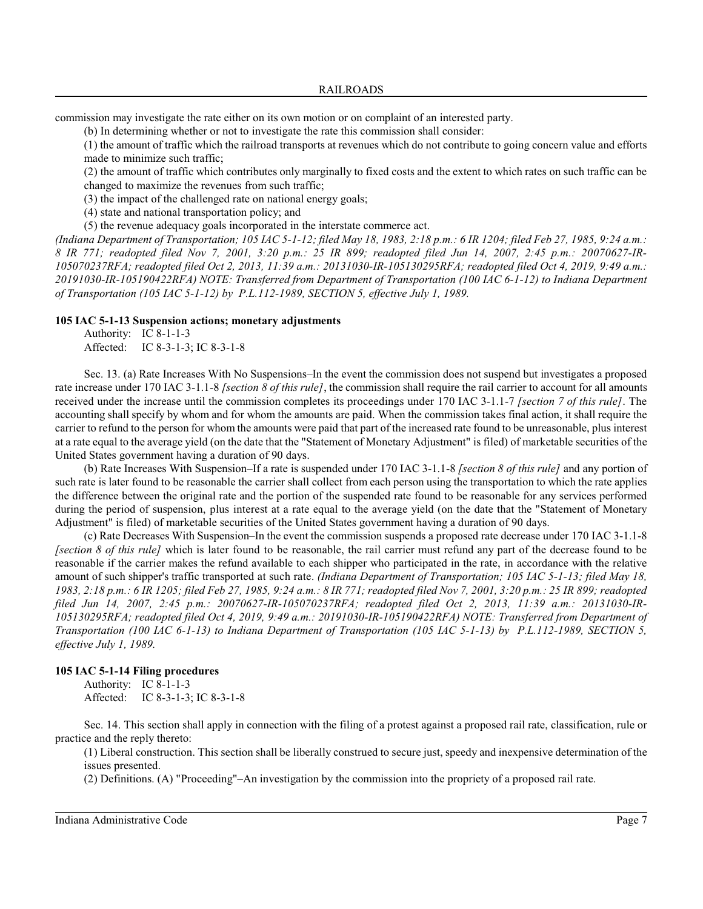commission may investigate the rate either on its own motion or on complaint of an interested party.

(b) In determining whether or not to investigate the rate this commission shall consider:

(1) the amount of traffic which the railroad transports at revenues which do not contribute to going concern value and efforts made to minimize such traffic;

(2) the amount of traffic which contributes only marginally to fixed costs and the extent to which rates on such traffic can be changed to maximize the revenues from such traffic;

(3) the impact of the challenged rate on national energy goals;

(4) state and national transportation policy; and

(5) the revenue adequacy goals incorporated in the interstate commerce act.

*(Indiana Department of Transportation; 105 IAC 5-1-12; filed May 18, 1983, 2:18 p.m.: 6 IR 1204; filed Feb 27, 1985, 9:24 a.m.: 8 IR 771; readopted filed Nov 7, 2001, 3:20 p.m.: 25 IR 899; readopted filed Jun 14, 2007, 2:45 p.m.: 20070627-IR-105070237RFA; readopted filed Oct 2, 2013, 11:39 a.m.: 20131030-IR-105130295RFA; readopted filed Oct 4, 2019, 9:49 a.m.: 20191030-IR-105190422RFA) NOTE: Transferred from Department of Transportation (100 IAC 6-1-12) to Indiana Department of Transportation (105 IAC 5-1-12) by P.L.112-1989, SECTION 5, effective July 1, 1989.*

#### **105 IAC 5-1-13 Suspension actions; monetary adjustments**

Authority: IC 8-1-1-3 Affected: IC 8-3-1-3; IC 8-3-1-8

Sec. 13. (a) Rate Increases With No Suspensions–In the event the commission does not suspend but investigates a proposed rate increase under 170 IAC 3-1.1-8 *[section 8 of this rule]*, the commission shall require the rail carrier to account for all amounts received under the increase until the commission completes its proceedings under 170 IAC 3-1.1-7 *[section 7 of this rule]*. The accounting shall specify by whom and for whom the amounts are paid. When the commission takes final action, it shall require the carrier to refund to the person for whom the amounts were paid that part of the increased rate found to be unreasonable, plus interest at a rate equal to the average yield (on the date that the "Statement of Monetary Adjustment" is filed) of marketable securities of the United States government having a duration of 90 days.

(b) Rate Increases With Suspension–If a rate is suspended under 170 IAC 3-1.1-8 *[section 8 of this rule]* and any portion of such rate is later found to be reasonable the carrier shall collect from each person using the transportation to which the rate applies the difference between the original rate and the portion of the suspended rate found to be reasonable for any services performed during the period of suspension, plus interest at a rate equal to the average yield (on the date that the "Statement of Monetary Adjustment" is filed) of marketable securities of the United States government having a duration of 90 days.

(c) Rate Decreases With Suspension–In the event the commission suspends a proposed rate decrease under 170 IAC 3-1.1-8 *[section 8 of this rule]* which is later found to be reasonable, the rail carrier must refund any part of the decrease found to be reasonable if the carrier makes the refund available to each shipper who participated in the rate, in accordance with the relative amount of such shipper's traffic transported at such rate. *(Indiana Department of Transportation; 105 IAC 5-1-13; filed May 18, 1983, 2:18 p.m.: 6 IR 1205; filed Feb 27, 1985, 9:24 a.m.: 8 IR 771; readopted filed Nov 7, 2001, 3:20 p.m.: 25 IR 899; readopted filed Jun 14, 2007, 2:45 p.m.: 20070627-IR-105070237RFA; readopted filed Oct 2, 2013, 11:39 a.m.: 20131030-IR-105130295RFA; readopted filed Oct 4, 2019, 9:49 a.m.: 20191030-IR-105190422RFA) NOTE: Transferred from Department of Transportation (100 IAC 6-1-13) to Indiana Department of Transportation (105 IAC 5-1-13) by P.L.112-1989, SECTION 5, effective July 1, 1989.*

# **105 IAC 5-1-14 Filing procedures**

Authority: IC 8-1-1-3 Affected: IC 8-3-1-3; IC 8-3-1-8

Sec. 14. This section shall apply in connection with the filing of a protest against a proposed rail rate, classification, rule or practice and the reply thereto:

(1) Liberal construction. This section shall be liberally construed to secure just, speedy and inexpensive determination of the issues presented.

(2) Definitions. (A) "Proceeding"–An investigation by the commission into the propriety of a proposed rail rate.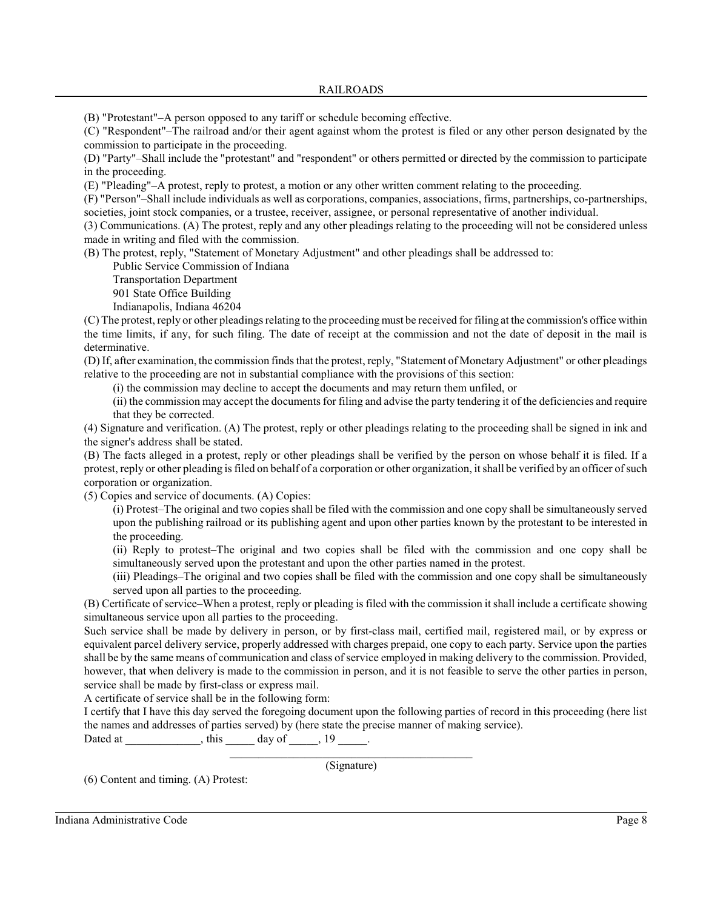(B) "Protestant"–A person opposed to any tariff or schedule becoming effective.

(C) "Respondent"–The railroad and/or their agent against whom the protest is filed or any other person designated by the commission to participate in the proceeding.

(D) "Party"–Shall include the "protestant" and "respondent" or others permitted or directed by the commission to participate in the proceeding.

(E) "Pleading"–A protest, reply to protest, a motion or any other written comment relating to the proceeding.

(F) "Person"–Shall include individuals as well as corporations, companies, associations, firms, partnerships, co-partnerships, societies, joint stock companies, or a trustee, receiver, assignee, or personal representative of another individual.

(3) Communications. (A) The protest, reply and any other pleadings relating to the proceeding will not be considered unless made in writing and filed with the commission.

(B) The protest, reply, "Statement of Monetary Adjustment" and other pleadings shall be addressed to:

Public Service Commission of Indiana

Transportation Department

901 State Office Building

Indianapolis, Indiana 46204

(C) The protest, reply or other pleadings relating to the proceeding must be received for filing at the commission's office within the time limits, if any, for such filing. The date of receipt at the commission and not the date of deposit in the mail is determinative.

(D) If, after examination, the commission finds that the protest, reply, "Statement of Monetary Adjustment" or other pleadings relative to the proceeding are not in substantial compliance with the provisions of this section:

(i) the commission may decline to accept the documents and may return them unfiled, or

(ii) the commission may accept the documents for filing and advise the party tendering it of the deficiencies and require that they be corrected.

(4) Signature and verification. (A) The protest, reply or other pleadings relating to the proceeding shall be signed in ink and the signer's address shall be stated.

(B) The facts alleged in a protest, reply or other pleadings shall be verified by the person on whose behalf it is filed. If a protest, reply or other pleading is filed on behalf of a corporation or other organization, it shall be verified by an officer of such corporation or organization.

(5) Copies and service of documents. (A) Copies:

(i) Protest–The original and two copies shall be filed with the commission and one copy shall be simultaneously served upon the publishing railroad or its publishing agent and upon other parties known by the protestant to be interested in the proceeding.

(ii) Reply to protest–The original and two copies shall be filed with the commission and one copy shall be simultaneously served upon the protestant and upon the other parties named in the protest.

(iii) Pleadings–The original and two copies shall be filed with the commission and one copy shall be simultaneously served upon all parties to the proceeding.

(B) Certificate of service–When a protest, reply or pleading is filed with the commission it shall include a certificate showing simultaneous service upon all parties to the proceeding.

Such service shall be made by delivery in person, or by first-class mail, certified mail, registered mail, or by express or equivalent parcel delivery service, properly addressed with charges prepaid, one copy to each party. Service upon the parties shall be by the same means of communication and class of service employed in making delivery to the commission. Provided, however, that when delivery is made to the commission in person, and it is not feasible to serve the other parties in person, service shall be made by first-class or express mail.

A certificate of service shall be in the following form:

I certify that I have this day served the foregoing document upon the following parties of record in this proceeding (here list the names and addresses of parties served) by (here state the precise manner of making service).

Dated at \_\_\_\_\_\_\_\_\_\_\_, this \_\_\_\_\_ day of \_\_\_\_,  $19$  \_\_\_\_.

\_\_\_\_\_\_\_\_\_\_\_\_\_\_\_\_\_\_\_\_\_\_\_\_\_\_\_\_\_\_\_\_\_\_\_\_\_\_\_\_\_\_ (Signature)

(6) Content and timing. (A) Protest: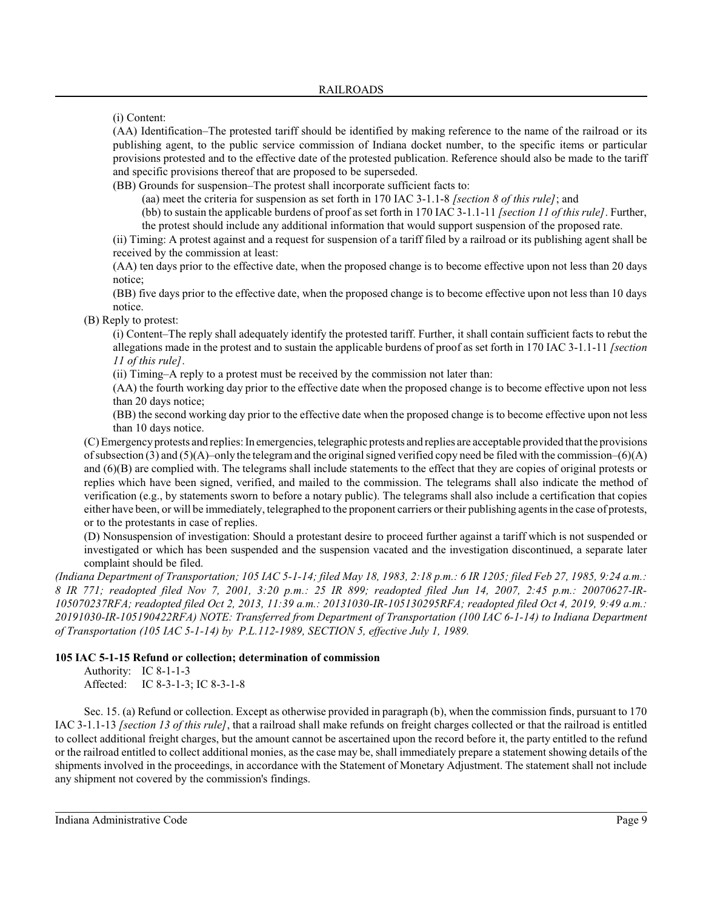(i) Content:

(AA) Identification–The protested tariff should be identified by making reference to the name of the railroad or its publishing agent, to the public service commission of Indiana docket number, to the specific items or particular provisions protested and to the effective date of the protested publication. Reference should also be made to the tariff and specific provisions thereof that are proposed to be superseded.

(BB) Grounds for suspension–The protest shall incorporate sufficient facts to:

(aa) meet the criteria for suspension as set forth in 170 IAC 3-1.1-8 *[section 8 of this rule]*; and

(bb) to sustain the applicable burdens of proof as set forth in 170 IAC 3-1.1-11 *[section 11 of this rule]*. Further, the protest should include any additional information that would support suspension of the proposed rate.

(ii) Timing: A protest against and a request for suspension of a tariff filed by a railroad or its publishing agent shall be received by the commission at least:

(AA) ten days prior to the effective date, when the proposed change is to become effective upon not less than 20 days notice;

(BB) five days prior to the effective date, when the proposed change is to become effective upon not less than 10 days notice.

(B) Reply to protest:

(i) Content–The reply shall adequately identify the protested tariff. Further, it shall contain sufficient facts to rebut the allegations made in the protest and to sustain the applicable burdens of proof as set forth in 170 IAC 3-1.1-11 *[section 11 of this rule]*.

(ii) Timing–A reply to a protest must be received by the commission not later than:

(AA) the fourth working day prior to the effective date when the proposed change is to become effective upon not less than 20 days notice;

(BB) the second working day prior to the effective date when the proposed change is to become effective upon not less than 10 days notice.

(C) Emergencyprotests and replies: In emergencies, telegraphic protests and replies are acceptable provided that the provisions of subsection (3) and (5)(A)–only the telegram and the original signed verified copy need be filed with the commission–(6)(A) and (6)(B) are complied with. The telegrams shall include statements to the effect that they are copies of original protests or replies which have been signed, verified, and mailed to the commission. The telegrams shall also indicate the method of verification (e.g., by statements sworn to before a notary public). The telegrams shall also include a certification that copies either have been, or will be immediately, telegraphed to the proponent carriers or their publishing agentsin the case of protests, or to the protestants in case of replies.

(D) Nonsuspension of investigation: Should a protestant desire to proceed further against a tariff which is not suspended or investigated or which has been suspended and the suspension vacated and the investigation discontinued, a separate later complaint should be filed.

*(Indiana Department of Transportation; 105 IAC 5-1-14; filed May 18, 1983, 2:18 p.m.: 6 IR 1205; filed Feb 27, 1985, 9:24 a.m.: 8 IR 771; readopted filed Nov 7, 2001, 3:20 p.m.: 25 IR 899; readopted filed Jun 14, 2007, 2:45 p.m.: 20070627-IR-105070237RFA; readopted filed Oct 2, 2013, 11:39 a.m.: 20131030-IR-105130295RFA; readopted filed Oct 4, 2019, 9:49 a.m.: 20191030-IR-105190422RFA) NOTE: Transferred from Department of Transportation (100 IAC 6-1-14) to Indiana Department of Transportation (105 IAC 5-1-14) by P.L.112-1989, SECTION 5, effective July 1, 1989.*

# **105 IAC 5-1-15 Refund or collection; determination of commission**

Authority: IC 8-1-1-3 Affected: IC 8-3-1-3; IC 8-3-1-8

Sec. 15. (a) Refund or collection. Except as otherwise provided in paragraph (b), when the commission finds, pursuant to 170 IAC 3-1.1-13 *[section 13 of this rule]*, that a railroad shall make refunds on freight charges collected or that the railroad is entitled to collect additional freight charges, but the amount cannot be ascertained upon the record before it, the party entitled to the refund or the railroad entitled to collect additional monies, as the case may be, shall immediately prepare a statement showing details of the shipments involved in the proceedings, in accordance with the Statement of Monetary Adjustment. The statement shall not include any shipment not covered by the commission's findings.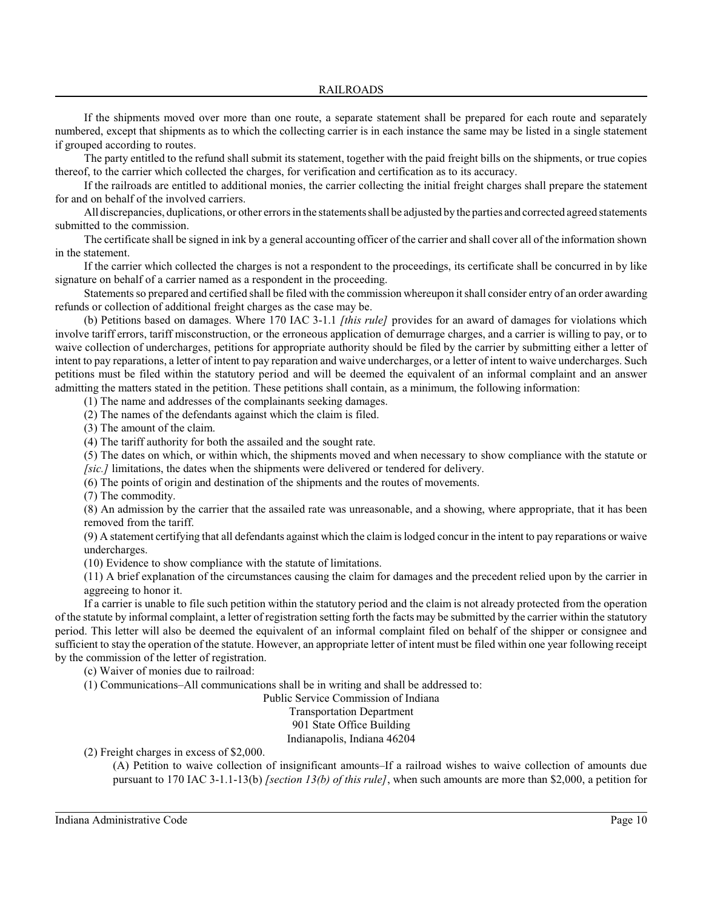If the shipments moved over more than one route, a separate statement shall be prepared for each route and separately numbered, except that shipments as to which the collecting carrier is in each instance the same may be listed in a single statement if grouped according to routes.

The party entitled to the refund shall submit its statement, together with the paid freight bills on the shipments, or true copies thereof, to the carrier which collected the charges, for verification and certification as to its accuracy.

If the railroads are entitled to additional monies, the carrier collecting the initial freight charges shall prepare the statement for and on behalf of the involved carriers.

All discrepancies, duplications, or other errors in the statements shall be adjusted by the parties and corrected agreed statements submitted to the commission.

The certificate shall be signed in ink by a general accounting officer of the carrier and shall cover all of the information shown in the statement.

If the carrier which collected the charges is not a respondent to the proceedings, its certificate shall be concurred in by like signature on behalf of a carrier named as a respondent in the proceeding.

Statements so prepared and certified shall be filed with the commission whereupon it shall consider entry of an order awarding refunds or collection of additional freight charges as the case may be.

(b) Petitions based on damages. Where 170 IAC 3-1.1 *[this rule]* provides for an award of damages for violations which involve tariff errors, tariff misconstruction, or the erroneous application of demurrage charges, and a carrier is willing to pay, or to waive collection of undercharges, petitions for appropriate authority should be filed by the carrier by submitting either a letter of intent to pay reparations, a letter of intent to pay reparation and waive undercharges, or a letter of intent to waive undercharges. Such petitions must be filed within the statutory period and will be deemed the equivalent of an informal complaint and an answer admitting the matters stated in the petition. These petitions shall contain, as a minimum, the following information:

(1) The name and addresses of the complainants seeking damages.

(2) The names of the defendants against which the claim is filed.

(3) The amount of the claim.

(4) The tariff authority for both the assailed and the sought rate.

(5) The dates on which, or within which, the shipments moved and when necessary to show compliance with the statute or *[sic.]* limitations, the dates when the shipments were delivered or tendered for delivery.

(6) The points of origin and destination of the shipments and the routes of movements.

(7) The commodity.

(8) An admission by the carrier that the assailed rate was unreasonable, and a showing, where appropriate, that it has been removed from the tariff.

(9) A statement certifying that all defendants against which the claim is lodged concur in the intent to pay reparations or waive undercharges.

(10) Evidence to show compliance with the statute of limitations.

(11) A brief explanation of the circumstances causing the claim for damages and the precedent relied upon by the carrier in aggreeing to honor it.

If a carrier is unable to file such petition within the statutory period and the claim is not already protected from the operation of the statute by informal complaint, a letter of registration setting forth the facts may be submitted by the carrier within the statutory period. This letter will also be deemed the equivalent of an informal complaint filed on behalf of the shipper or consignee and sufficient to stay the operation of the statute. However, an appropriate letter of intent must be filed within one year following receipt by the commission of the letter of registration.

(c) Waiver of monies due to railroad:

(1) Communications–All communications shall be in writing and shall be addressed to:

Public Service Commission of Indiana Transportation Department

901 State Office Building

Indianapolis, Indiana 46204

(2) Freight charges in excess of \$2,000.

(A) Petition to waive collection of insignificant amounts–If a railroad wishes to waive collection of amounts due pursuant to 170 IAC 3-1.1-13(b) *[section 13(b) of this rule]*, when such amounts are more than \$2,000, a petition for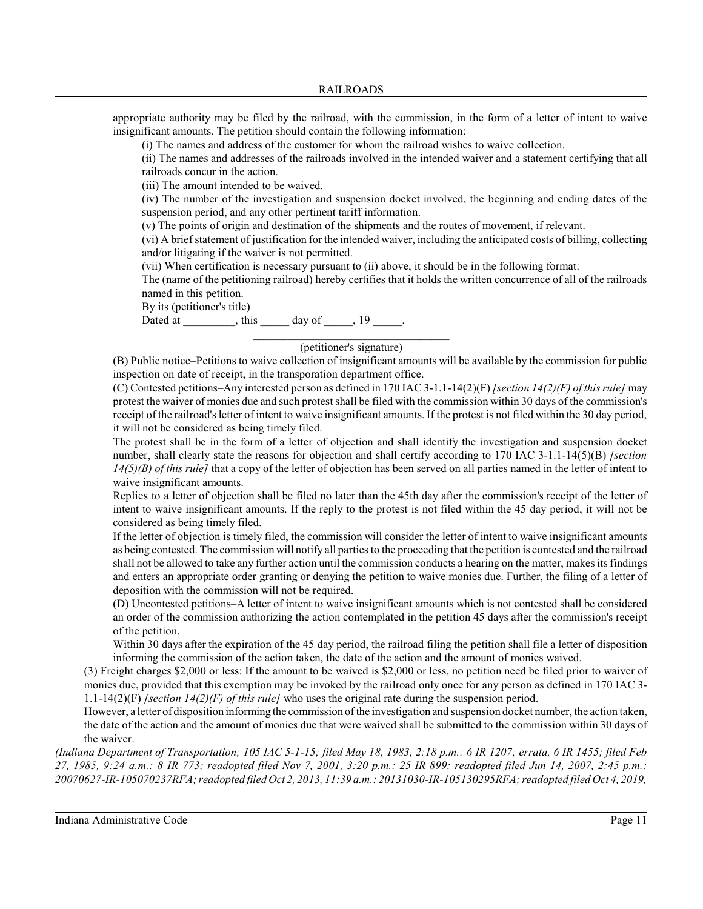appropriate authority may be filed by the railroad, with the commission, in the form of a letter of intent to waive insignificant amounts. The petition should contain the following information:

(i) The names and address of the customer for whom the railroad wishes to waive collection.

(ii) The names and addresses of the railroads involved in the intended waiver and a statement certifying that all railroads concur in the action.

(iii) The amount intended to be waived.

(iv) The number of the investigation and suspension docket involved, the beginning and ending dates of the suspension period, and any other pertinent tariff information.

(v) The points of origin and destination of the shipments and the routes of movement, if relevant.

(vi) A brief statement of justification for the intended waiver, including the anticipated costs of billing, collecting and/or litigating if the waiver is not permitted.

(vii) When certification is necessary pursuant to (ii) above, it should be in the following format:

The (name of the petitioning railroad) hereby certifies that it holds the written concurrence of all of the railroads named in this petition.

By its (petitioner's title)

Dated at \_\_\_\_\_\_\_\_, this \_\_\_\_\_ day of \_\_\_\_\_,  $19$  \_\_\_\_.

# \_\_\_\_\_\_\_\_\_\_\_\_\_\_\_\_\_\_\_\_\_\_\_\_\_\_\_\_\_\_\_\_\_\_ (petitioner's signature)

(B) Public notice–Petitions to waive collection of insignificant amounts will be available by the commission for public inspection on date of receipt, in the transporation department office.

(C) Contested petitions–Any interested person as defined in 170 IAC 3-1.1-14(2)(F)*[section 14(2)(F) of this rule]* may protest the waiver of monies due and such protest shall be filed with the commission within 30 days of the commission's receipt of the railroad's letter of intent to waive insignificant amounts. If the protest is not filed within the 30 day period, it will not be considered as being timely filed.

The protest shall be in the form of a letter of objection and shall identify the investigation and suspension docket number, shall clearly state the reasons for objection and shall certify according to 170 IAC 3-1.1-14(5)(B) *[section 14(5)(B) of this rule]* that a copy of the letter of objection has been served on all parties named in the letter of intent to waive insignificant amounts.

Replies to a letter of objection shall be filed no later than the 45th day after the commission's receipt of the letter of intent to waive insignificant amounts. If the reply to the protest is not filed within the 45 day period, it will not be considered as being timely filed.

If the letter of objection is timely filed, the commission will consider the letter of intent to waive insignificant amounts as being contested. The commission will notify all parties to the proceeding that the petition is contested and the railroad shall not be allowed to take any further action until the commission conducts a hearing on the matter, makes its findings and enters an appropriate order granting or denying the petition to waive monies due. Further, the filing of a letter of deposition with the commission will not be required.

(D) Uncontested petitions–A letter of intent to waive insignificant amounts which is not contested shall be considered an order of the commission authorizing the action contemplated in the petition 45 days after the commission's receipt of the petition.

Within 30 days after the expiration of the 45 day period, the railroad filing the petition shall file a letter of disposition informing the commission of the action taken, the date of the action and the amount of monies waived.

(3) Freight charges \$2,000 or less: If the amount to be waived is \$2,000 or less, no petition need be filed prior to waiver of monies due, provided that this exemption may be invoked by the railroad only once for any person as defined in 170 IAC 3- 1.1-14(2)(F) *[section 14(2)(F) of this rule]* who uses the original rate during the suspension period.

However, a letter of disposition informing the commission of the investigation and suspension docket number, the action taken, the date of the action and the amount of monies due that were waived shall be submitted to the commission within 30 days of the waiver.

*(Indiana Department of Transportation; 105 IAC 5-1-15; filed May 18, 1983, 2:18 p.m.: 6 IR 1207; errata, 6 IR 1455; filed Feb 27, 1985, 9:24 a.m.: 8 IR 773; readopted filed Nov 7, 2001, 3:20 p.m.: 25 IR 899; readopted filed Jun 14, 2007, 2:45 p.m.: 20070627-IR-105070237RFA; readopted filed Oct 2, 2013, 11:39 a.m.: 20131030-IR-105130295RFA; readopted filed Oct 4, 2019,*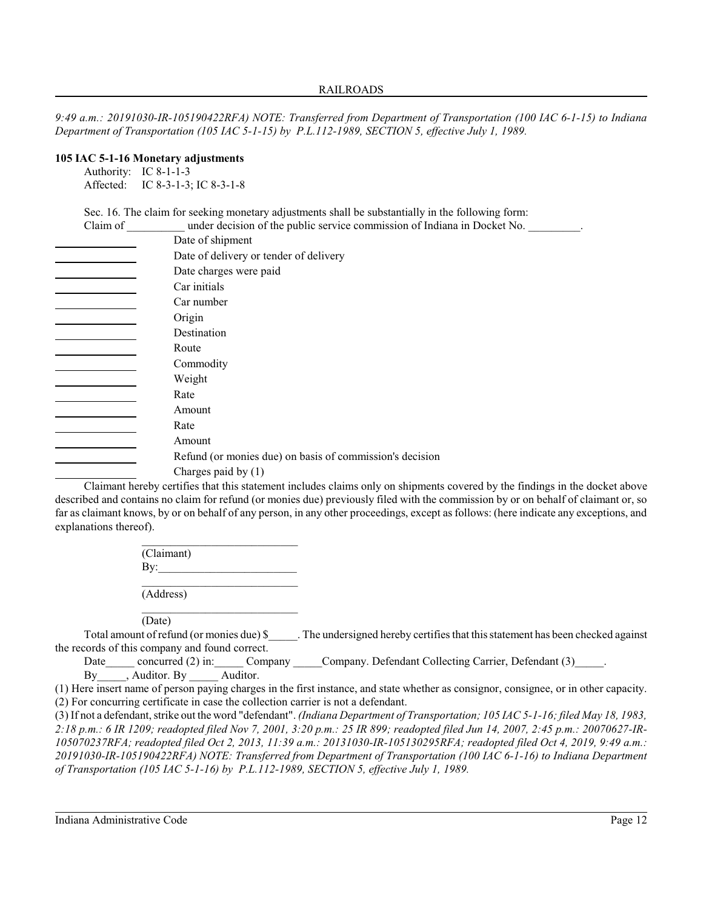*9:49 a.m.: 20191030-IR-105190422RFA) NOTE: Transferred from Department of Transportation (100 IAC 6-1-15) to Indiana Department of Transportation (105 IAC 5-1-15) by P.L.112-1989, SECTION 5, effective July 1, 1989.*

# **105 IAC 5-1-16 Monetary adjustments**

Authority: IC 8-1-1-3 Affected: IC 8-3-1-3; IC 8-3-1-8

Sec. 16. The claim for seeking monetary adjustments shall be substantially in the following form:<br>Claim of substantially in the following form:<br> $\frac{1}{2}$ 

| Claim of | under decision of the public service commission of Indiana in Docket No. |                       |  |        |
|----------|--------------------------------------------------------------------------|-----------------------|--|--------|
|          | Date of shipment                                                         |                       |  |        |
|          | Date of delivery or tender of delivery                                   |                       |  |        |
|          | Date charges were paid                                                   |                       |  |        |
|          | Car initials<br>Car number                                               |                       |  |        |
|          |                                                                          |                       |  | Origin |
|          | Destination                                                              |                       |  |        |
|          | Route                                                                    |                       |  |        |
|          | Commodity                                                                |                       |  |        |
|          | Weight                                                                   |                       |  |        |
|          | Rate                                                                     |                       |  |        |
|          | Amount                                                                   |                       |  |        |
|          | Rate                                                                     |                       |  |        |
|          | Amount                                                                   |                       |  |        |
|          | Refund (or monies due) on basis of commission's decision                 |                       |  |        |
|          |                                                                          | Charges paid by $(1)$ |  |        |

Claimant hereby certifies that this statement includes claims only on shipments covered by the findings in the docket above described and contains no claim for refund (or monies due) previously filed with the commission by or on behalf of claimant or, so far as claimant knows, by or on behalf of any person, in any other proceedings, except as follows: (here indicate any exceptions, and explanations thereof).

> \_\_\_\_\_\_\_\_\_\_\_\_\_\_\_\_\_\_\_\_\_\_\_\_\_\_\_ (Claimant)  $By:$ \_\_\_\_\_\_\_\_\_\_\_\_\_\_\_\_\_\_\_\_\_\_\_\_\_\_\_ (Address)

\_\_\_\_\_\_\_\_\_\_\_\_\_\_\_\_\_\_\_\_\_\_\_\_\_\_\_

(Date)

Total amount of refund (or monies due) \$ The undersigned hereby certifies that this statement has been checked against the records of this company and found correct.

Date concurred (2) in: Company Company. Defendant Collecting Carrier, Defendant (3) By , Auditor. By Auditor.

(1) Here insert name of person paying charges in the first instance, and state whether as consignor, consignee, or in other capacity. (2) For concurring certificate in case the collection carrier is not a defendant.

(3) If not a defendant, strike out the word "defendant". *(Indiana Department of Transportation; 105 IAC 5-1-16; filed May 18, 1983, 2:18 p.m.: 6 IR 1209; readopted filed Nov 7, 2001, 3:20 p.m.: 25 IR 899; readopted filed Jun 14, 2007, 2:45 p.m.: 20070627-IR-105070237RFA; readopted filed Oct 2, 2013, 11:39 a.m.: 20131030-IR-105130295RFA; readopted filed Oct 4, 2019, 9:49 a.m.: 20191030-IR-105190422RFA) NOTE: Transferred from Department of Transportation (100 IAC 6-1-16) to Indiana Department of Transportation (105 IAC 5-1-16) by P.L.112-1989, SECTION 5, effective July 1, 1989.*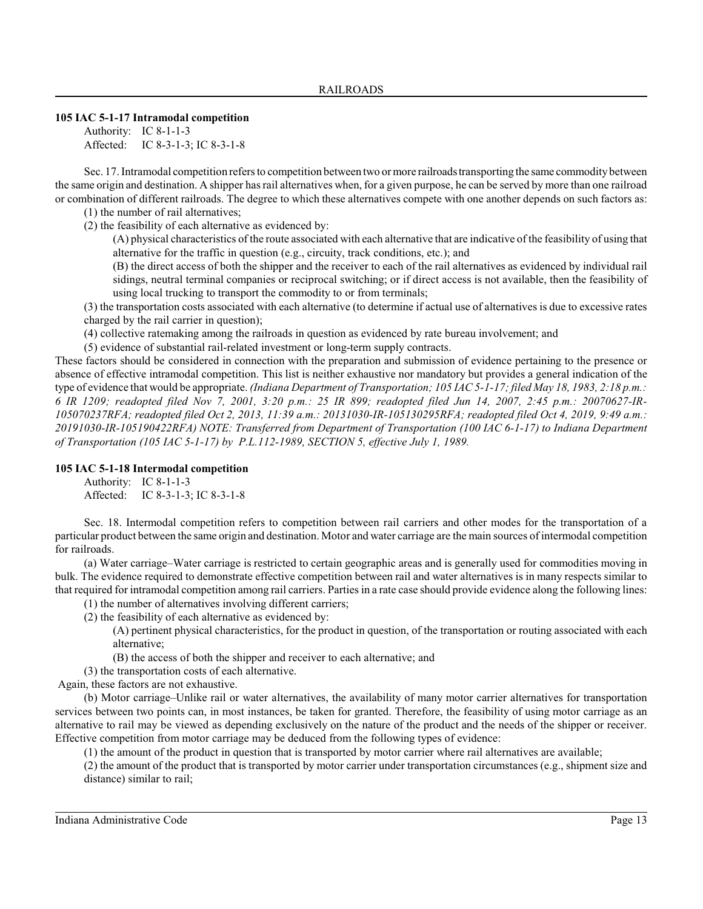### **105 IAC 5-1-17 Intramodal competition**

Authority: IC 8-1-1-3 Affected: IC 8-3-1-3; IC 8-3-1-8

Sec. 17. Intramodal competition refers to competition between two or more railroads transporting the same commodity between the same origin and destination. A shipper has rail alternatives when, for a given purpose, he can be served by more than one railroad or combination of different railroads. The degree to which these alternatives compete with one another depends on such factors as:

(1) the number of rail alternatives;

(2) the feasibility of each alternative as evidenced by:

(A) physical characteristics of the route associated with each alternative that are indicative of the feasibility of using that alternative for the traffic in question (e.g., circuity, track conditions, etc.); and

(B) the direct access of both the shipper and the receiver to each of the rail alternatives as evidenced by individual rail sidings, neutral terminal companies or reciprocal switching; or if direct access is not available, then the feasibility of using local trucking to transport the commodity to or from terminals;

(3) the transportation costs associated with each alternative (to determine if actual use of alternatives is due to excessive rates charged by the rail carrier in question);

(4) collective ratemaking among the railroads in question as evidenced by rate bureau involvement; and

(5) evidence of substantial rail-related investment or long-term supply contracts.

These factors should be considered in connection with the preparation and submission of evidence pertaining to the presence or absence of effective intramodal competition. This list is neither exhaustive nor mandatory but provides a general indication of the type of evidence that would be appropriate. *(Indiana Department of Transportation; 105 IAC 5-1-17; filed May 18, 1983, 2:18 p.m.: 6 IR 1209; readopted filed Nov 7, 2001, 3:20 p.m.: 25 IR 899; readopted filed Jun 14, 2007, 2:45 p.m.: 20070627-IR-105070237RFA; readopted filed Oct 2, 2013, 11:39 a.m.: 20131030-IR-105130295RFA; readopted filed Oct 4, 2019, 9:49 a.m.: 20191030-IR-105190422RFA) NOTE: Transferred from Department of Transportation (100 IAC 6-1-17) to Indiana Department of Transportation (105 IAC 5-1-17) by P.L.112-1989, SECTION 5, effective July 1, 1989.*

#### **105 IAC 5-1-18 Intermodal competition**

Authority: IC 8-1-1-3 Affected: IC 8-3-1-3; IC 8-3-1-8

Sec. 18. Intermodal competition refers to competition between rail carriers and other modes for the transportation of a particular product between the same origin and destination. Motor and water carriage are the main sources of intermodal competition for railroads.

(a) Water carriage–Water carriage is restricted to certain geographic areas and is generally used for commodities moving in bulk. The evidence required to demonstrate effective competition between rail and water alternatives is in many respects similar to that required for intramodal competition among rail carriers. Parties in a rate case should provide evidence along the following lines:

(1) the number of alternatives involving different carriers;

(2) the feasibility of each alternative as evidenced by:

(A) pertinent physical characteristics, for the product in question, of the transportation or routing associated with each alternative;

(B) the access of both the shipper and receiver to each alternative; and

(3) the transportation costs of each alternative.

Again, these factors are not exhaustive.

(b) Motor carriage–Unlike rail or water alternatives, the availability of many motor carrier alternatives for transportation services between two points can, in most instances, be taken for granted. Therefore, the feasibility of using motor carriage as an alternative to rail may be viewed as depending exclusively on the nature of the product and the needs of the shipper or receiver. Effective competition from motor carriage may be deduced from the following types of evidence:

(1) the amount of the product in question that is transported by motor carrier where rail alternatives are available;

(2) the amount of the product that is transported by motor carrier under transportation circumstances (e.g., shipment size and distance) similar to rail;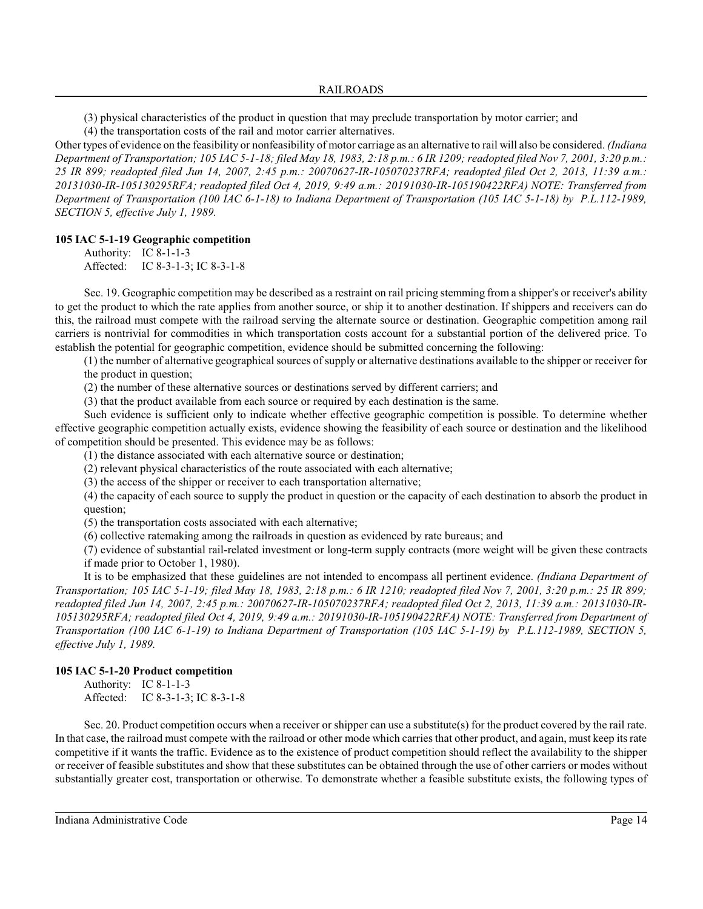(3) physical characteristics of the product in question that may preclude transportation by motor carrier; and

(4) the transportation costs of the rail and motor carrier alternatives.

Other types of evidence on the feasibility or nonfeasibility of motor carriage as an alternative to rail will also be considered. *(Indiana Department of Transportation; 105 IAC 5-1-18; filed May 18, 1983, 2:18 p.m.: 6 IR 1209; readopted filed Nov 7, 2001, 3:20 p.m.: 25 IR 899; readopted filed Jun 14, 2007, 2:45 p.m.: 20070627-IR-105070237RFA; readopted filed Oct 2, 2013, 11:39 a.m.: 20131030-IR-105130295RFA; readopted filed Oct 4, 2019, 9:49 a.m.: 20191030-IR-105190422RFA) NOTE: Transferred from Department of Transportation (100 IAC 6-1-18) to Indiana Department of Transportation (105 IAC 5-1-18) by P.L.112-1989, SECTION 5, effective July 1, 1989.*

# **105 IAC 5-1-19 Geographic competition**

Authority: IC 8-1-1-3 Affected: IC 8-3-1-3; IC 8-3-1-8

Sec. 19. Geographic competition may be described as a restraint on rail pricing stemming from a shipper's or receiver's ability to get the product to which the rate applies from another source, or ship it to another destination. If shippers and receivers can do this, the railroad must compete with the railroad serving the alternate source or destination. Geographic competition among rail carriers is nontrivial for commodities in which transportation costs account for a substantial portion of the delivered price. To establish the potential for geographic competition, evidence should be submitted concerning the following:

(1) the number of alternative geographical sources of supply or alternative destinations available to the shipper or receiver for the product in question;

(2) the number of these alternative sources or destinations served by different carriers; and

(3) that the product available from each source or required by each destination is the same.

Such evidence is sufficient only to indicate whether effective geographic competition is possible. To determine whether effective geographic competition actually exists, evidence showing the feasibility of each source or destination and the likelihood of competition should be presented. This evidence may be as follows:

(1) the distance associated with each alternative source or destination;

(2) relevant physical characteristics of the route associated with each alternative;

(3) the access of the shipper or receiver to each transportation alternative;

(4) the capacity of each source to supply the product in question or the capacity of each destination to absorb the product in question;

(5) the transportation costs associated with each alternative;

(6) collective ratemaking among the railroads in question as evidenced by rate bureaus; and

(7) evidence of substantial rail-related investment or long-term supply contracts (more weight will be given these contracts if made prior to October 1, 1980).

It is to be emphasized that these guidelines are not intended to encompass all pertinent evidence. *(Indiana Department of Transportation; 105 IAC 5-1-19; filed May 18, 1983, 2:18 p.m.: 6 IR 1210; readopted filed Nov 7, 2001, 3:20 p.m.: 25 IR 899; readopted filed Jun 14, 2007, 2:45 p.m.: 20070627-IR-105070237RFA; readopted filed Oct 2, 2013, 11:39 a.m.: 20131030-IR-105130295RFA; readopted filed Oct 4, 2019, 9:49 a.m.: 20191030-IR-105190422RFA) NOTE: Transferred from Department of Transportation (100 IAC 6-1-19) to Indiana Department of Transportation (105 IAC 5-1-19) by P.L.112-1989, SECTION 5, effective July 1, 1989.*

# **105 IAC 5-1-20 Product competition**

Authority: IC 8-1-1-3 Affected: IC 8-3-1-3; IC 8-3-1-8

Sec. 20. Product competition occurs when a receiver or shipper can use a substitute(s) for the product covered by the rail rate. In that case, the railroad must compete with the railroad or other mode which carries that other product, and again, must keep its rate competitive if it wants the traffic. Evidence as to the existence of product competition should reflect the availability to the shipper or receiver of feasible substitutes and show that these substitutes can be obtained through the use of other carriers or modes without substantially greater cost, transportation or otherwise. To demonstrate whether a feasible substitute exists, the following types of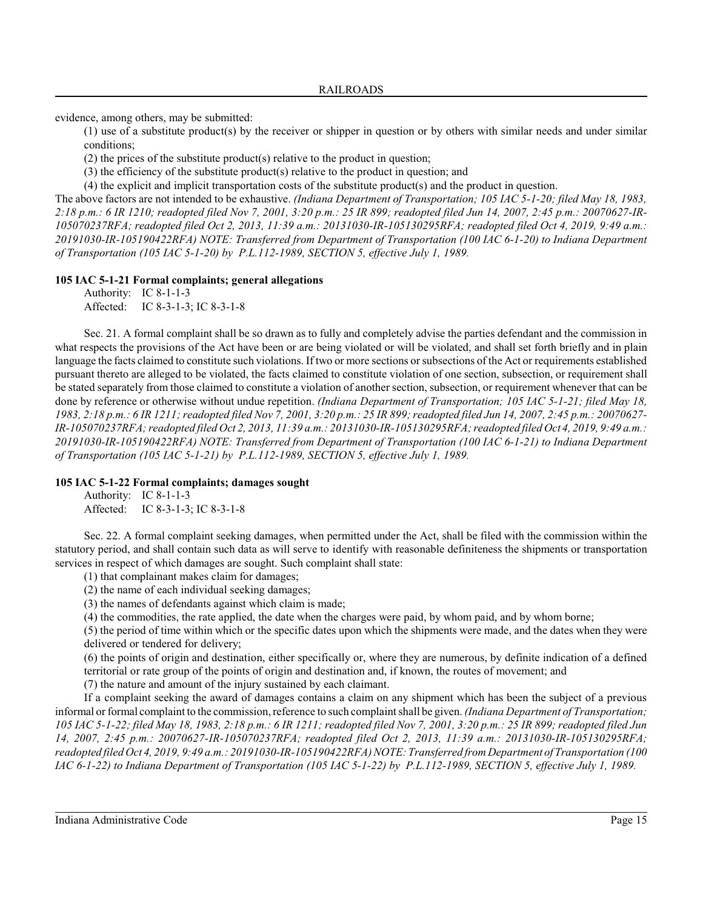evidence, among others, may be submitted:

(1) use of a substitute product(s) by the receiver or shipper in question or by others with similar needs and under similar conditions;

(2) the prices of the substitute product(s) relative to the product in question;

(3) the efficiency of the substitute product(s) relative to the product in question; and

(4) the explicit and implicit transportation costs of the substitute product(s) and the product in question.

The above factors are not intended to be exhaustive. *(Indiana Department of Transportation; 105 IAC 5-1-20; filed May 18, 1983, 2:18 p.m.: 6 IR 1210; readopted filed Nov 7, 2001, 3:20 p.m.: 25 IR 899; readopted filed Jun 14, 2007, 2:45 p.m.: 20070627-IR-105070237RFA; readopted filed Oct 2, 2013, 11:39 a.m.: 20131030-IR-105130295RFA; readopted filed Oct 4, 2019, 9:49 a.m.: 20191030-IR-105190422RFA) NOTE: Transferred from Department of Transportation (100 IAC 6-1-20) to Indiana Department of Transportation (105 IAC 5-1-20) by P.L.112-1989, SECTION 5, effective July 1, 1989.*

# **105 IAC 5-1-21 Formal complaints; general allegations**

Authority: IC 8-1-1-3 Affected: IC 8-3-1-3; IC 8-3-1-8

Sec. 21. A formal complaint shall be so drawn as to fully and completely advise the parties defendant and the commission in what respects the provisions of the Act have been or are being violated or will be violated, and shall set forth briefly and in plain language the facts claimed to constitute such violations. If two or more sections orsubsections of the Act or requirements established pursuant thereto are alleged to be violated, the facts claimed to constitute violation of one section, subsection, or requirement shall be stated separately from those claimed to constitute a violation of another section, subsection, or requirement whenever that can be done by reference or otherwise without undue repetition. *(Indiana Department of Transportation; 105 IAC 5-1-21; filed May 18, 1983, 2:18 p.m.: 6 IR 1211; readopted filed Nov 7, 2001, 3:20 p.m.: 25 IR 899;readopted filed Jun 14, 2007, 2:45 p.m.: 20070627- IR-105070237RFA; readopted filed Oct 2, 2013, 11:39 a.m.: 20131030-IR-105130295RFA; readopted filed Oct 4, 2019, 9:49 a.m.: 20191030-IR-105190422RFA) NOTE: Transferred from Department of Transportation (100 IAC 6-1-21) to Indiana Department of Transportation (105 IAC 5-1-21) by P.L.112-1989, SECTION 5, effective July 1, 1989.*

# **105 IAC 5-1-22 Formal complaints; damages sought**

Authority: IC 8-1-1-3 Affected: IC 8-3-1-3; IC 8-3-1-8

Sec. 22. A formal complaint seeking damages, when permitted under the Act, shall be filed with the commission within the statutory period, and shall contain such data as will serve to identify with reasonable definiteness the shipments or transportation services in respect of which damages are sought. Such complaint shall state:

(1) that complainant makes claim for damages;

(2) the name of each individual seeking damages;

(3) the names of defendants against which claim is made;

(4) the commodities, the rate applied, the date when the charges were paid, by whom paid, and by whom borne;

(5) the period of time within which or the specific dates upon which the shipments were made, and the dates when they were delivered or tendered for delivery;

(6) the points of origin and destination, either specifically or, where they are numerous, by definite indication of a defined territorial or rate group of the points of origin and destination and, if known, the routes of movement; and

(7) the nature and amount of the injury sustained by each claimant.

If a complaint seeking the award of damages contains a claim on any shipment which has been the subject of a previous informal or formal complaint to the commission, reference to such complaint shall be given. *(Indiana Department of Transportation; 105 IAC 5-1-22; filed May 18, 1983, 2:18 p.m.: 6 IR 1211; readopted filed Nov 7, 2001, 3:20 p.m.: 25 IR 899; readopted filed Jun 14, 2007, 2:45 p.m.: 20070627-IR-105070237RFA; readopted filed Oct 2, 2013, 11:39 a.m.: 20131030-IR-105130295RFA; readopted filed Oct 4, 2019, 9:49 a.m.: 20191030-IR-105190422RFA) NOTE: Transferred from Department of Transportation (100 IAC 6-1-22) to Indiana Department of Transportation (105 IAC 5-1-22) by P.L.112-1989, SECTION 5, effective July 1, 1989.*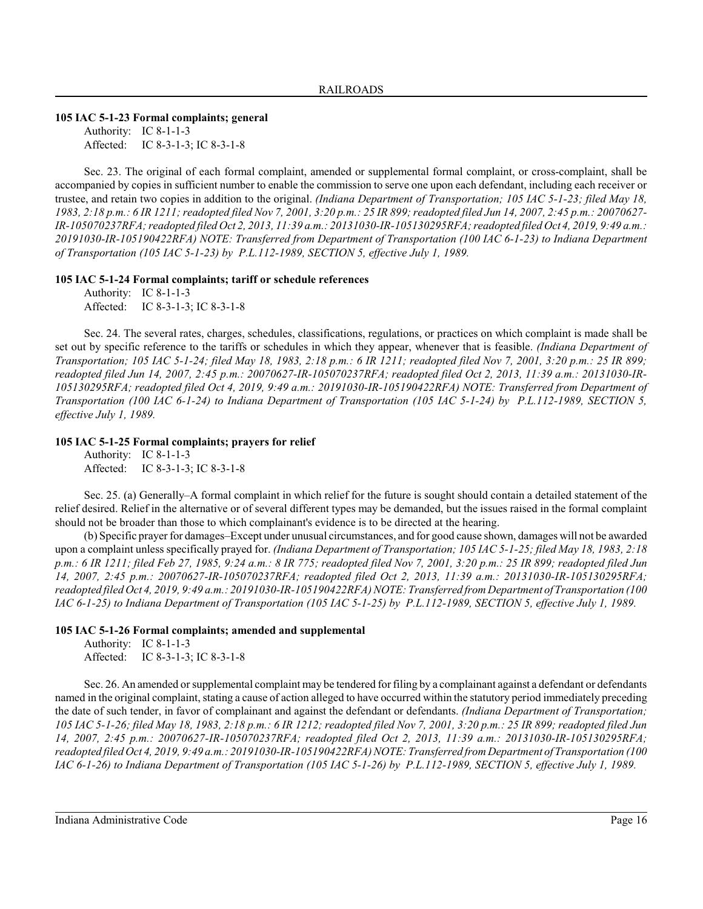# **105 IAC 5-1-23 Formal complaints; general**

Authority: IC 8-1-1-3 Affected: IC 8-3-1-3; IC 8-3-1-8

Sec. 23. The original of each formal complaint, amended or supplemental formal complaint, or cross-complaint, shall be accompanied by copies in sufficient number to enable the commission to serve one upon each defendant, including each receiver or trustee, and retain two copies in addition to the original. *(Indiana Department of Transportation; 105 IAC 5-1-23; filed May 18, 1983, 2:18 p.m.: 6 IR 1211; readopted filed Nov 7, 2001, 3:20 p.m.: 25 IR 899;readopted filed Jun 14, 2007, 2:45 p.m.: 20070627- IR-105070237RFA; readopted filed Oct 2, 2013, 11:39 a.m.: 20131030-IR-105130295RFA; readopted filed Oct 4, 2019, 9:49 a.m.: 20191030-IR-105190422RFA) NOTE: Transferred from Department of Transportation (100 IAC 6-1-23) to Indiana Department of Transportation (105 IAC 5-1-23) by P.L.112-1989, SECTION 5, effective July 1, 1989.*

#### **105 IAC 5-1-24 Formal complaints; tariff or schedule references**

Authority: IC 8-1-1-3 Affected: IC 8-3-1-3; IC 8-3-1-8

Sec. 24. The several rates, charges, schedules, classifications, regulations, or practices on which complaint is made shall be set out by specific reference to the tariffs or schedules in which they appear, whenever that is feasible. *(Indiana Department of Transportation; 105 IAC 5-1-24; filed May 18, 1983, 2:18 p.m.: 6 IR 1211; readopted filed Nov 7, 2001, 3:20 p.m.: 25 IR 899; readopted filed Jun 14, 2007, 2:45 p.m.: 20070627-IR-105070237RFA; readopted filed Oct 2, 2013, 11:39 a.m.: 20131030-IR-105130295RFA; readopted filed Oct 4, 2019, 9:49 a.m.: 20191030-IR-105190422RFA) NOTE: Transferred from Department of Transportation (100 IAC 6-1-24) to Indiana Department of Transportation (105 IAC 5-1-24) by P.L.112-1989, SECTION 5, effective July 1, 1989.*

# **105 IAC 5-1-25 Formal complaints; prayers for relief**

Authority: IC 8-1-1-3 Affected: IC 8-3-1-3; IC 8-3-1-8

Sec. 25. (a) Generally–A formal complaint in which relief for the future is sought should contain a detailed statement of the relief desired. Relief in the alternative or of several different types may be demanded, but the issues raised in the formal complaint should not be broader than those to which complainant's evidence is to be directed at the hearing.

(b) Specific prayer for damages–Except under unusual circumstances, and for good cause shown, damages will not be awarded upon a complaint unless specifically prayed for. *(Indiana Department of Transportation; 105 IAC 5-1-25; filed May 18, 1983, 2:18 p.m.: 6 IR 1211; filed Feb 27, 1985, 9:24 a.m.: 8 IR 775; readopted filed Nov 7, 2001, 3:20 p.m.: 25 IR 899; readopted filed Jun 14, 2007, 2:45 p.m.: 20070627-IR-105070237RFA; readopted filed Oct 2, 2013, 11:39 a.m.: 20131030-IR-105130295RFA; readopted filed Oct 4, 2019, 9:49 a.m.: 20191030-IR-105190422RFA) NOTE: Transferred from Department of Transportation (100 IAC 6-1-25) to Indiana Department of Transportation (105 IAC 5-1-25) by P.L.112-1989, SECTION 5, effective July 1, 1989.*

# **105 IAC 5-1-26 Formal complaints; amended and supplemental**

Authority: IC 8-1-1-3 Affected: IC 8-3-1-3; IC 8-3-1-8

Sec. 26. An amended or supplemental complaint may be tendered for filing by a complainant against a defendant or defendants named in the original complaint, stating a cause of action alleged to have occurred within the statutory period immediately preceding the date of such tender, in favor of complainant and against the defendant or defendants. *(Indiana Department of Transportation; 105 IAC 5-1-26; filed May 18, 1983, 2:18 p.m.: 6 IR 1212; readopted filed Nov 7, 2001, 3:20 p.m.: 25 IR 899; readopted filed Jun 14, 2007, 2:45 p.m.: 20070627-IR-105070237RFA; readopted filed Oct 2, 2013, 11:39 a.m.: 20131030-IR-105130295RFA; readopted filed Oct 4, 2019, 9:49 a.m.: 20191030-IR-105190422RFA) NOTE: Transferred from Department of Transportation (100 IAC 6-1-26) to Indiana Department of Transportation (105 IAC 5-1-26) by P.L.112-1989, SECTION 5, effective July 1, 1989.*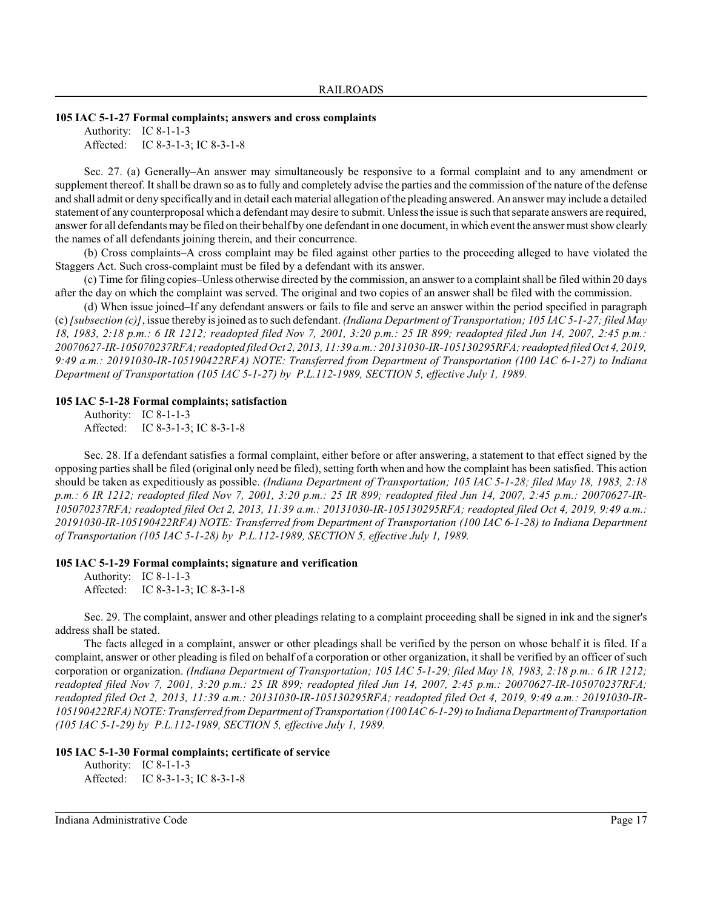#### **105 IAC 5-1-27 Formal complaints; answers and cross complaints**

Authority: IC 8-1-1-3 Affected: IC 8-3-1-3; IC 8-3-1-8

Sec. 27. (a) Generally–An answer may simultaneously be responsive to a formal complaint and to any amendment or supplement thereof. It shall be drawn so as to fully and completely advise the parties and the commission of the nature of the defense and shall admit or deny specifically and in detail each material allegation of the pleading answered. An answer may include a detailed statement of any counterproposal which a defendant may desire to submit. Unlessthe issue is such that separate answers are required, answer for all defendants may be filed on their behalf by one defendant in one document, in which event the answer mustshowclearly the names of all defendants joining therein, and their concurrence.

(b) Cross complaints–A cross complaint may be filed against other parties to the proceeding alleged to have violated the Staggers Act. Such cross-complaint must be filed by a defendant with its answer.

(c) Time for filing copies–Unless otherwise directed by the commission, an answer to a complaint shall be filed within 20 days after the day on which the complaint was served. The original and two copies of an answer shall be filed with the commission.

(d) When issue joined–If any defendant answers or fails to file and serve an answer within the period specified in paragraph (c)*[subsection (c)]*, issue thereby is joined as to such defendant. *(Indiana Department of Transportation; 105 IAC 5-1-27; filed May 18, 1983, 2:18 p.m.: 6 IR 1212; readopted filed Nov 7, 2001, 3:20 p.m.: 25 IR 899; readopted filed Jun 14, 2007, 2:45 p.m.: 20070627-IR-105070237RFA; readopted filed Oct 2, 2013, 11:39 a.m.: 20131030-IR-105130295RFA; readopted filed Oct 4, 2019, 9:49 a.m.: 20191030-IR-105190422RFA) NOTE: Transferred from Department of Transportation (100 IAC 6-1-27) to Indiana Department of Transportation (105 IAC 5-1-27) by P.L.112-1989, SECTION 5, effective July 1, 1989.*

#### **105 IAC 5-1-28 Formal complaints; satisfaction**

Authority: IC 8-1-1-3 Affected: IC 8-3-1-3; IC 8-3-1-8

Sec. 28. If a defendant satisfies a formal complaint, either before or after answering, a statement to that effect signed by the opposing parties shall be filed (original only need be filed), setting forth when and how the complaint has been satisfied. This action should be taken as expeditiously as possible. *(Indiana Department of Transportation; 105 IAC 5-1-28; filed May 18, 1983, 2:18 p.m.: 6 IR 1212; readopted filed Nov 7, 2001, 3:20 p.m.: 25 IR 899; readopted filed Jun 14, 2007, 2:45 p.m.: 20070627-IR-105070237RFA; readopted filed Oct 2, 2013, 11:39 a.m.: 20131030-IR-105130295RFA; readopted filed Oct 4, 2019, 9:49 a.m.: 20191030-IR-105190422RFA) NOTE: Transferred from Department of Transportation (100 IAC 6-1-28) to Indiana Department of Transportation (105 IAC 5-1-28) by P.L.112-1989, SECTION 5, effective July 1, 1989.*

#### **105 IAC 5-1-29 Formal complaints; signature and verification**

Authority: IC 8-1-1-3 Affected: IC 8-3-1-3; IC 8-3-1-8

Sec. 29. The complaint, answer and other pleadings relating to a complaint proceeding shall be signed in ink and the signer's address shall be stated.

The facts alleged in a complaint, answer or other pleadings shall be verified by the person on whose behalf it is filed. If a complaint, answer or other pleading is filed on behalf of a corporation or other organization, it shall be verified by an officer of such corporation or organization. *(Indiana Department of Transportation; 105 IAC 5-1-29; filed May 18, 1983, 2:18 p.m.: 6 IR 1212; readopted filed Nov 7, 2001, 3:20 p.m.: 25 IR 899; readopted filed Jun 14, 2007, 2:45 p.m.: 20070627-IR-105070237RFA; readopted filed Oct 2, 2013, 11:39 a.m.: 20131030-IR-105130295RFA; readopted filed Oct 4, 2019, 9:49 a.m.: 20191030-IR-105190422RFA) NOTE: Transferred from Department of Transportation (100 IAC 6-1-29) to Indiana DepartmentofTransportation (105 IAC 5-1-29) by P.L.112-1989, SECTION 5, effective July 1, 1989.*

### **105 IAC 5-1-30 Formal complaints; certificate of service**

```
Authority: IC 8-1-1-3
Affected: IC 8-3-1-3; IC 8-3-1-8
```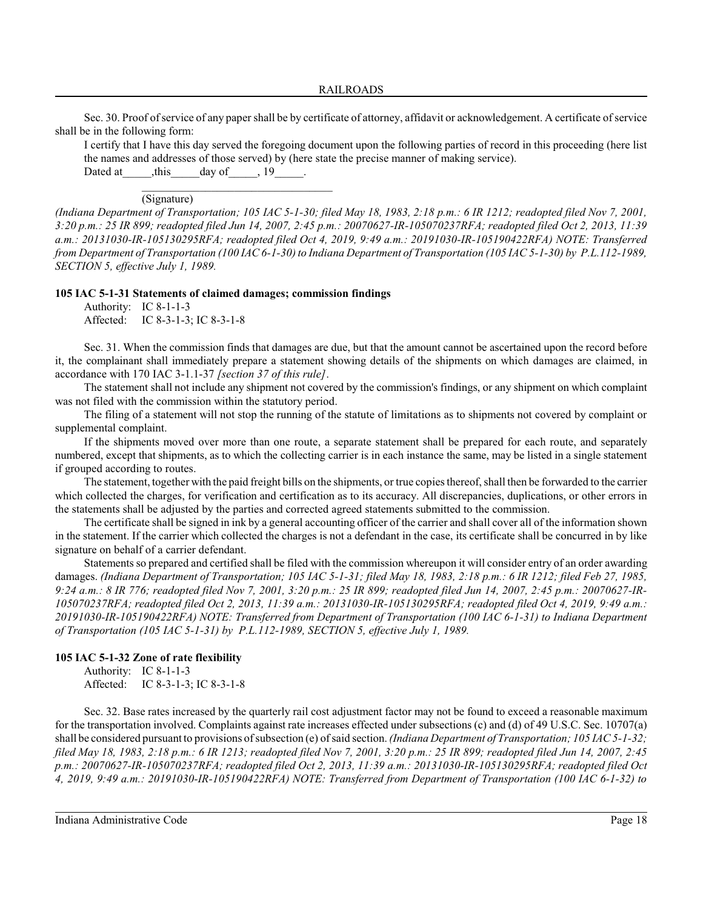Sec. 30. Proof of service of any paper shall be by certificate of attorney, affidavit or acknowledgement. A certificate of service shall be in the following form:

I certify that I have this day served the foregoing document upon the following parties of record in this proceeding (here list the names and addresses of those served) by (here state the precise manner of making service). Dated at this day of 19 and 19 and 19 and 19 and 19 and 19 and 19 and 19 and 19 and 19 and 19 and 19

\_\_\_\_\_\_\_\_\_\_\_\_\_\_\_\_\_\_\_\_\_\_\_\_\_\_\_\_\_\_\_\_\_ (Signature)

*(Indiana Department of Transportation; 105 IAC 5-1-30; filed May 18, 1983, 2:18 p.m.: 6 IR 1212; readopted filed Nov 7, 2001, 3:20 p.m.: 25 IR 899; readopted filed Jun 14, 2007, 2:45 p.m.: 20070627-IR-105070237RFA; readopted filed Oct 2, 2013, 11:39 a.m.: 20131030-IR-105130295RFA; readopted filed Oct 4, 2019, 9:49 a.m.: 20191030-IR-105190422RFA) NOTE: Transferred from Department of Transportation (100 IAC 6-1-30) to Indiana Department of Transportation (105 IAC 5-1-30) by P.L.112-1989, SECTION 5, effective July 1, 1989.*

**105 IAC 5-1-31 Statements of claimed damages; commission findings**

Authority: IC 8-1-1-3 Affected: IC 8-3-1-3; IC 8-3-1-8

Sec. 31. When the commission finds that damages are due, but that the amount cannot be ascertained upon the record before it, the complainant shall immediately prepare a statement showing details of the shipments on which damages are claimed, in accordance with 170 IAC 3-1.1-37 *[section 37 of this rule]*.

The statement shall not include any shipment not covered by the commission's findings, or any shipment on which complaint was not filed with the commission within the statutory period.

The filing of a statement will not stop the running of the statute of limitations as to shipments not covered by complaint or supplemental complaint.

If the shipments moved over more than one route, a separate statement shall be prepared for each route, and separately numbered, except that shipments, as to which the collecting carrier is in each instance the same, may be listed in a single statement if grouped according to routes.

The statement, together with the paid freight bills on the shipments, or true copies thereof, shall then be forwarded to the carrier which collected the charges, for verification and certification as to its accuracy. All discrepancies, duplications, or other errors in the statements shall be adjusted by the parties and corrected agreed statements submitted to the commission.

The certificate shall be signed in ink by a general accounting officer of the carrier and shall cover all of the information shown in the statement. If the carrier which collected the charges is not a defendant in the case, its certificate shall be concurred in by like signature on behalf of a carrier defendant.

Statements so prepared and certified shall be filed with the commission whereupon it will consider entry of an order awarding damages. *(Indiana Department of Transportation; 105 IAC 5-1-31; filed May 18, 1983, 2:18 p.m.: 6 IR 1212; filed Feb 27, 1985, 9:24 a.m.: 8 IR 776; readopted filed Nov 7, 2001, 3:20 p.m.: 25 IR 899; readopted filed Jun 14, 2007, 2:45 p.m.: 20070627-IR-105070237RFA; readopted filed Oct 2, 2013, 11:39 a.m.: 20131030-IR-105130295RFA; readopted filed Oct 4, 2019, 9:49 a.m.: 20191030-IR-105190422RFA) NOTE: Transferred from Department of Transportation (100 IAC 6-1-31) to Indiana Department of Transportation (105 IAC 5-1-31) by P.L.112-1989, SECTION 5, effective July 1, 1989.*

# **105 IAC 5-1-32 Zone of rate flexibility**

Authority: IC 8-1-1-3 Affected: IC 8-3-1-3; IC 8-3-1-8

Sec. 32. Base rates increased by the quarterly rail cost adjustment factor may not be found to exceed a reasonable maximum for the transportation involved. Complaints against rate increases effected under subsections (c) and (d) of 49 U.S.C. Sec. 10707(a) shall be considered pursuant to provisions of subsection (e) of said section. *(Indiana Department of Transportation; 105 IAC 5-1-32; filed May 18, 1983, 2:18 p.m.: 6 IR 1213; readopted filed Nov 7, 2001, 3:20 p.m.: 25 IR 899; readopted filed Jun 14, 2007, 2:45 p.m.: 20070627-IR-105070237RFA; readopted filed Oct 2, 2013, 11:39 a.m.: 20131030-IR-105130295RFA; readopted filed Oct 4, 2019, 9:49 a.m.: 20191030-IR-105190422RFA) NOTE: Transferred from Department of Transportation (100 IAC 6-1-32) to*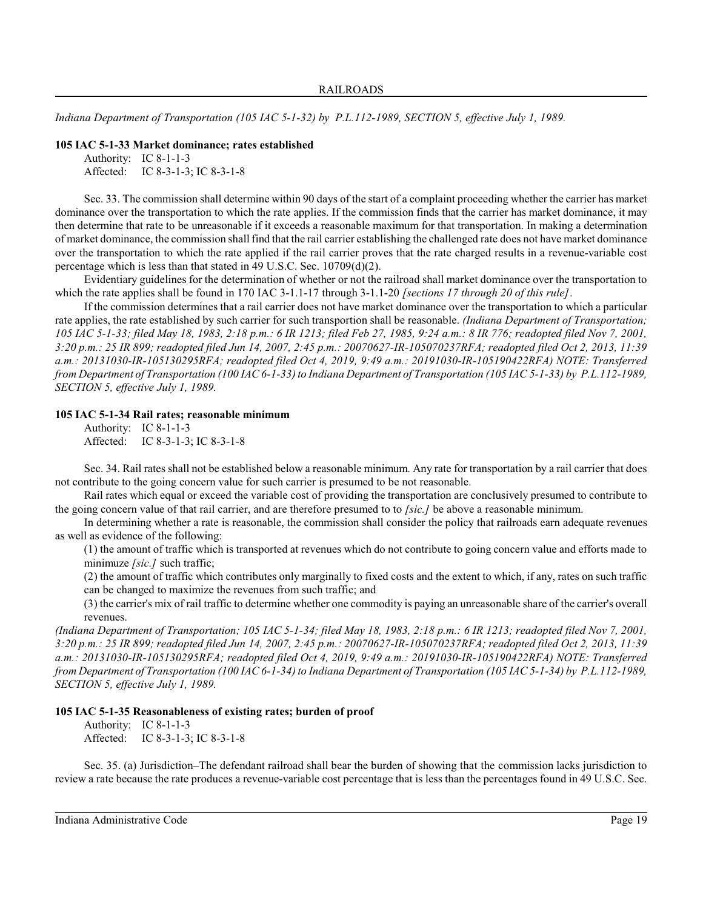*Indiana Department of Transportation (105 IAC 5-1-32) by P.L.112-1989, SECTION 5, effective July 1, 1989.*

# **105 IAC 5-1-33 Market dominance; rates established**

```
Authority: IC 8-1-1-3
Affected: IC 8-3-1-3; IC 8-3-1-8
```
Sec. 33. The commission shall determine within 90 days of the start of a complaint proceeding whether the carrier has market dominance over the transportation to which the rate applies. If the commission finds that the carrier has market dominance, it may then determine that rate to be unreasonable if it exceeds a reasonable maximum for that transportation. In making a determination of market dominance, the commission shall find that the rail carrier establishing the challenged rate does not have market dominance over the transportation to which the rate applied if the rail carrier proves that the rate charged results in a revenue-variable cost percentage which is less than that stated in 49 U.S.C. Sec. 10709(d)(2).

Evidentiary guidelines for the determination of whether or not the railroad shall market dominance over the transportation to which the rate applies shall be found in 170 IAC 3-1.1-17 through 3-1.1-20 *[sections 17 through 20 of this rule]*.

If the commission determines that a rail carrier does not have market dominance over the transportation to which a particular rate applies, the rate established by such carrier for such transportion shall be reasonable. *(Indiana Department of Transportation; 105 IAC 5-1-33; filed May 18, 1983, 2:18 p.m.: 6 IR 1213; filed Feb 27, 1985, 9:24 a.m.: 8 IR 776; readopted filed Nov 7, 2001, 3:20 p.m.: 25 IR 899; readopted filed Jun 14, 2007, 2:45 p.m.: 20070627-IR-105070237RFA; readopted filed Oct 2, 2013, 11:39 a.m.: 20131030-IR-105130295RFA; readopted filed Oct 4, 2019, 9:49 a.m.: 20191030-IR-105190422RFA) NOTE: Transferred from Department of Transportation (100 IAC 6-1-33) to Indiana Department of Transportation (105 IAC 5-1-33) by P.L.112-1989, SECTION 5, effective July 1, 1989.*

# **105 IAC 5-1-34 Rail rates; reasonable minimum**

Authority: IC 8-1-1-3 Affected: IC 8-3-1-3; IC 8-3-1-8

Sec. 34. Rail rates shall not be established below a reasonable minimum. Any rate for transportation by a rail carrier that does not contribute to the going concern value for such carrier is presumed to be not reasonable.

Rail rates which equal or exceed the variable cost of providing the transportation are conclusively presumed to contribute to the going concern value of that rail carrier, and are therefore presumed to to *[sic.]* be above a reasonable minimum.

In determining whether a rate is reasonable, the commission shall consider the policy that railroads earn adequate revenues as well as evidence of the following:

(1) the amount of traffic which is transported at revenues which do not contribute to going concern value and efforts made to minimuze *[sic.]* such traffic;

(2) the amount of traffic which contributes only marginally to fixed costs and the extent to which, if any, rates on such traffic can be changed to maximize the revenues from such traffic; and

(3) the carrier's mix of rail traffic to determine whether one commodity is paying an unreasonable share of the carrier's overall revenues.

*(Indiana Department of Transportation; 105 IAC 5-1-34; filed May 18, 1983, 2:18 p.m.: 6 IR 1213; readopted filed Nov 7, 2001, 3:20 p.m.: 25 IR 899; readopted filed Jun 14, 2007, 2:45 p.m.: 20070627-IR-105070237RFA; readopted filed Oct 2, 2013, 11:39 a.m.: 20131030-IR-105130295RFA; readopted filed Oct 4, 2019, 9:49 a.m.: 20191030-IR-105190422RFA) NOTE: Transferred from Department of Transportation (100 IAC 6-1-34) to Indiana Department of Transportation (105 IAC 5-1-34) by P.L.112-1989, SECTION 5, effective July 1, 1989.*

# **105 IAC 5-1-35 Reasonableness of existing rates; burden of proof**

Authority: IC 8-1-1-3 Affected: IC 8-3-1-3; IC 8-3-1-8

Sec. 35. (a) Jurisdiction–The defendant railroad shall bear the burden of showing that the commission lacks jurisdiction to review a rate because the rate produces a revenue-variable cost percentage that is less than the percentages found in 49 U.S.C. Sec.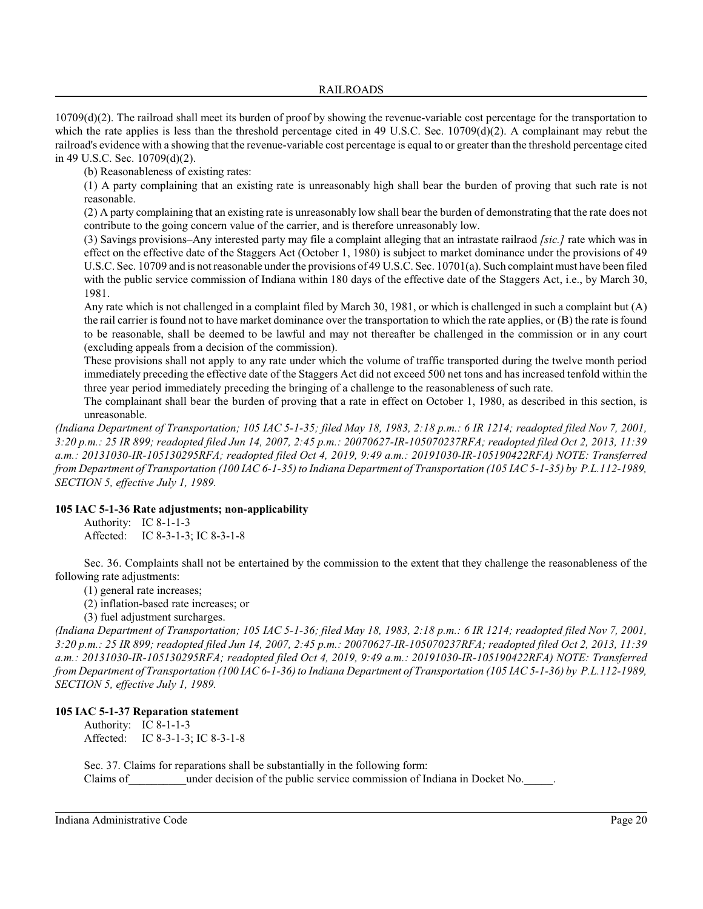# RAILROADS

10709(d)(2). The railroad shall meet its burden of proof by showing the revenue-variable cost percentage for the transportation to which the rate applies is less than the threshold percentage cited in 49 U.S.C. Sec. 10709(d)(2). A complainant may rebut the railroad's evidence with a showing that the revenue-variable cost percentage is equal to or greater than the threshold percentage cited in 49 U.S.C. Sec. 10709(d)(2).

(b) Reasonableness of existing rates:

(1) A party complaining that an existing rate is unreasonably high shall bear the burden of proving that such rate is not reasonable.

(2) A party complaining that an existing rate is unreasonably low shall bear the burden of demonstrating that the rate does not contribute to the going concern value of the carrier, and is therefore unreasonably low.

(3) Savings provisions–Any interested party may file a complaint alleging that an intrastate railraod *[sic.]* rate which was in effect on the effective date of the Staggers Act (October 1, 1980) is subject to market dominance under the provisions of 49 U.S.C. Sec. 10709 and is not reasonable under the provisions of 49 U.S.C. Sec. 10701(a). Such complaint must have been filed with the public service commission of Indiana within 180 days of the effective date of the Staggers Act, i.e., by March 30, 1981.

Any rate which is not challenged in a complaint filed by March 30, 1981, or which is challenged in such a complaint but (A) the rail carrier is found not to have market dominance over the transportation to which the rate applies, or (B) the rate is found to be reasonable, shall be deemed to be lawful and may not thereafter be challenged in the commission or in any court (excluding appeals from a decision of the commission).

These provisions shall not apply to any rate under which the volume of traffic transported during the twelve month period immediately preceding the effective date of the Staggers Act did not exceed 500 net tons and has increased tenfold within the three year period immediately preceding the bringing of a challenge to the reasonableness of such rate.

The complainant shall bear the burden of proving that a rate in effect on October 1, 1980, as described in this section, is unreasonable.

*(Indiana Department of Transportation; 105 IAC 5-1-35; filed May 18, 1983, 2:18 p.m.: 6 IR 1214; readopted filed Nov 7, 2001, 3:20 p.m.: 25 IR 899; readopted filed Jun 14, 2007, 2:45 p.m.: 20070627-IR-105070237RFA; readopted filed Oct 2, 2013, 11:39 a.m.: 20131030-IR-105130295RFA; readopted filed Oct 4, 2019, 9:49 a.m.: 20191030-IR-105190422RFA) NOTE: Transferred from Department of Transportation (100 IAC 6-1-35) to Indiana Department of Transportation (105 IAC 5-1-35) by P.L.112-1989, SECTION 5, effective July 1, 1989.*

# **105 IAC 5-1-36 Rate adjustments; non-applicability**

Authority: IC 8-1-1-3 Affected: IC 8-3-1-3; IC 8-3-1-8

Sec. 36. Complaints shall not be entertained by the commission to the extent that they challenge the reasonableness of the following rate adjustments:

(1) general rate increases;

(2) inflation-based rate increases; or

(3) fuel adjustment surcharges.

*(Indiana Department of Transportation; 105 IAC 5-1-36; filed May 18, 1983, 2:18 p.m.: 6 IR 1214; readopted filed Nov 7, 2001, 3:20 p.m.: 25 IR 899; readopted filed Jun 14, 2007, 2:45 p.m.: 20070627-IR-105070237RFA; readopted filed Oct 2, 2013, 11:39 a.m.: 20131030-IR-105130295RFA; readopted filed Oct 4, 2019, 9:49 a.m.: 20191030-IR-105190422RFA) NOTE: Transferred from Department of Transportation (100 IAC 6-1-36) to Indiana Department of Transportation (105 IAC 5-1-36) by P.L.112-1989, SECTION 5, effective July 1, 1989.*

# **105 IAC 5-1-37 Reparation statement**

Authority: IC 8-1-1-3 Affected: IC 8-3-1-3; IC 8-3-1-8

Sec. 37. Claims for reparations shall be substantially in the following form: Claims of the public service commission of Indiana in Docket No.  $\Box$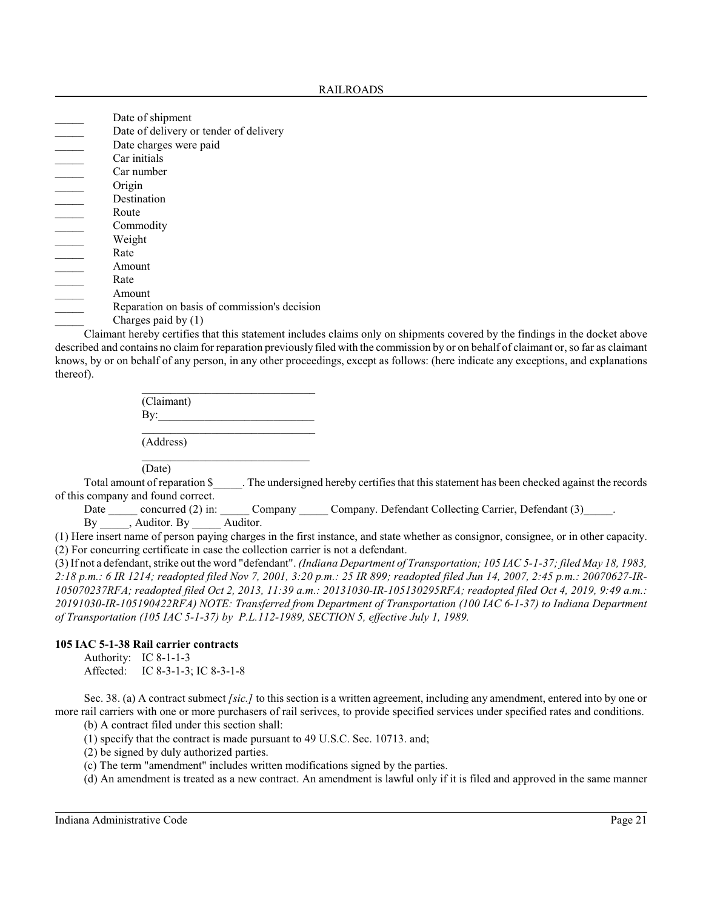| Date of shipment                             |
|----------------------------------------------|
| Date of delivery or tender of delivery       |
| Date charges were paid                       |
| Car initials                                 |
| Car number                                   |
| Origin                                       |
| Destination                                  |
| Route                                        |
| Commodity                                    |
| Weight                                       |
| Rate                                         |
| Amount                                       |
|                                              |
| Rate                                         |
| Amount                                       |
| Reparation on basis of commission's decision |
| Charges paid by $(1)$<br>.                   |

Claimant hereby certifies that this statement includes claims only on shipments covered by the findings in the docket above described and contains no claim for reparation previously filed with the commission by or on behalf of claimant or, so far as claimant knows, by or on behalf of any person, in any other proceedings, except as follows: (here indicate any exceptions, and explanations thereof).

| (Claimant) |  |  |
|------------|--|--|
| By:        |  |  |
|            |  |  |
| (Address)  |  |  |

Total amount of reparation \$ The undersigned hereby certifies that this statement has been checked against the records of this company and found correct.

Date \_\_\_\_\_ concurred (2) in: \_\_\_\_\_ Company \_\_\_\_\_ Company. Defendant Collecting Carrier, Defendant (3)\_\_\_\_\_. By \_\_\_\_\_, Auditor. By \_\_\_\_\_\_ Auditor.

(1) Here insert name of person paying charges in the first instance, and state whether as consignor, consignee, or in other capacity. (2) For concurring certificate in case the collection carrier is not a defendant.

(3) If not a defendant, strike out the word "defendant". *(Indiana Department of Transportation; 105 IAC 5-1-37; filed May 18, 1983, 2:18 p.m.: 6 IR 1214; readopted filed Nov 7, 2001, 3:20 p.m.: 25 IR 899; readopted filed Jun 14, 2007, 2:45 p.m.: 20070627-IR-105070237RFA; readopted filed Oct 2, 2013, 11:39 a.m.: 20131030-IR-105130295RFA; readopted filed Oct 4, 2019, 9:49 a.m.: 20191030-IR-105190422RFA) NOTE: Transferred from Department of Transportation (100 IAC 6-1-37) to Indiana Department of Transportation (105 IAC 5-1-37) by P.L.112-1989, SECTION 5, effective July 1, 1989.*

# **105 IAC 5-1-38 Rail carrier contracts**

Authority: IC 8-1-1-3

Affected: IC 8-3-1-3; IC 8-3-1-8

Sec. 38. (a) A contract submect *[sic.]* to this section is a written agreement, including any amendment, entered into by one or more rail carriers with one or more purchasers of rail serivces, to provide specified services under specified rates and conditions.

(b) A contract filed under this section shall:

- (1) specify that the contract is made pursuant to 49 U.S.C. Sec. 10713. and;
- (2) be signed by duly authorized parties.
- (c) The term "amendment" includes written modifications signed by the parties.

(d) An amendment is treated as a new contract. An amendment is lawful only if it is filed and approved in the same manner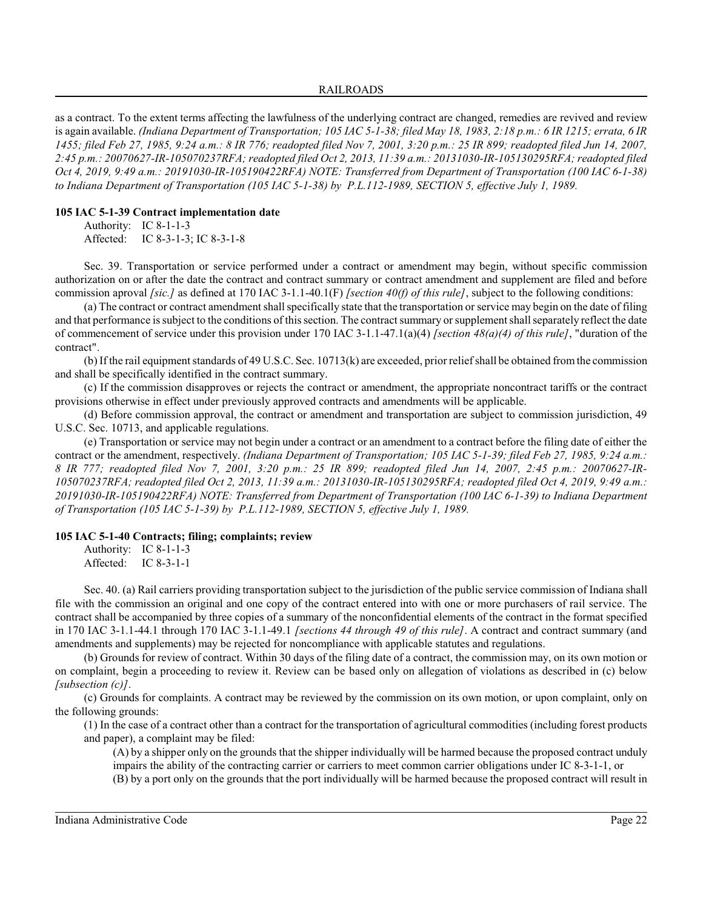#### RAILROADS

as a contract. To the extent terms affecting the lawfulness of the underlying contract are changed, remedies are revived and review is again available. *(Indiana Department of Transportation; 105 IAC 5-1-38; filed May 18, 1983, 2:18 p.m.: 6 IR 1215; errata, 6 IR 1455; filed Feb 27, 1985, 9:24 a.m.: 8 IR 776; readopted filed Nov 7, 2001, 3:20 p.m.: 25 IR 899; readopted filed Jun 14, 2007, 2:45 p.m.: 20070627-IR-105070237RFA; readopted filed Oct 2, 2013, 11:39 a.m.: 20131030-IR-105130295RFA; readopted filed Oct 4, 2019, 9:49 a.m.: 20191030-IR-105190422RFA) NOTE: Transferred from Department of Transportation (100 IAC 6-1-38) to Indiana Department of Transportation (105 IAC 5-1-38) by P.L.112-1989, SECTION 5, effective July 1, 1989.*

## **105 IAC 5-1-39 Contract implementation date**

Authority: IC 8-1-1-3 Affected: IC 8-3-1-3; IC 8-3-1-8

Sec. 39. Transportation or service performed under a contract or amendment may begin, without specific commission authorization on or after the date the contract and contract summary or contract amendment and supplement are filed and before commission aproval *[sic.]* as defined at 170 IAC 3-1.1-40.1(F) *[section 40(f) of this rule]*, subject to the following conditions:

(a) The contract or contract amendment shall specifically state that the transportation or service may begin on the date of filing and that performance is subject to the conditions of thissection. The contract summary orsupplement shall separately reflect the date of commencement of service under this provision under 170 IAC 3-1.1-47.1(a)(4) *[section 48(a)(4) of this rule]*, "duration of the contract".

(b) If the rail equipment standards of 49 U.S.C. Sec. 10713(k) are exceeded, prior relief shall be obtained fromthe commission and shall be specifically identified in the contract summary.

(c) If the commission disapproves or rejects the contract or amendment, the appropriate noncontract tariffs or the contract provisions otherwise in effect under previously approved contracts and amendments will be applicable.

(d) Before commission approval, the contract or amendment and transportation are subject to commission jurisdiction, 49 U.S.C. Sec. 10713, and applicable regulations.

(e) Transportation or service may not begin under a contract or an amendment to a contract before the filing date of either the contract or the amendment, respectively. *(Indiana Department of Transportation; 105 IAC 5-1-39; filed Feb 27, 1985, 9:24 a.m.: 8 IR 777; readopted filed Nov 7, 2001, 3:20 p.m.: 25 IR 899; readopted filed Jun 14, 2007, 2:45 p.m.: 20070627-IR-105070237RFA; readopted filed Oct 2, 2013, 11:39 a.m.: 20131030-IR-105130295RFA; readopted filed Oct 4, 2019, 9:49 a.m.: 20191030-IR-105190422RFA) NOTE: Transferred from Department of Transportation (100 IAC 6-1-39) to Indiana Department of Transportation (105 IAC 5-1-39) by P.L.112-1989, SECTION 5, effective July 1, 1989.*

# **105 IAC 5-1-40 Contracts; filing; complaints; review**

| Authority: | IC 8-1-1-3   |
|------------|--------------|
| Affected:  | IC $8-3-1-1$ |

Sec. 40. (a) Rail carriers providing transportation subject to the jurisdiction of the public service commission of Indiana shall file with the commission an original and one copy of the contract entered into with one or more purchasers of rail service. The contract shall be accompanied by three copies of a summary of the nonconfidential elements of the contract in the format specified in 170 IAC 3-1.1-44.1 through 170 IAC 3-1.1-49.1 *[sections 44 through 49 of this rule]*. A contract and contract summary (and amendments and supplements) may be rejected for noncompliance with applicable statutes and regulations.

(b) Grounds for review of contract. Within 30 days of the filing date of a contract, the commission may, on its own motion or on complaint, begin a proceeding to review it. Review can be based only on allegation of violations as described in (c) below *[subsection (c)]*.

(c) Grounds for complaints. A contract may be reviewed by the commission on its own motion, or upon complaint, only on the following grounds:

(1) In the case of a contract other than a contract for the transportation of agricultural commodities (including forest products and paper), a complaint may be filed:

(A) by a shipper only on the grounds that the shipper individually will be harmed because the proposed contract unduly impairs the ability of the contracting carrier or carriers to meet common carrier obligations under IC 8-3-1-1, or

(B) by a port only on the grounds that the port individually will be harmed because the proposed contract will result in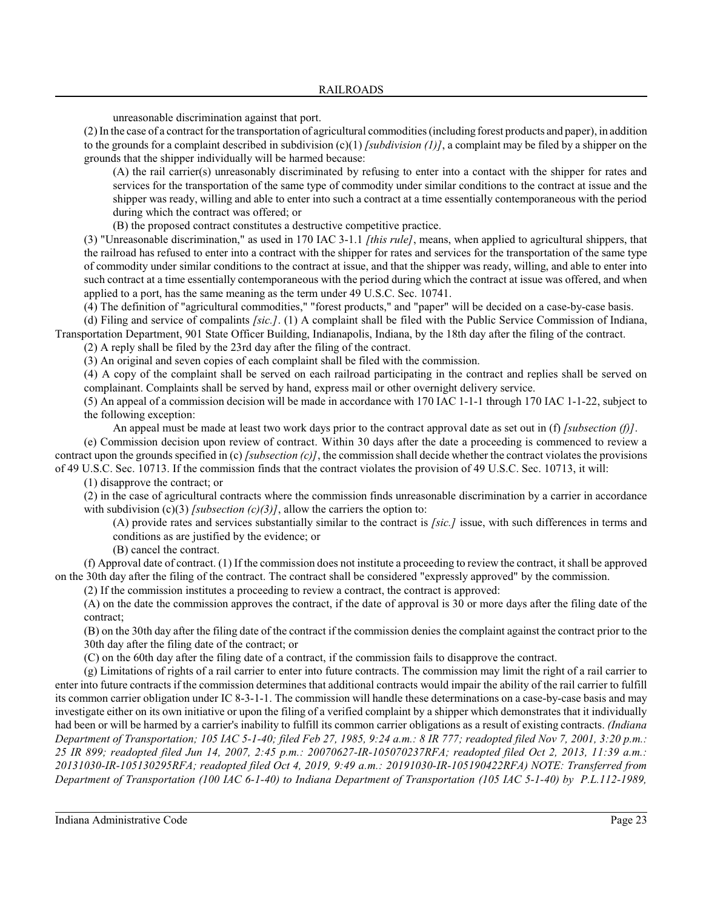unreasonable discrimination against that port.

(2) In the case of a contract for the transportation of agricultural commodities (including forest products and paper), in addition to the grounds for a complaint described in subdivision  $(c)(1)$  *[subdivision (1)]*, a complaint may be filed by a shipper on the grounds that the shipper individually will be harmed because:

(A) the rail carrier(s) unreasonably discriminated by refusing to enter into a contact with the shipper for rates and services for the transportation of the same type of commodity under similar conditions to the contract at issue and the shipper was ready, willing and able to enter into such a contract at a time essentially contemporaneous with the period during which the contract was offered; or

(B) the proposed contract constitutes a destructive competitive practice.

(3) "Unreasonable discrimination," as used in 170 IAC 3-1.1 *[this rule]*, means, when applied to agricultural shippers, that the railroad has refused to enter into a contract with the shipper for rates and services for the transportation of the same type of commodity under similar conditions to the contract at issue, and that the shipper was ready, willing, and able to enter into such contract at a time essentially contemporaneous with the period during which the contract at issue was offered, and when applied to a port, has the same meaning as the term under 49 U.S.C. Sec. 10741.

(4) The definition of "agricultural commodities," "forest products," and "paper" will be decided on a case-by-case basis.

(d) Filing and service of compalints *[sic.]*. (1) A complaint shall be filed with the Public Service Commission of Indiana, Transportation Department, 901 State Officer Building, Indianapolis, Indiana, by the 18th day after the filing of the contract.

(2) A reply shall be filed by the 23rd day after the filing of the contract.

(3) An original and seven copies of each complaint shall be filed with the commission.

(4) A copy of the complaint shall be served on each railroad participating in the contract and replies shall be served on complainant. Complaints shall be served by hand, express mail or other overnight delivery service.

(5) An appeal of a commission decision will be made in accordance with 170 IAC 1-1-1 through 170 IAC 1-1-22, subject to the following exception:

An appeal must be made at least two work days prior to the contract approval date as set out in (f) *[subsection (f)]*.

(e) Commission decision upon review of contract. Within 30 days after the date a proceeding is commenced to review a contract upon the grounds specified in (c) *[subsection (c)]*, the commission shall decide whether the contract violates the provisions of 49 U.S.C. Sec. 10713. If the commission finds that the contract violates the provision of 49 U.S.C. Sec. 10713, it will:

(1) disapprove the contract; or

(2) in the case of agricultural contracts where the commission finds unreasonable discrimination by a carrier in accordance with subdivision (c)(3) *[subsection (c)(3)]*, allow the carriers the option to:

(A) provide rates and services substantially similar to the contract is *[sic.]* issue, with such differences in terms and conditions as are justified by the evidence; or

(B) cancel the contract.

(f) Approval date of contract. (1) If the commission does not institute a proceeding to review the contract, it shall be approved on the 30th day after the filing of the contract. The contract shall be considered "expressly approved" by the commission.

(2) If the commission institutes a proceeding to review a contract, the contract is approved:

(A) on the date the commission approves the contract, if the date of approval is 30 or more days after the filing date of the contract;

(B) on the 30th day after the filing date of the contract if the commission denies the complaint against the contract prior to the 30th day after the filing date of the contract; or

(C) on the 60th day after the filing date of a contract, if the commission fails to disapprove the contract.

(g) Limitations of rights of a rail carrier to enter into future contracts. The commission may limit the right of a rail carrier to enter into future contracts if the commission determines that additional contracts would impair the ability of the rail carrier to fulfill its common carrier obligation under IC 8-3-1-1. The commission will handle these determinations on a case-by-case basis and may investigate either on its own initiative or upon the filing of a verified complaint by a shipper which demonstrates that it individually had been or will be harmed by a carrier's inability to fulfill its common carrier obligations as a result of existing contracts. *(Indiana Department of Transportation; 105 IAC 5-1-40; filed Feb 27, 1985, 9:24 a.m.: 8 IR 777; readopted filed Nov 7, 2001, 3:20 p.m.: 25 IR 899; readopted filed Jun 14, 2007, 2:45 p.m.: 20070627-IR-105070237RFA; readopted filed Oct 2, 2013, 11:39 a.m.: 20131030-IR-105130295RFA; readopted filed Oct 4, 2019, 9:49 a.m.: 20191030-IR-105190422RFA) NOTE: Transferred from Department of Transportation (100 IAC 6-1-40) to Indiana Department of Transportation (105 IAC 5-1-40) by P.L.112-1989,*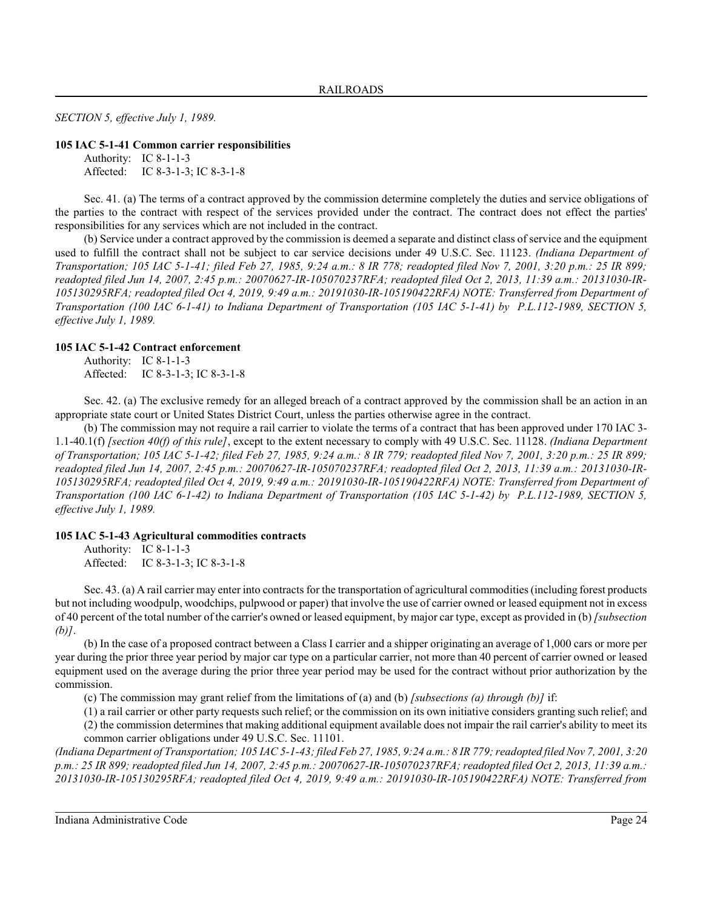*SECTION 5, effective July 1, 1989.*

#### **105 IAC 5-1-41 Common carrier responsibilities**

Authority: IC 8-1-1-3 Affected: IC 8-3-1-3; IC 8-3-1-8

Sec. 41. (a) The terms of a contract approved by the commission determine completely the duties and service obligations of the parties to the contract with respect of the services provided under the contract. The contract does not effect the parties' responsibilities for any services which are not included in the contract.

(b) Service under a contract approved by the commission is deemed a separate and distinct class of service and the equipment used to fulfill the contract shall not be subject to car service decisions under 49 U.S.C. Sec. 11123. *(Indiana Department of Transportation; 105 IAC 5-1-41; filed Feb 27, 1985, 9:24 a.m.: 8 IR 778; readopted filed Nov 7, 2001, 3:20 p.m.: 25 IR 899; readopted filed Jun 14, 2007, 2:45 p.m.: 20070627-IR-105070237RFA; readopted filed Oct 2, 2013, 11:39 a.m.: 20131030-IR-105130295RFA; readopted filed Oct 4, 2019, 9:49 a.m.: 20191030-IR-105190422RFA) NOTE: Transferred from Department of Transportation (100 IAC 6-1-41) to Indiana Department of Transportation (105 IAC 5-1-41) by P.L.112-1989, SECTION 5, effective July 1, 1989.*

# **105 IAC 5-1-42 Contract enforcement**

Authority: IC 8-1-1-3 Affected: IC 8-3-1-3; IC 8-3-1-8

Sec. 42. (a) The exclusive remedy for an alleged breach of a contract approved by the commission shall be an action in an appropriate state court or United States District Court, unless the parties otherwise agree in the contract.

(b) The commission may not require a rail carrier to violate the terms of a contract that has been approved under 170 IAC 3- 1.1-40.1(f) *[section 40(f) of this rule]*, except to the extent necessary to comply with 49 U.S.C. Sec. 11128. *(Indiana Department of Transportation; 105 IAC 5-1-42; filed Feb 27, 1985, 9:24 a.m.: 8 IR 779; readopted filed Nov 7, 2001, 3:20 p.m.: 25 IR 899; readopted filed Jun 14, 2007, 2:45 p.m.: 20070627-IR-105070237RFA; readopted filed Oct 2, 2013, 11:39 a.m.: 20131030-IR-105130295RFA; readopted filed Oct 4, 2019, 9:49 a.m.: 20191030-IR-105190422RFA) NOTE: Transferred from Department of Transportation (100 IAC 6-1-42) to Indiana Department of Transportation (105 IAC 5-1-42) by P.L.112-1989, SECTION 5, effective July 1, 1989.*

# **105 IAC 5-1-43 Agricultural commodities contracts**

Authority: IC 8-1-1-3 Affected: IC 8-3-1-3; IC 8-3-1-8

Sec. 43. (a) A rail carrier may enter into contracts for the transportation of agricultural commodities (including forest products but not including woodpulp, woodchips, pulpwood or paper) that involve the use of carrier owned or leased equipment not in excess of 40 percent of the total number of the carrier's owned or leased equipment, by major car type, except as provided in (b) *[subsection (b)]*.

(b) In the case of a proposed contract between a Class I carrier and a shipper originating an average of 1,000 cars or more per year during the prior three year period by major car type on a particular carrier, not more than 40 percent of carrier owned or leased equipment used on the average during the prior three year period may be used for the contract without prior authorization by the commission.

(c) The commission may grant relief from the limitations of (a) and (b) *[subsections (a) through (b)]* if:

(1) a rail carrier or other party requestssuch relief; or the commission on its own initiative considers granting such relief; and (2) the commission determines that making additional equipment available does not impair the rail carrier's ability to meet its common carrier obligations under 49 U.S.C. Sec. 11101.

*(Indiana Department of Transportation; 105 IAC 5-1-43; filed Feb 27, 1985, 9:24 a.m.: 8 IR 779;readopted filed Nov 7, 2001, 3:20 p.m.: 25 IR 899; readopted filed Jun 14, 2007, 2:45 p.m.: 20070627-IR-105070237RFA; readopted filed Oct 2, 2013, 11:39 a.m.: 20131030-IR-105130295RFA; readopted filed Oct 4, 2019, 9:49 a.m.: 20191030-IR-105190422RFA) NOTE: Transferred from*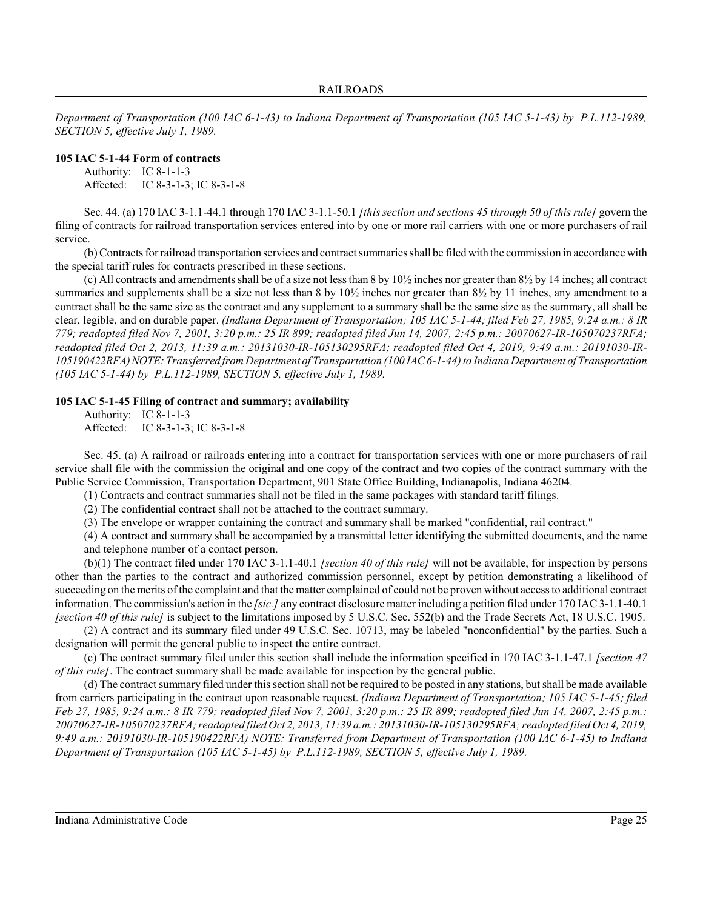*Department of Transportation (100 IAC 6-1-43) to Indiana Department of Transportation (105 IAC 5-1-43) by P.L.112-1989, SECTION 5, effective July 1, 1989.*

# **105 IAC 5-1-44 Form of contracts**

Authority: IC 8-1-1-3 Affected: IC 8-3-1-3; IC 8-3-1-8

Sec. 44. (a) 170 IAC 3-1.1-44.1 through 170 IAC 3-1.1-50.1 *[this section and sections 45 through 50 of this rule]* govern the filing of contracts for railroad transportation services entered into by one or more rail carriers with one or more purchasers of rail service.

(b) Contracts for railroad transportation services and contract summaries shall be filed with the commission in accordance with the special tariff rules for contracts prescribed in these sections.

(c) All contracts and amendments shall be of a size not less than 8 by  $10\frac{1}{2}$  inches nor greater than  $8\frac{1}{2}$  by 14 inches; all contract summaries and supplements shall be a size not less than 8 by  $10\frac{1}{2}$  inches nor greater than  $8\frac{1}{2}$  by 11 inches, any amendment to a contract shall be the same size as the contract and any supplement to a summary shall be the same size as the summary, all shall be clear, legible, and on durable paper. *(Indiana Department of Transportation; 105 IAC 5-1-44; filed Feb 27, 1985, 9:24 a.m.: 8 IR 779; readopted filed Nov 7, 2001, 3:20 p.m.: 25 IR 899; readopted filed Jun 14, 2007, 2:45 p.m.: 20070627-IR-105070237RFA; readopted filed Oct 2, 2013, 11:39 a.m.: 20131030-IR-105130295RFA; readopted filed Oct 4, 2019, 9:49 a.m.: 20191030-IR-105190422RFA)NOTE: Transferred from Department of Transportation (100 IAC 6-1-44) to Indiana Department of Transportation (105 IAC 5-1-44) by P.L.112-1989, SECTION 5, effective July 1, 1989.*

#### **105 IAC 5-1-45 Filing of contract and summary; availability**

Authority: IC 8-1-1-3 Affected: IC 8-3-1-3; IC 8-3-1-8

Sec. 45. (a) A railroad or railroads entering into a contract for transportation services with one or more purchasers of rail service shall file with the commission the original and one copy of the contract and two copies of the contract summary with the Public Service Commission, Transportation Department, 901 State Office Building, Indianapolis, Indiana 46204.

(1) Contracts and contract summaries shall not be filed in the same packages with standard tariff filings.

(2) The confidential contract shall not be attached to the contract summary.

(3) The envelope or wrapper containing the contract and summary shall be marked "confidential, rail contract."

(4) A contract and summary shall be accompanied by a transmittal letter identifying the submitted documents, and the name and telephone number of a contact person.

(b)(1) The contract filed under 170 IAC 3-1.1-40.1 *[section 40 of this rule]* will not be available, for inspection by persons other than the parties to the contract and authorized commission personnel, except by petition demonstrating a likelihood of succeeding on the merits of the complaint and that the matter complained of could not be proven without access to additional contract information. The commission's action in the *[sic.]* any contract disclosure matter including a petition filed under 170 IAC3-1.1-40.1 *[section 40 of this rule]* is subject to the limitations imposed by 5 U.S.C. Sec. 552(b) and the Trade Secrets Act, 18 U.S.C. 1905.

(2) A contract and its summary filed under 49 U.S.C. Sec. 10713, may be labeled "nonconfidential" by the parties. Such a designation will permit the general public to inspect the entire contract.

(c) The contract summary filed under this section shall include the information specified in 170 IAC 3-1.1-47.1 *[section 47 of this rule]*. The contract summary shall be made available for inspection by the general public.

(d) The contract summary filed under thissection shall not be required to be posted in any stations, but shall be made available from carriers participating in the contract upon reasonable request. *(Indiana Department of Transportation; 105 IAC 5-1-45; filed Feb 27, 1985, 9:24 a.m.: 8 IR 779; readopted filed Nov 7, 2001, 3:20 p.m.: 25 IR 899; readopted filed Jun 14, 2007, 2:45 p.m.: 20070627-IR-105070237RFA; readopted filed Oct 2, 2013, 11:39 a.m.: 20131030-IR-105130295RFA; readopted filed Oct 4, 2019, 9:49 a.m.: 20191030-IR-105190422RFA) NOTE: Transferred from Department of Transportation (100 IAC 6-1-45) to Indiana Department of Transportation (105 IAC 5-1-45) by P.L.112-1989, SECTION 5, effective July 1, 1989.*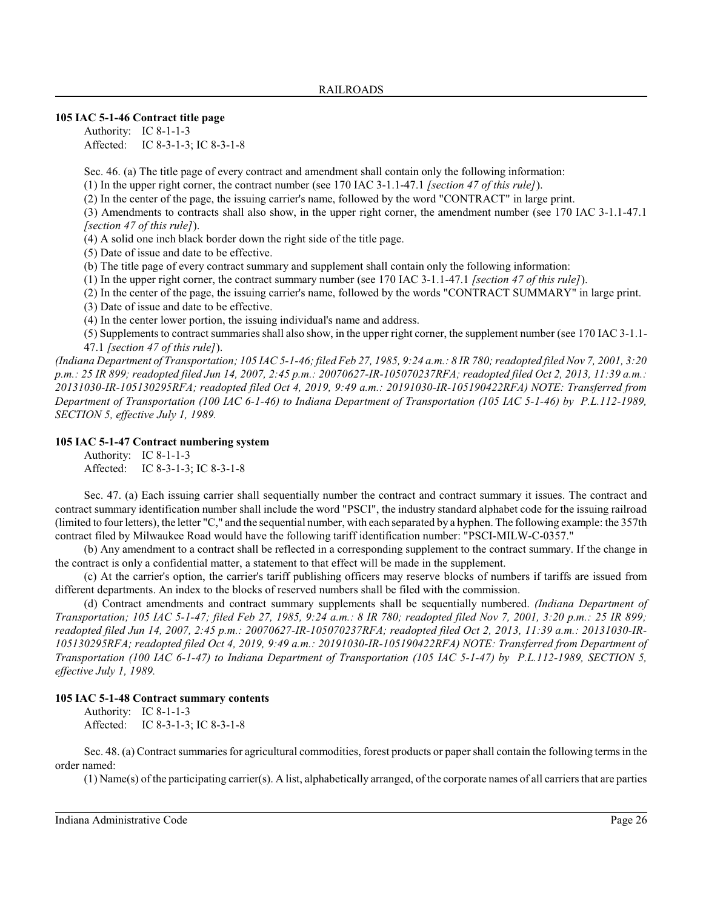### **105 IAC 5-1-46 Contract title page**

Authority: IC 8-1-1-3 Affected: IC 8-3-1-3; IC 8-3-1-8

Sec. 46. (a) The title page of every contract and amendment shall contain only the following information:

(1) In the upper right corner, the contract number (see 170 IAC 3-1.1-47.1 *[section 47 of this rule]*).

(2) In the center of the page, the issuing carrier's name, followed by the word "CONTRACT" in large print.

(3) Amendments to contracts shall also show, in the upper right corner, the amendment number (see 170 IAC 3-1.1-47.1 *[section 47 of this rule]*).

(4) A solid one inch black border down the right side of the title page.

(5) Date of issue and date to be effective.

(b) The title page of every contract summary and supplement shall contain only the following information:

(1) In the upper right corner, the contract summary number (see 170 IAC 3-1.1-47.1 *[section 47 of this rule]*).

(2) In the center of the page, the issuing carrier's name, followed by the words "CONTRACT SUMMARY" in large print.

(3) Date of issue and date to be effective.

(4) In the center lower portion, the issuing individual's name and address.

(5) Supplements to contract summaries shall also show, in the upper right corner, the supplement number (see 170 IAC 3-1.1- 47.1 *[section 47 of this rule]*).

*(Indiana Department of Transportation; 105 IAC 5-1-46; filed Feb 27, 1985, 9:24 a.m.: 8 IR 780; readopted filed Nov 7, 2001, 3:20 p.m.: 25 IR 899; readopted filed Jun 14, 2007, 2:45 p.m.: 20070627-IR-105070237RFA; readopted filed Oct 2, 2013, 11:39 a.m.: 20131030-IR-105130295RFA; readopted filed Oct 4, 2019, 9:49 a.m.: 20191030-IR-105190422RFA) NOTE: Transferred from Department of Transportation (100 IAC 6-1-46) to Indiana Department of Transportation (105 IAC 5-1-46) by P.L.112-1989, SECTION 5, effective July 1, 1989.*

# **105 IAC 5-1-47 Contract numbering system**

Authority: IC 8-1-1-3 Affected: IC 8-3-1-3; IC 8-3-1-8

Sec. 47. (a) Each issuing carrier shall sequentially number the contract and contract summary it issues. The contract and contract summary identification number shall include the word "PSCI", the industry standard alphabet code for the issuing railroad (limited to four letters), the letter "C," and the sequential number, with each separated by a hyphen. The following example: the 357th contract filed by Milwaukee Road would have the following tariff identification number: "PSCI-MILW-C-0357."

(b) Any amendment to a contract shall be reflected in a corresponding supplement to the contract summary. If the change in the contract is only a confidential matter, a statement to that effect will be made in the supplement.

(c) At the carrier's option, the carrier's tariff publishing officers may reserve blocks of numbers if tariffs are issued from different departments. An index to the blocks of reserved numbers shall be filed with the commission.

(d) Contract amendments and contract summary supplements shall be sequentially numbered. *(Indiana Department of Transportation; 105 IAC 5-1-47; filed Feb 27, 1985, 9:24 a.m.: 8 IR 780; readopted filed Nov 7, 2001, 3:20 p.m.: 25 IR 899; readopted filed Jun 14, 2007, 2:45 p.m.: 20070627-IR-105070237RFA; readopted filed Oct 2, 2013, 11:39 a.m.: 20131030-IR-105130295RFA; readopted filed Oct 4, 2019, 9:49 a.m.: 20191030-IR-105190422RFA) NOTE: Transferred from Department of Transportation (100 IAC 6-1-47) to Indiana Department of Transportation (105 IAC 5-1-47) by P.L.112-1989, SECTION 5, effective July 1, 1989.*

# **105 IAC 5-1-48 Contract summary contents**

Authority: IC 8-1-1-3 Affected: IC 8-3-1-3; IC 8-3-1-8

Sec. 48. (a) Contract summaries for agricultural commodities, forest products or paper shall contain the following terms in the order named:

(1) Name(s) of the participating carrier(s). A list, alphabetically arranged, of the corporate names of all carriers that are parties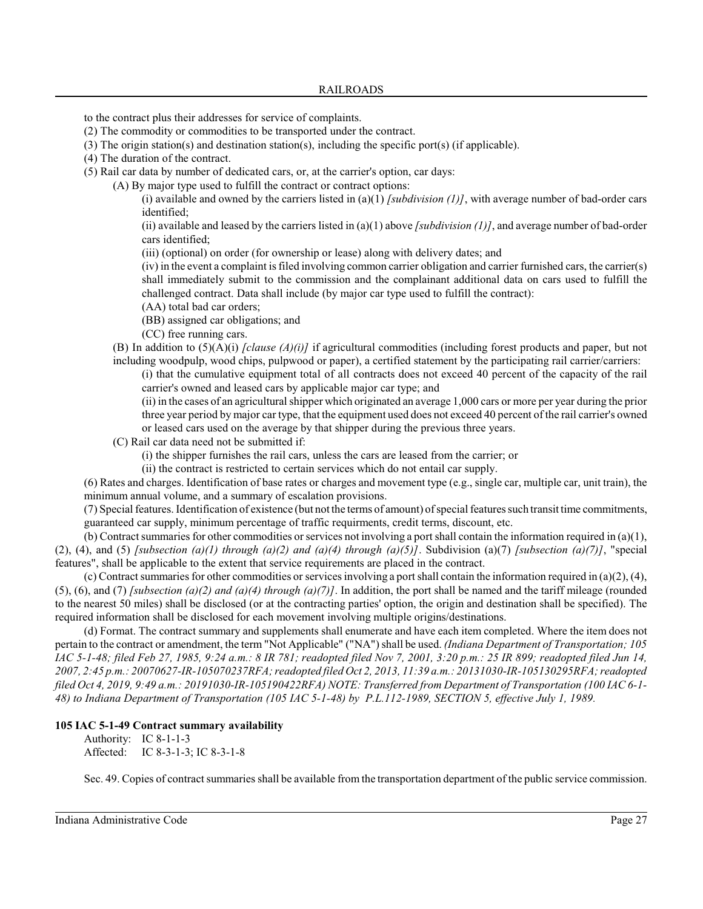to the contract plus their addresses for service of complaints.

- (2) The commodity or commodities to be transported under the contract.
- (3) The origin station(s) and destination station(s), including the specific port(s) (if applicable).
- (4) The duration of the contract.
- (5) Rail car data by number of dedicated cars, or, at the carrier's option, car days:
	- (A) By major type used to fulfill the contract or contract options:

(i) available and owned by the carriers listed in (a)(1) *[subdivision (1)*], with average number of bad-order cars identified;

(ii) available and leased by the carriers listed in (a)(1) above *[subdivision (1)]*, and average number of bad-order cars identified;

(iii) (optional) on order (for ownership or lease) along with delivery dates; and

(iv) in the event a complaint is filed involving common carrier obligation and carrier furnished cars, the carrier(s) shall immediately submit to the commission and the complainant additional data on cars used to fulfill the challenged contract. Data shall include (by major car type used to fulfill the contract):

- (AA) total bad car orders;
- (BB) assigned car obligations; and
- (CC) free running cars.

(B) In addition to (5)(A)(i) *[clause (A)(i)]* if agricultural commodities (including forest products and paper, but not including woodpulp, wood chips, pulpwood or paper), a certified statement by the participating rail carrier/carriers:

(i) that the cumulative equipment total of all contracts does not exceed 40 percent of the capacity of the rail carrier's owned and leased cars by applicable major car type; and

(ii) in the cases of an agricultural shipper which originated an average 1,000 cars or more per year during the prior three year period by major car type, that the equipment used does not exceed 40 percent of the rail carrier's owned or leased cars used on the average by that shipper during the previous three years.

(C) Rail car data need not be submitted if:

(i) the shipper furnishes the rail cars, unless the cars are leased from the carrier; or

(ii) the contract is restricted to certain services which do not entail car supply.

(6) Rates and charges. Identification of base rates or charges and movement type (e.g., single car, multiple car, unit train), the minimum annual volume, and a summary of escalation provisions.

(7) Special features. Identification of existence (but not the terms of amount) of special features such transit time commitments, guaranteed car supply, minimum percentage of traffic requirments, credit terms, discount, etc.

(b) Contract summaries for other commodities or services not involving a port shall contain the information required in  $(a)(1)$ , (2), (4), and (5) *[subsection (a)(1) through (a)(2) and (a)(4) through (a)(5)]*. Subdivision (a)(7) *[subsection (a)(7)]*, "special features", shall be applicable to the extent that service requirements are placed in the contract.

(c) Contract summaries for other commodities or services involving a port shall contain the information required in (a)(2), (4), (5), (6), and (7) *[subsection (a)(2) and (a)(4) through (a)(7)*]. In addition, the port shall be named and the tariff mileage (rounded to the nearest 50 miles) shall be disclosed (or at the contracting parties' option, the origin and destination shall be specified). The required information shall be disclosed for each movement involving multiple origins/destinations.

(d) Format. The contract summary and supplements shall enumerate and have each item completed. Where the item does not pertain to the contract or amendment, the term "Not Applicable" ("NA") shall be used. *(Indiana Department of Transportation; 105 IAC 5-1-48; filed Feb 27, 1985, 9:24 a.m.: 8 IR 781; readopted filed Nov 7, 2001, 3:20 p.m.: 25 IR 899; readopted filed Jun 14, 2007, 2:45 p.m.: 20070627-IR-105070237RFA; readopted filed Oct 2, 2013, 11:39 a.m.: 20131030-IR-105130295RFA; readopted filed Oct 4, 2019, 9:49 a.m.: 20191030-IR-105190422RFA) NOTE: Transferred from Department of Transportation (100 IAC 6-1- 48) to Indiana Department of Transportation (105 IAC 5-1-48) by P.L.112-1989, SECTION 5, effective July 1, 1989.*

# **105 IAC 5-1-49 Contract summary availability**

Authority: IC 8-1-1-3 Affected: IC 8-3-1-3; IC 8-3-1-8

Sec. 49. Copies of contract summaries shall be available from the transportation department of the public service commission.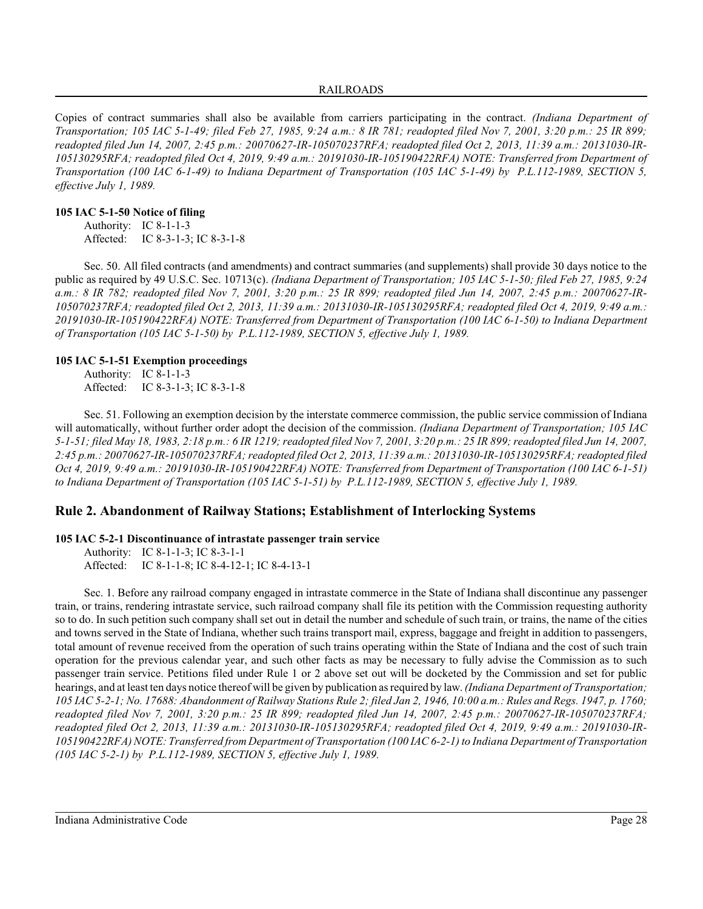### RAILROADS

Copies of contract summaries shall also be available from carriers participating in the contract. *(Indiana Department of Transportation; 105 IAC 5-1-49; filed Feb 27, 1985, 9:24 a.m.: 8 IR 781; readopted filed Nov 7, 2001, 3:20 p.m.: 25 IR 899; readopted filed Jun 14, 2007, 2:45 p.m.: 20070627-IR-105070237RFA; readopted filed Oct 2, 2013, 11:39 a.m.: 20131030-IR-105130295RFA; readopted filed Oct 4, 2019, 9:49 a.m.: 20191030-IR-105190422RFA) NOTE: Transferred from Department of Transportation (100 IAC 6-1-49) to Indiana Department of Transportation (105 IAC 5-1-49) by P.L.112-1989, SECTION 5, effective July 1, 1989.*

## **105 IAC 5-1-50 Notice of filing**

Authority: IC 8-1-1-3 Affected: IC 8-3-1-3; IC 8-3-1-8

Sec. 50. All filed contracts (and amendments) and contract summaries (and supplements) shall provide 30 days notice to the public as required by 49 U.S.C. Sec. 10713(c). *(Indiana Department of Transportation; 105 IAC 5-1-50; filed Feb 27, 1985, 9:24 a.m.: 8 IR 782; readopted filed Nov 7, 2001, 3:20 p.m.: 25 IR 899; readopted filed Jun 14, 2007, 2:45 p.m.: 20070627-IR-105070237RFA; readopted filed Oct 2, 2013, 11:39 a.m.: 20131030-IR-105130295RFA; readopted filed Oct 4, 2019, 9:49 a.m.: 20191030-IR-105190422RFA) NOTE: Transferred from Department of Transportation (100 IAC 6-1-50) to Indiana Department of Transportation (105 IAC 5-1-50) by P.L.112-1989, SECTION 5, effective July 1, 1989.*

# **105 IAC 5-1-51 Exemption proceedings**

Authority: IC 8-1-1-3 Affected: IC 8-3-1-3; IC 8-3-1-8

Sec. 51. Following an exemption decision by the interstate commerce commission, the public service commission of Indiana will automatically, without further order adopt the decision of the commission. *(Indiana Department of Transportation; 105 IAC 5-1-51; filed May 18, 1983, 2:18 p.m.: 6 IR 1219; readopted filed Nov 7, 2001, 3:20 p.m.: 25 IR 899; readopted filed Jun 14, 2007, 2:45 p.m.: 20070627-IR-105070237RFA; readopted filed Oct 2, 2013, 11:39 a.m.: 20131030-IR-105130295RFA; readopted filed Oct 4, 2019, 9:49 a.m.: 20191030-IR-105190422RFA) NOTE: Transferred from Department of Transportation (100 IAC 6-1-51) to Indiana Department of Transportation (105 IAC 5-1-51) by P.L.112-1989, SECTION 5, effective July 1, 1989.*

# **Rule 2. Abandonment of Railway Stations; Establishment of Interlocking Systems**

# **105 IAC 5-2-1 Discontinuance of intrastate passenger train service**

Authority: IC 8-1-1-3; IC 8-3-1-1 Affected: IC 8-1-1-8; IC 8-4-12-1; IC 8-4-13-1

Sec. 1. Before any railroad company engaged in intrastate commerce in the State of Indiana shall discontinue any passenger train, or trains, rendering intrastate service, such railroad company shall file its petition with the Commission requesting authority so to do. In such petition such company shall set out in detail the number and schedule of such train, or trains, the name of the cities and towns served in the State of Indiana, whether such trains transport mail, express, baggage and freight in addition to passengers, total amount of revenue received from the operation of such trains operating within the State of Indiana and the cost of such train operation for the previous calendar year, and such other facts as may be necessary to fully advise the Commission as to such passenger train service. Petitions filed under Rule 1 or 2 above set out will be docketed by the Commission and set for public hearings, and at least ten days notice thereof will be given by publication as required by law. *(Indiana Department of Transportation; 105 IAC 5-2-1; No. 17688: Abandonment of Railway Stations Rule 2; filed Jan 2, 1946, 10:00 a.m.: Rules and Regs. 1947, p. 1760; readopted filed Nov 7, 2001, 3:20 p.m.: 25 IR 899; readopted filed Jun 14, 2007, 2:45 p.m.: 20070627-IR-105070237RFA; readopted filed Oct 2, 2013, 11:39 a.m.: 20131030-IR-105130295RFA; readopted filed Oct 4, 2019, 9:49 a.m.: 20191030-IR-105190422RFA) NOTE: Transferred from Department of Transportation (100 IAC 6-2-1) to Indiana Department of Transportation (105 IAC 5-2-1) by P.L.112-1989, SECTION 5, effective July 1, 1989.*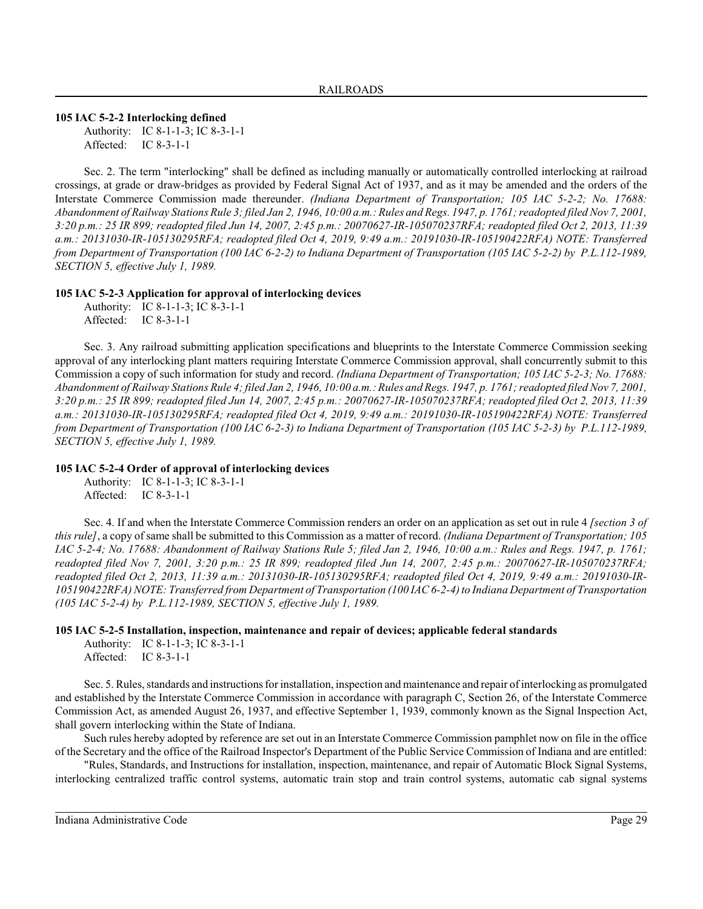**105 IAC 5-2-2 Interlocking defined**

Authority: IC 8-1-1-3; IC 8-3-1-1 Affected: IC 8-3-1-1

Sec. 2. The term "interlocking" shall be defined as including manually or automatically controlled interlocking at railroad crossings, at grade or draw-bridges as provided by Federal Signal Act of 1937, and as it may be amended and the orders of the Interstate Commerce Commission made thereunder. *(Indiana Department of Transportation; 105 IAC 5-2-2; No. 17688: Abandonment of Railway Stations Rule 3; filed Jan 2, 1946, 10:00 a.m.: Rules and Regs. 1947, p. 1761; readopted filed Nov 7, 2001, 3:20 p.m.: 25 IR 899; readopted filed Jun 14, 2007, 2:45 p.m.: 20070627-IR-105070237RFA; readopted filed Oct 2, 2013, 11:39 a.m.: 20131030-IR-105130295RFA; readopted filed Oct 4, 2019, 9:49 a.m.: 20191030-IR-105190422RFA) NOTE: Transferred from Department of Transportation (100 IAC 6-2-2) to Indiana Department of Transportation (105 IAC 5-2-2) by P.L.112-1989, SECTION 5, effective July 1, 1989.*

# **105 IAC 5-2-3 Application for approval of interlocking devices**

Authority: IC 8-1-1-3; IC 8-3-1-1 Affected: IC 8-3-1-1

Sec. 3. Any railroad submitting application specifications and blueprints to the Interstate Commerce Commission seeking approval of any interlocking plant matters requiring Interstate Commerce Commission approval, shall concurrently submit to this Commission a copy of such information for study and record. *(Indiana Department of Transportation; 105 IAC 5-2-3; No. 17688: Abandonment of Railway Stations Rule 4; filed Jan 2, 1946, 10:00 a.m.: Rules and Regs. 1947, p. 1761; readopted filed Nov 7, 2001, 3:20 p.m.: 25 IR 899; readopted filed Jun 14, 2007, 2:45 p.m.: 20070627-IR-105070237RFA; readopted filed Oct 2, 2013, 11:39 a.m.: 20131030-IR-105130295RFA; readopted filed Oct 4, 2019, 9:49 a.m.: 20191030-IR-105190422RFA) NOTE: Transferred from Department of Transportation (100 IAC 6-2-3) to Indiana Department of Transportation (105 IAC 5-2-3) by P.L.112-1989, SECTION 5, effective July 1, 1989.*

# **105 IAC 5-2-4 Order of approval of interlocking devices**

Authority: IC 8-1-1-3; IC 8-3-1-1 Affected: IC 8-3-1-1

Sec. 4. If and when the Interstate Commerce Commission renders an order on an application as set out in rule 4 *[section 3 of this rule]*, a copy of same shall be submitted to this Commission as a matter of record. *(Indiana Department of Transportation; 105 IAC 5-2-4; No. 17688: Abandonment of Railway Stations Rule 5; filed Jan 2, 1946, 10:00 a.m.: Rules and Regs. 1947, p. 1761; readopted filed Nov 7, 2001, 3:20 p.m.: 25 IR 899; readopted filed Jun 14, 2007, 2:45 p.m.: 20070627-IR-105070237RFA; readopted filed Oct 2, 2013, 11:39 a.m.: 20131030-IR-105130295RFA; readopted filed Oct 4, 2019, 9:49 a.m.: 20191030-IR-105190422RFA) NOTE: Transferred from Department of Transportation (100 IAC 6-2-4) to Indiana Department of Transportation (105 IAC 5-2-4) by P.L.112-1989, SECTION 5, effective July 1, 1989.*

# **105 IAC 5-2-5 Installation, inspection, maintenance and repair of devices; applicable federal standards**

Authority: IC 8-1-1-3; IC 8-3-1-1 Affected: IC 8-3-1-1

Sec. 5. Rules, standards and instructions for installation, inspection and maintenance and repair of interlocking as promulgated and established by the Interstate Commerce Commission in accordance with paragraph C, Section 26, of the Interstate Commerce Commission Act, as amended August 26, 1937, and effective September 1, 1939, commonly known as the Signal Inspection Act, shall govern interlocking within the State of Indiana.

Such rules hereby adopted by reference are set out in an Interstate Commerce Commission pamphlet now on file in the office of the Secretary and the office of the Railroad Inspector's Department of the Public Service Commission of Indiana and are entitled:

"Rules, Standards, and Instructions for installation, inspection, maintenance, and repair of Automatic Block Signal Systems, interlocking centralized traffic control systems, automatic train stop and train control systems, automatic cab signal systems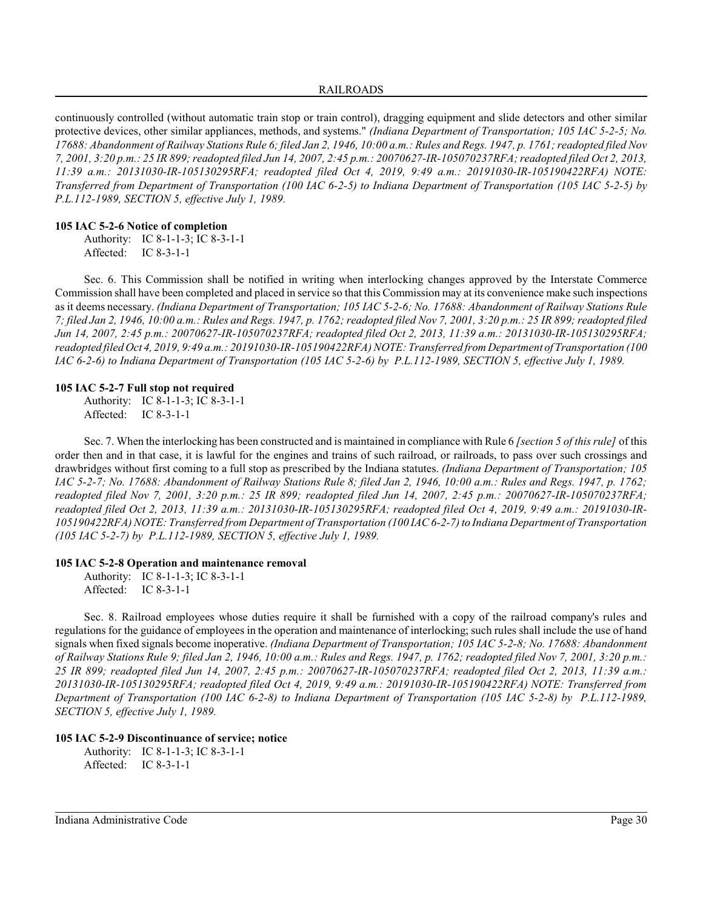continuously controlled (without automatic train stop or train control), dragging equipment and slide detectors and other similar protective devices, other similar appliances, methods, and systems." *(Indiana Department of Transportation; 105 IAC 5-2-5; No. 17688: Abandonment of Railway Stations Rule 6; filed Jan 2, 1946, 10:00 a.m.: Rules and Regs. 1947, p. 1761; readopted filed Nov 7, 2001, 3:20 p.m.: 25 IR 899;readopted filed Jun 14, 2007, 2:45 p.m.: 20070627-IR-105070237RFA; readopted filed Oct 2, 2013, 11:39 a.m.: 20131030-IR-105130295RFA; readopted filed Oct 4, 2019, 9:49 a.m.: 20191030-IR-105190422RFA) NOTE: Transferred from Department of Transportation (100 IAC 6-2-5) to Indiana Department of Transportation (105 IAC 5-2-5) by P.L.112-1989, SECTION 5, effective July 1, 1989.*

### **105 IAC 5-2-6 Notice of completion**

Authority: IC 8-1-1-3; IC 8-3-1-1 Affected: IC 8-3-1-1

Sec. 6. This Commission shall be notified in writing when interlocking changes approved by the Interstate Commerce Commission shall have been completed and placed in service so that this Commission may at its convenience make such inspections as it deems necessary. *(Indiana Department of Transportation; 105 IAC 5-2-6; No. 17688: Abandonment of Railway Stations Rule 7; filed Jan 2, 1946, 10:00 a.m.: Rules and Regs. 1947, p. 1762; readopted filed Nov 7, 2001, 3:20 p.m.: 25 IR 899; readopted filed Jun 14, 2007, 2:45 p.m.: 20070627-IR-105070237RFA; readopted filed Oct 2, 2013, 11:39 a.m.: 20131030-IR-105130295RFA; readopted filed Oct 4, 2019, 9:49 a.m.: 20191030-IR-105190422RFA) NOTE: Transferred from Department of Transportation (100 IAC 6-2-6) to Indiana Department of Transportation (105 IAC 5-2-6) by P.L.112-1989, SECTION 5, effective July 1, 1989.*

# **105 IAC 5-2-7 Full stop not required**

Authority: IC 8-1-1-3; IC 8-3-1-1 Affected: IC 8-3-1-1

Sec. 7. When the interlocking has been constructed and is maintained in compliance with Rule 6 *[section 5 of this rule]* of this order then and in that case, it is lawful for the engines and trains of such railroad, or railroads, to pass over such crossings and drawbridges without first coming to a full stop as prescribed by the Indiana statutes. *(Indiana Department of Transportation; 105 IAC 5-2-7; No. 17688: Abandonment of Railway Stations Rule 8; filed Jan 2, 1946, 10:00 a.m.: Rules and Regs. 1947, p. 1762; readopted filed Nov 7, 2001, 3:20 p.m.: 25 IR 899; readopted filed Jun 14, 2007, 2:45 p.m.: 20070627-IR-105070237RFA; readopted filed Oct 2, 2013, 11:39 a.m.: 20131030-IR-105130295RFA; readopted filed Oct 4, 2019, 9:49 a.m.: 20191030-IR-105190422RFA) NOTE: Transferred from Department of Transportation (100 IAC 6-2-7) to Indiana Department of Transportation (105 IAC 5-2-7) by P.L.112-1989, SECTION 5, effective July 1, 1989.*

#### **105 IAC 5-2-8 Operation and maintenance removal**

Authority: IC 8-1-1-3; IC 8-3-1-1 Affected: IC 8-3-1-1

Sec. 8. Railroad employees whose duties require it shall be furnished with a copy of the railroad company's rules and regulations for the guidance of employees in the operation and maintenance of interlocking; such rules shall include the use of hand signals when fixed signals become inoperative. *(Indiana Department of Transportation; 105 IAC 5-2-8; No. 17688: Abandonment of Railway Stations Rule 9; filed Jan 2, 1946, 10:00 a.m.: Rules and Regs. 1947, p. 1762; readopted filed Nov 7, 2001, 3:20 p.m.: 25 IR 899; readopted filed Jun 14, 2007, 2:45 p.m.: 20070627-IR-105070237RFA; readopted filed Oct 2, 2013, 11:39 a.m.: 20131030-IR-105130295RFA; readopted filed Oct 4, 2019, 9:49 a.m.: 20191030-IR-105190422RFA) NOTE: Transferred from Department of Transportation (100 IAC 6-2-8) to Indiana Department of Transportation (105 IAC 5-2-8) by P.L.112-1989, SECTION 5, effective July 1, 1989.*

# **105 IAC 5-2-9 Discontinuance of service; notice**

Authority: IC 8-1-1-3; IC 8-3-1-1 Affected: IC 8-3-1-1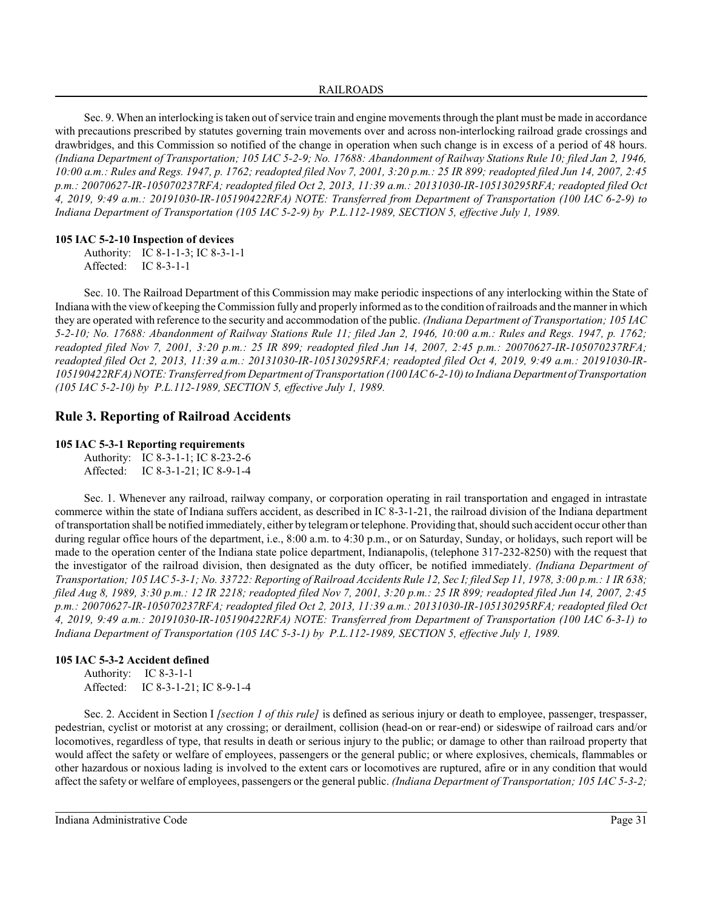### RAILROADS

Sec. 9. When an interlocking is taken out of service train and engine movements through the plant must be made in accordance with precautions prescribed by statutes governing train movements over and across non-interlocking railroad grade crossings and drawbridges, and this Commission so notified of the change in operation when such change is in excess of a period of 48 hours. *(Indiana Department of Transportation; 105 IAC 5-2-9; No. 17688: Abandonment of Railway Stations Rule 10; filed Jan 2, 1946, 10:00 a.m.: Rules and Regs. 1947, p. 1762; readopted filed Nov 7, 2001, 3:20 p.m.: 25 IR 899; readopted filed Jun 14, 2007, 2:45 p.m.: 20070627-IR-105070237RFA; readopted filed Oct 2, 2013, 11:39 a.m.: 20131030-IR-105130295RFA; readopted filed Oct 4, 2019, 9:49 a.m.: 20191030-IR-105190422RFA) NOTE: Transferred from Department of Transportation (100 IAC 6-2-9) to Indiana Department of Transportation (105 IAC 5-2-9) by P.L.112-1989, SECTION 5, effective July 1, 1989.*

# **105 IAC 5-2-10 Inspection of devices**

Authority: IC 8-1-1-3; IC 8-3-1-1 Affected: IC 8-3-1-1

Sec. 10. The Railroad Department of this Commission may make periodic inspections of any interlocking within the State of Indiana with the viewof keeping the Commission fully and properly informed as to the condition of railroads and the manner in which they are operated with reference to the security and accommodation of the public. *(Indiana Department of Transportation; 105 IAC 5-2-10; No. 17688: Abandonment of Railway Stations Rule 11; filed Jan 2, 1946, 10:00 a.m.: Rules and Regs. 1947, p. 1762; readopted filed Nov 7, 2001, 3:20 p.m.: 25 IR 899; readopted filed Jun 14, 2007, 2:45 p.m.: 20070627-IR-105070237RFA; readopted filed Oct 2, 2013, 11:39 a.m.: 20131030-IR-105130295RFA; readopted filed Oct 4, 2019, 9:49 a.m.: 20191030-IR-105190422RFA) NOTE: Transferred from Department of Transportation (100 IAC 6-2-10) to Indiana Department ofTransportation (105 IAC 5-2-10) by P.L.112-1989, SECTION 5, effective July 1, 1989.*

# **Rule 3. Reporting of Railroad Accidents**

# **105 IAC 5-3-1 Reporting requirements**

Authority: IC 8-3-1-1; IC 8-23-2-6 Affected: IC 8-3-1-21; IC 8-9-1-4

Sec. 1. Whenever any railroad, railway company, or corporation operating in rail transportation and engaged in intrastate commerce within the state of Indiana suffers accident, as described in IC 8-3-1-21, the railroad division of the Indiana department of transportation shall be notified immediately, either by telegramor telephone. Providing that, should such accident occur other than during regular office hours of the department, i.e., 8:00 a.m. to 4:30 p.m., or on Saturday, Sunday, or holidays, such report will be made to the operation center of the Indiana state police department, Indianapolis, (telephone 317-232-8250) with the request that the investigator of the railroad division, then designated as the duty officer, be notified immediately. *(Indiana Department of Transportation; 105 IAC 5-3-1; No. 33722: Reporting of Railroad Accidents Rule 12, Sec I; filed Sep 11, 1978, 3:00 p.m.: 1 IR 638; filed Aug 8, 1989, 3:30 p.m.: 12 IR 2218; readopted filed Nov 7, 2001, 3:20 p.m.: 25 IR 899; readopted filed Jun 14, 2007, 2:45 p.m.: 20070627-IR-105070237RFA; readopted filed Oct 2, 2013, 11:39 a.m.: 20131030-IR-105130295RFA; readopted filed Oct 4, 2019, 9:49 a.m.: 20191030-IR-105190422RFA) NOTE: Transferred from Department of Transportation (100 IAC 6-3-1) to Indiana Department of Transportation (105 IAC 5-3-1) by P.L.112-1989, SECTION 5, effective July 1, 1989.*

# **105 IAC 5-3-2 Accident defined**

Authority: IC 8-3-1-1 Affected: IC 8-3-1-21; IC 8-9-1-4

Sec. 2. Accident in Section I *[section 1 of this rule]* is defined as serious injury or death to employee, passenger, trespasser, pedestrian, cyclist or motorist at any crossing; or derailment, collision (head-on or rear-end) or sideswipe of railroad cars and/or locomotives, regardless of type, that results in death or serious injury to the public; or damage to other than railroad property that would affect the safety or welfare of employees, passengers or the general public; or where explosives, chemicals, flammables or other hazardous or noxious lading is involved to the extent cars or locomotives are ruptured, afire or in any condition that would affect the safety or welfare of employees, passengers or the general public. *(Indiana Department of Transportation; 105 IAC 5-3-2;*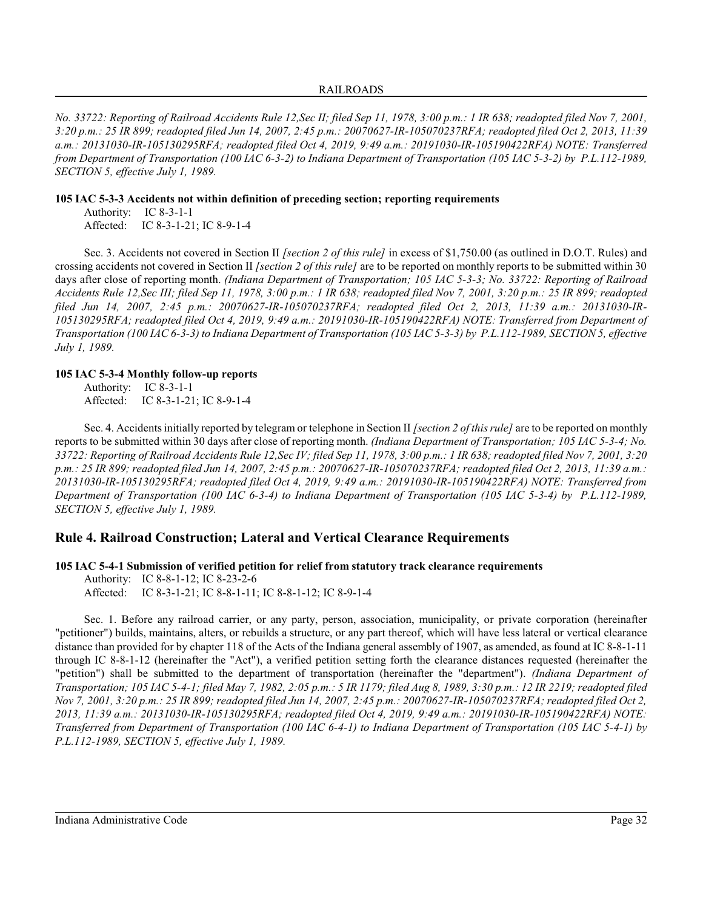*No. 33722: Reporting of Railroad Accidents Rule 12,Sec II; filed Sep 11, 1978, 3:00 p.m.: 1 IR 638; readopted filed Nov 7, 2001, 3:20 p.m.: 25 IR 899; readopted filed Jun 14, 2007, 2:45 p.m.: 20070627-IR-105070237RFA; readopted filed Oct 2, 2013, 11:39 a.m.: 20131030-IR-105130295RFA; readopted filed Oct 4, 2019, 9:49 a.m.: 20191030-IR-105190422RFA) NOTE: Transferred from Department of Transportation (100 IAC 6-3-2) to Indiana Department of Transportation (105 IAC 5-3-2) by P.L.112-1989, SECTION 5, effective July 1, 1989.*

**105 IAC 5-3-3 Accidents not within definition of preceding section; reporting requirements**

Authority: IC 8-3-1-1 Affected: IC 8-3-1-21; IC 8-9-1-4

Sec. 3. Accidents not covered in Section II *[section 2 of this rule]* in excess of \$1,750.00 (as outlined in D.O.T. Rules) and crossing accidents not covered in Section II *[section 2 of this rule]* are to be reported on monthly reports to be submitted within 30 days after close of reporting month. *(Indiana Department of Transportation; 105 IAC 5-3-3; No. 33722: Reporting of Railroad Accidents Rule 12,Sec III; filed Sep 11, 1978, 3:00 p.m.: 1 IR 638; readopted filed Nov 7, 2001, 3:20 p.m.: 25 IR 899; readopted filed Jun 14, 2007, 2:45 p.m.: 20070627-IR-105070237RFA; readopted filed Oct 2, 2013, 11:39 a.m.: 20131030-IR-105130295RFA; readopted filed Oct 4, 2019, 9:49 a.m.: 20191030-IR-105190422RFA) NOTE: Transferred from Department of Transportation (100 IAC 6-3-3) to Indiana Department of Transportation (105 IAC 5-3-3) by P.L.112-1989, SECTION 5, effective July 1, 1989.*

# **105 IAC 5-3-4 Monthly follow-up reports**

Authority: IC 8-3-1-1 Affected: IC 8-3-1-21; IC 8-9-1-4

Sec. 4. Accidentsinitially reported by telegram or telephone in Section II *[section 2 of this rule]* are to be reported on monthly reports to be submitted within 30 days after close of reporting month. *(Indiana Department of Transportation; 105 IAC 5-3-4; No. 33722: Reporting of Railroad Accidents Rule 12,Sec IV; filed Sep 11, 1978, 3:00 p.m.: 1 IR 638; readopted filed Nov 7, 2001, 3:20 p.m.: 25 IR 899; readopted filed Jun 14, 2007, 2:45 p.m.: 20070627-IR-105070237RFA; readopted filed Oct 2, 2013, 11:39 a.m.: 20131030-IR-105130295RFA; readopted filed Oct 4, 2019, 9:49 a.m.: 20191030-IR-105190422RFA) NOTE: Transferred from Department of Transportation (100 IAC 6-3-4) to Indiana Department of Transportation (105 IAC 5-3-4) by P.L.112-1989, SECTION 5, effective July 1, 1989.*

# **Rule 4. Railroad Construction; Lateral and Vertical Clearance Requirements**

**105 IAC 5-4-1 Submission of verified petition for relief from statutory track clearance requirements**

Authority: IC 8-8-1-12; IC 8-23-2-6 Affected: IC 8-3-1-21; IC 8-8-1-11; IC 8-8-1-12; IC 8-9-1-4

Sec. 1. Before any railroad carrier, or any party, person, association, municipality, or private corporation (hereinafter "petitioner") builds, maintains, alters, or rebuilds a structure, or any part thereof, which will have less lateral or vertical clearance distance than provided for by chapter 118 of the Acts of the Indiana general assembly of 1907, as amended, as found at IC 8-8-1-11 through IC 8-8-1-12 (hereinafter the "Act"), a verified petition setting forth the clearance distances requested (hereinafter the "petition") shall be submitted to the department of transportation (hereinafter the "department"). *(Indiana Department of Transportation; 105 IAC 5-4-1; filed May 7, 1982, 2:05 p.m.: 5 IR 1179; filed Aug 8, 1989, 3:30 p.m.: 12 IR 2219; readopted filed Nov 7, 2001, 3:20 p.m.: 25 IR 899; readopted filed Jun 14, 2007, 2:45 p.m.: 20070627-IR-105070237RFA; readopted filed Oct 2, 2013, 11:39 a.m.: 20131030-IR-105130295RFA; readopted filed Oct 4, 2019, 9:49 a.m.: 20191030-IR-105190422RFA) NOTE: Transferred from Department of Transportation (100 IAC 6-4-1) to Indiana Department of Transportation (105 IAC 5-4-1) by P.L.112-1989, SECTION 5, effective July 1, 1989.*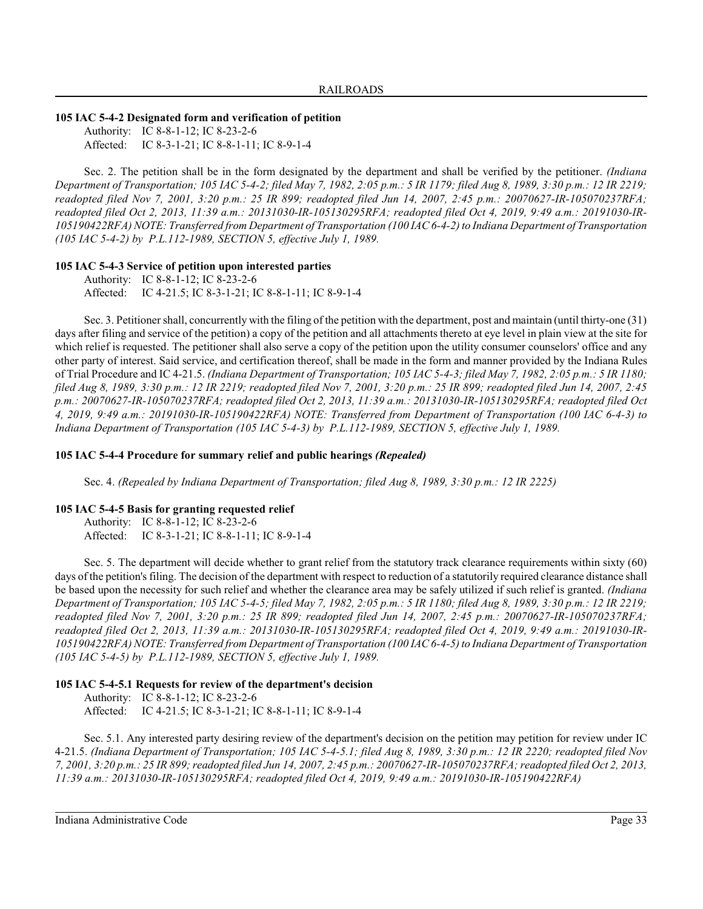### **105 IAC 5-4-2 Designated form and verification of petition**

Authority: IC 8-8-1-12; IC 8-23-2-6 Affected: IC 8-3-1-21; IC 8-8-1-11; IC 8-9-1-4

Sec. 2. The petition shall be in the form designated by the department and shall be verified by the petitioner. *(Indiana Department of Transportation; 105 IAC 5-4-2; filed May 7, 1982, 2:05 p.m.: 5 IR 1179; filed Aug 8, 1989, 3:30 p.m.: 12 IR 2219; readopted filed Nov 7, 2001, 3:20 p.m.: 25 IR 899; readopted filed Jun 14, 2007, 2:45 p.m.: 20070627-IR-105070237RFA; readopted filed Oct 2, 2013, 11:39 a.m.: 20131030-IR-105130295RFA; readopted filed Oct 4, 2019, 9:49 a.m.: 20191030-IR-105190422RFA) NOTE: Transferred from Department of Transportation (100 IAC 6-4-2) to Indiana Department of Transportation (105 IAC 5-4-2) by P.L.112-1989, SECTION 5, effective July 1, 1989.*

# **105 IAC 5-4-3 Service of petition upon interested parties**

Authority: IC 8-8-1-12; IC 8-23-2-6 Affected: IC 4-21.5; IC 8-3-1-21; IC 8-8-1-11; IC 8-9-1-4

Sec. 3. Petitioner shall, concurrently with the filing of the petition with the department, post and maintain (until thirty-one (31) days after filing and service of the petition) a copy of the petition and all attachments thereto at eye level in plain view at the site for which relief is requested. The petitioner shall also serve a copy of the petition upon the utility consumer counselors' office and any other party of interest. Said service, and certification thereof, shall be made in the form and manner provided by the Indiana Rules of Trial Procedure and IC 4-21.5. *(Indiana Department of Transportation; 105 IAC 5-4-3; filed May 7, 1982, 2:05 p.m.: 5 IR 1180; filed Aug 8, 1989, 3:30 p.m.: 12 IR 2219; readopted filed Nov 7, 2001, 3:20 p.m.: 25 IR 899; readopted filed Jun 14, 2007, 2:45 p.m.: 20070627-IR-105070237RFA; readopted filed Oct 2, 2013, 11:39 a.m.: 20131030-IR-105130295RFA; readopted filed Oct 4, 2019, 9:49 a.m.: 20191030-IR-105190422RFA) NOTE: Transferred from Department of Transportation (100 IAC 6-4-3) to Indiana Department of Transportation (105 IAC 5-4-3) by P.L.112-1989, SECTION 5, effective July 1, 1989.*

#### **105 IAC 5-4-4 Procedure for summary relief and public hearings** *(Repealed)*

Sec. 4. *(Repealed by Indiana Department of Transportation; filed Aug 8, 1989, 3:30 p.m.: 12 IR 2225)*

#### **105 IAC 5-4-5 Basis for granting requested relief**

Authority: IC 8-8-1-12; IC 8-23-2-6 Affected: IC 8-3-1-21; IC 8-8-1-11; IC 8-9-1-4

Sec. 5. The department will decide whether to grant relief from the statutory track clearance requirements within sixty (60) days of the petition's filing. The decision of the department with respect to reduction of a statutorily required clearance distance shall be based upon the necessity for such relief and whether the clearance area may be safely utilized if such relief is granted. *(Indiana Department of Transportation; 105 IAC 5-4-5; filed May 7, 1982, 2:05 p.m.: 5 IR 1180; filed Aug 8, 1989, 3:30 p.m.: 12 IR 2219; readopted filed Nov 7, 2001, 3:20 p.m.: 25 IR 899; readopted filed Jun 14, 2007, 2:45 p.m.: 20070627-IR-105070237RFA; readopted filed Oct 2, 2013, 11:39 a.m.: 20131030-IR-105130295RFA; readopted filed Oct 4, 2019, 9:49 a.m.: 20191030-IR-105190422RFA) NOTE: Transferred from Department of Transportation (100 IAC 6-4-5) to Indiana Department of Transportation (105 IAC 5-4-5) by P.L.112-1989, SECTION 5, effective July 1, 1989.*

#### **105 IAC 5-4-5.1 Requests for review of the department's decision**

Authority: IC 8-8-1-12; IC 8-23-2-6 Affected: IC 4-21.5; IC 8-3-1-21; IC 8-8-1-11; IC 8-9-1-4

Sec. 5.1. Any interested party desiring review of the department's decision on the petition may petition for review under IC 4-21.5. *(Indiana Department of Transportation; 105 IAC 5-4-5.1; filed Aug 8, 1989, 3:30 p.m.: 12 IR 2220; readopted filed Nov 7, 2001, 3:20 p.m.: 25 IR 899;readopted filed Jun 14, 2007, 2:45 p.m.: 20070627-IR-105070237RFA; readopted filed Oct 2, 2013, 11:39 a.m.: 20131030-IR-105130295RFA; readopted filed Oct 4, 2019, 9:49 a.m.: 20191030-IR-105190422RFA)*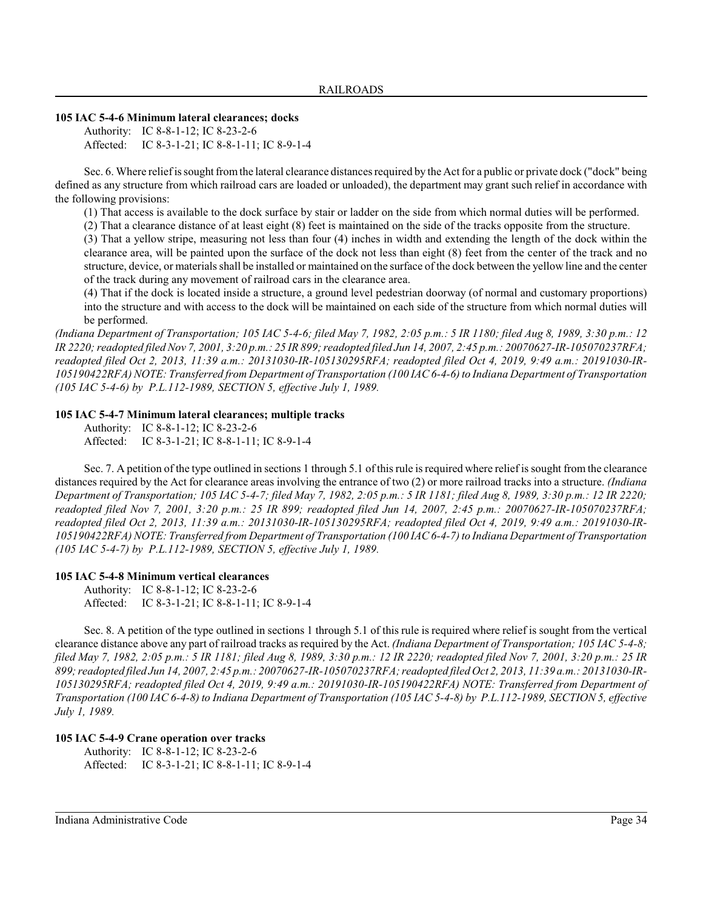# **105 IAC 5-4-6 Minimum lateral clearances; docks**

Authority: IC 8-8-1-12; IC 8-23-2-6 Affected: IC 8-3-1-21; IC 8-8-1-11; IC 8-9-1-4

Sec. 6. Where relief is sought fromthe lateral clearance distances required by the Act for a public or private dock ("dock" being defined as any structure from which railroad cars are loaded or unloaded), the department may grant such relief in accordance with the following provisions:

(1) That access is available to the dock surface by stair or ladder on the side from which normal duties will be performed.

(2) That a clearance distance of at least eight (8) feet is maintained on the side of the tracks opposite from the structure.

(3) That a yellow stripe, measuring not less than four (4) inches in width and extending the length of the dock within the clearance area, will be painted upon the surface of the dock not less than eight (8) feet from the center of the track and no structure, device, or materials shall be installed or maintained on the surface of the dock between the yellow line and the center of the track during any movement of railroad cars in the clearance area.

(4) That if the dock is located inside a structure, a ground level pedestrian doorway (of normal and customary proportions) into the structure and with access to the dock will be maintained on each side of the structure from which normal duties will be performed.

*(Indiana Department of Transportation; 105 IAC 5-4-6; filed May 7, 1982, 2:05 p.m.: 5 IR 1180; filed Aug 8, 1989, 3:30 p.m.: 12 IR 2220; readopted filed Nov 7, 2001, 3:20 p.m.: 25 IR 899;readopted filed Jun 14, 2007, 2:45 p.m.: 20070627-IR-105070237RFA; readopted filed Oct 2, 2013, 11:39 a.m.: 20131030-IR-105130295RFA; readopted filed Oct 4, 2019, 9:49 a.m.: 20191030-IR-105190422RFA) NOTE: Transferred from Department of Transportation (100 IAC 6-4-6) to Indiana Department of Transportation (105 IAC 5-4-6) by P.L.112-1989, SECTION 5, effective July 1, 1989.*

# **105 IAC 5-4-7 Minimum lateral clearances; multiple tracks**

Authority: IC 8-8-1-12; IC 8-23-2-6 Affected: IC 8-3-1-21; IC 8-8-1-11; IC 8-9-1-4

Sec. 7. A petition of the type outlined in sections 1 through 5.1 of thisrule is required where relief is sought from the clearance distances required by the Act for clearance areas involving the entrance of two (2) or more railroad tracks into a structure. *(Indiana Department of Transportation; 105 IAC 5-4-7; filed May 7, 1982, 2:05 p.m.: 5 IR 1181; filed Aug 8, 1989, 3:30 p.m.: 12 IR 2220; readopted filed Nov 7, 2001, 3:20 p.m.: 25 IR 899; readopted filed Jun 14, 2007, 2:45 p.m.: 20070627-IR-105070237RFA; readopted filed Oct 2, 2013, 11:39 a.m.: 20131030-IR-105130295RFA; readopted filed Oct 4, 2019, 9:49 a.m.: 20191030-IR-105190422RFA) NOTE: Transferred from Department of Transportation (100 IAC 6-4-7) to Indiana Department of Transportation (105 IAC 5-4-7) by P.L.112-1989, SECTION 5, effective July 1, 1989.*

# **105 IAC 5-4-8 Minimum vertical clearances**

Authority: IC 8-8-1-12; IC 8-23-2-6 Affected: IC 8-3-1-21; IC 8-8-1-11; IC 8-9-1-4

Sec. 8. A petition of the type outlined in sections 1 through 5.1 of this rule is required where relief is sought from the vertical clearance distance above any part of railroad tracks as required by the Act. *(Indiana Department of Transportation; 105 IAC 5-4-8; filed May 7, 1982, 2:05 p.m.: 5 IR 1181; filed Aug 8, 1989, 3:30 p.m.: 12 IR 2220; readopted filed Nov 7, 2001, 3:20 p.m.: 25 IR 899;readopted filed Jun 14, 2007, 2:45 p.m.: 20070627-IR-105070237RFA; readopted filed Oct 2, 2013, 11:39 a.m.: 20131030-IR-105130295RFA; readopted filed Oct 4, 2019, 9:49 a.m.: 20191030-IR-105190422RFA) NOTE: Transferred from Department of Transportation (100 IAC 6-4-8) to Indiana Department of Transportation (105 IAC 5-4-8) by P.L.112-1989, SECTION 5, effective July 1, 1989.*

# **105 IAC 5-4-9 Crane operation over tracks**

Authority: IC 8-8-1-12; IC 8-23-2-6 Affected: IC 8-3-1-21; IC 8-8-1-11; IC 8-9-1-4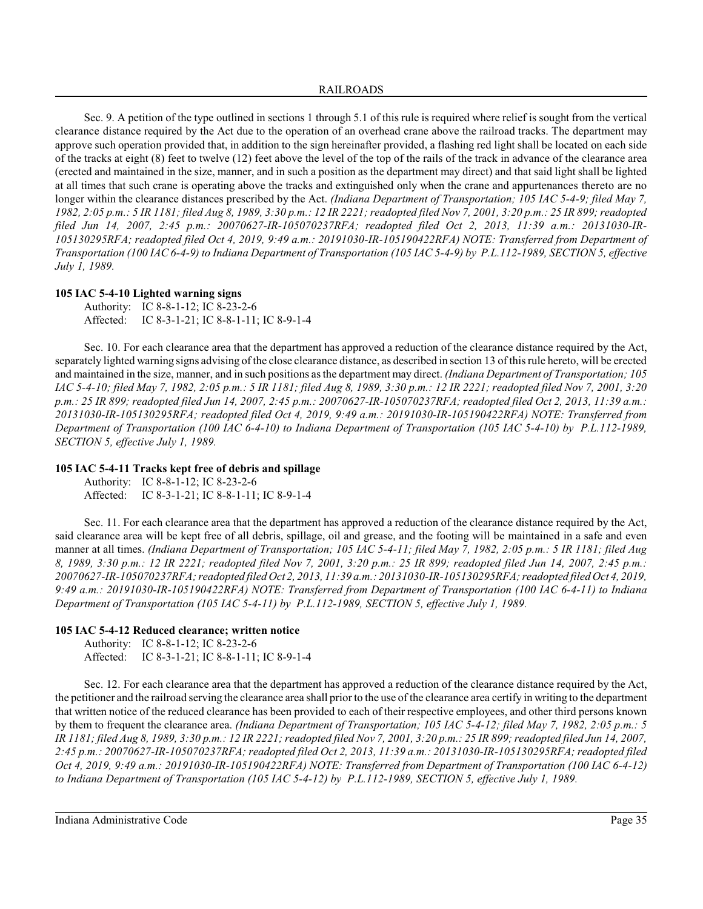Sec. 9. A petition of the type outlined in sections 1 through 5.1 of this rule is required where relief is sought from the vertical clearance distance required by the Act due to the operation of an overhead crane above the railroad tracks. The department may approve such operation provided that, in addition to the sign hereinafter provided, a flashing red light shall be located on each side of the tracks at eight (8) feet to twelve (12) feet above the level of the top of the rails of the track in advance of the clearance area (erected and maintained in the size, manner, and in such a position as the department may direct) and that said light shall be lighted at all times that such crane is operating above the tracks and extinguished only when the crane and appurtenances thereto are no longer within the clearance distances prescribed by the Act. *(Indiana Department of Transportation; 105 IAC 5-4-9; filed May 7, 1982, 2:05 p.m.: 5 IR 1181; filed Aug 8, 1989, 3:30 p.m.: 12 IR 2221; readopted filed Nov 7, 2001, 3:20 p.m.: 25 IR 899;readopted filed Jun 14, 2007, 2:45 p.m.: 20070627-IR-105070237RFA; readopted filed Oct 2, 2013, 11:39 a.m.: 20131030-IR-105130295RFA; readopted filed Oct 4, 2019, 9:49 a.m.: 20191030-IR-105190422RFA) NOTE: Transferred from Department of Transportation (100 IAC 6-4-9) to Indiana Department of Transportation (105 IAC 5-4-9) by P.L.112-1989, SECTION 5, effective July 1, 1989.*

# **105 IAC 5-4-10 Lighted warning signs**

Authority: IC 8-8-1-12; IC 8-23-2-6 Affected: IC 8-3-1-21; IC 8-8-1-11; IC 8-9-1-4

Sec. 10. For each clearance area that the department has approved a reduction of the clearance distance required by the Act, separately lighted warning signs advising of the close clearance distance, as described in section 13 of thisrule hereto, will be erected and maintained in the size, manner, and in such positions as the department may direct. *(Indiana Department of Transportation; 105 IAC 5-4-10; filed May 7, 1982, 2:05 p.m.: 5 IR 1181; filed Aug 8, 1989, 3:30 p.m.: 12 IR 2221; readopted filed Nov 7, 2001, 3:20 p.m.: 25 IR 899; readopted filed Jun 14, 2007, 2:45 p.m.: 20070627-IR-105070237RFA; readopted filed Oct 2, 2013, 11:39 a.m.: 20131030-IR-105130295RFA; readopted filed Oct 4, 2019, 9:49 a.m.: 20191030-IR-105190422RFA) NOTE: Transferred from Department of Transportation (100 IAC 6-4-10) to Indiana Department of Transportation (105 IAC 5-4-10) by P.L.112-1989, SECTION 5, effective July 1, 1989.*

# **105 IAC 5-4-11 Tracks kept free of debris and spillage**

Authority: IC 8-8-1-12; IC 8-23-2-6 Affected: IC 8-3-1-21; IC 8-8-1-11; IC 8-9-1-4

Sec. 11. For each clearance area that the department has approved a reduction of the clearance distance required by the Act, said clearance area will be kept free of all debris, spillage, oil and grease, and the footing will be maintained in a safe and even manner at all times. *(Indiana Department of Transportation; 105 IAC 5-4-11; filed May 7, 1982, 2:05 p.m.: 5 IR 1181; filed Aug 8, 1989, 3:30 p.m.: 12 IR 2221; readopted filed Nov 7, 2001, 3:20 p.m.: 25 IR 899; readopted filed Jun 14, 2007, 2:45 p.m.: 20070627-IR-105070237RFA; readopted filed Oct 2, 2013, 11:39 a.m.: 20131030-IR-105130295RFA; readopted filed Oct 4, 2019, 9:49 a.m.: 20191030-IR-105190422RFA) NOTE: Transferred from Department of Transportation (100 IAC 6-4-11) to Indiana Department of Transportation (105 IAC 5-4-11) by P.L.112-1989, SECTION 5, effective July 1, 1989.*

# **105 IAC 5-4-12 Reduced clearance; written notice**

Authority: IC 8-8-1-12; IC 8-23-2-6 Affected: IC 8-3-1-21; IC 8-8-1-11; IC 8-9-1-4

Sec. 12. For each clearance area that the department has approved a reduction of the clearance distance required by the Act, the petitioner and the railroad serving the clearance area shall prior to the use of the clearance area certify in writing to the department that written notice of the reduced clearance has been provided to each of their respective employees, and other third persons known by them to frequent the clearance area. *(Indiana Department of Transportation; 105 IAC 5-4-12; filed May 7, 1982, 2:05 p.m.: 5 IR 1181; filed Aug 8, 1989, 3:30 p.m.: 12 IR 2221; readopted filed Nov 7, 2001, 3:20 p.m.: 25 IR 899;readopted filed Jun 14, 2007, 2:45 p.m.: 20070627-IR-105070237RFA; readopted filed Oct 2, 2013, 11:39 a.m.: 20131030-IR-105130295RFA; readopted filed Oct 4, 2019, 9:49 a.m.: 20191030-IR-105190422RFA) NOTE: Transferred from Department of Transportation (100 IAC 6-4-12) to Indiana Department of Transportation (105 IAC 5-4-12) by P.L.112-1989, SECTION 5, effective July 1, 1989.*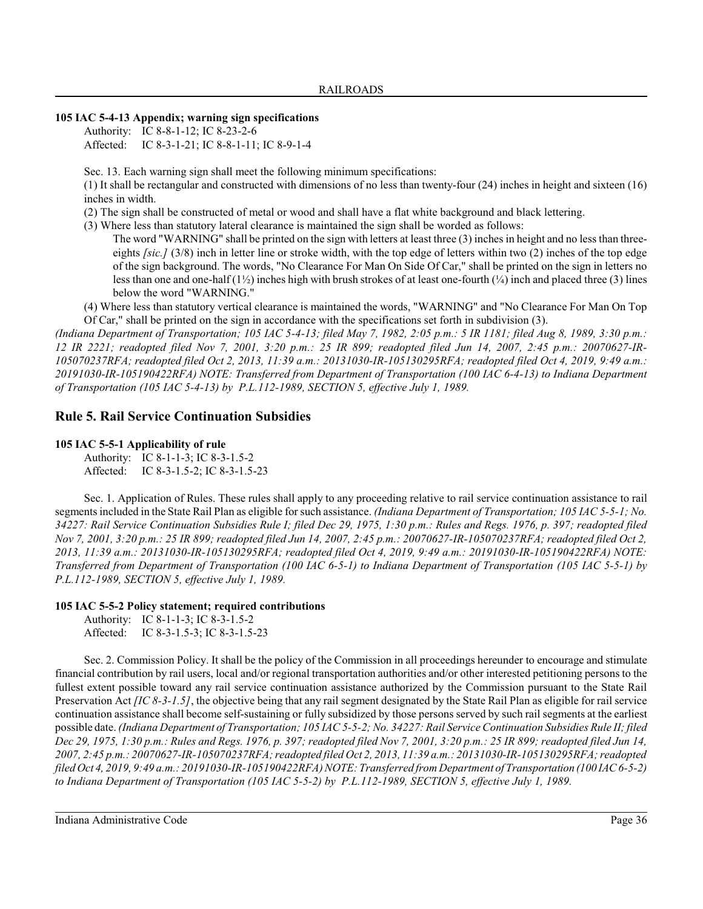# **105 IAC 5-4-13 Appendix; warning sign specifications**

Authority: IC 8-8-1-12; IC 8-23-2-6 Affected: IC 8-3-1-21; IC 8-8-1-11; IC 8-9-1-4

Sec. 13. Each warning sign shall meet the following minimum specifications:

(1) It shall be rectangular and constructed with dimensions of no less than twenty-four (24) inches in height and sixteen (16) inches in width.

(2) The sign shall be constructed of metal or wood and shall have a flat white background and black lettering.

(3) Where less than statutory lateral clearance is maintained the sign shall be worded as follows:

The word "WARNING" shall be printed on the sign with letters at least three (3) inches in height and no less than threeeights *[sic.]* (3/8) inch in letter line or stroke width, with the top edge of letters within two (2) inches of the top edge of the sign background. The words, "No Clearance For Man On Side Of Car," shall be printed on the sign in letters no less than one and one-half  $(1/2)$  inches high with brush strokes of at least one-fourth  $(1/4)$  inch and placed three (3) lines below the word "WARNING."

(4) Where less than statutory vertical clearance is maintained the words, "WARNING" and "No Clearance For Man On Top Of Car," shall be printed on the sign in accordance with the specifications set forth in subdivision (3).

*(Indiana Department of Transportation; 105 IAC 5-4-13; filed May 7, 1982, 2:05 p.m.: 5 IR 1181; filed Aug 8, 1989, 3:30 p.m.: 12 IR 2221; readopted filed Nov 7, 2001, 3:20 p.m.: 25 IR 899; readopted filed Jun 14, 2007, 2:45 p.m.: 20070627-IR-105070237RFA; readopted filed Oct 2, 2013, 11:39 a.m.: 20131030-IR-105130295RFA; readopted filed Oct 4, 2019, 9:49 a.m.: 20191030-IR-105190422RFA) NOTE: Transferred from Department of Transportation (100 IAC 6-4-13) to Indiana Department of Transportation (105 IAC 5-4-13) by P.L.112-1989, SECTION 5, effective July 1, 1989.*

# **Rule 5. Rail Service Continuation Subsidies**

# **105 IAC 5-5-1 Applicability of rule**

Authority: IC 8-1-1-3; IC 8-3-1.5-2 Affected: IC 8-3-1.5-2; IC 8-3-1.5-23

Sec. 1. Application of Rules. These rules shall apply to any proceeding relative to rail service continuation assistance to rail segments included in the State Rail Plan as eligible for such assistance. *(Indiana Department of Transportation; 105 IAC 5-5-1; No. 34227: Rail Service Continuation Subsidies Rule I; filed Dec 29, 1975, 1:30 p.m.: Rules and Regs. 1976, p. 397; readopted filed Nov 7, 2001, 3:20 p.m.: 25 IR 899; readopted filed Jun 14, 2007, 2:45 p.m.: 20070627-IR-105070237RFA; readopted filed Oct 2, 2013, 11:39 a.m.: 20131030-IR-105130295RFA; readopted filed Oct 4, 2019, 9:49 a.m.: 20191030-IR-105190422RFA) NOTE: Transferred from Department of Transportation (100 IAC 6-5-1) to Indiana Department of Transportation (105 IAC 5-5-1) by P.L.112-1989, SECTION 5, effective July 1, 1989.*

# **105 IAC 5-5-2 Policy statement; required contributions**

```
Authority: IC 8-1-1-3; IC 8-3-1.5-2
Affected: IC 8-3-1.5-3; IC 8-3-1.5-23
```
Sec. 2. Commission Policy. It shall be the policy of the Commission in all proceedings hereunder to encourage and stimulate financial contribution by rail users, local and/or regional transportation authorities and/or other interested petitioning persons to the fullest extent possible toward any rail service continuation assistance authorized by the Commission pursuant to the State Rail Preservation Act *[IC 8-3-1.5]*, the objective being that any rail segment designated by the State Rail Plan as eligible for rail service continuation assistance shall become self-sustaining or fully subsidized by those persons served by such rail segments at the earliest possible date. *(Indiana Department of Transportation; 105 IAC 5-5-2; No. 34227: Rail Service Continuation Subsidies Rule II; filed Dec 29, 1975, 1:30 p.m.: Rules and Regs. 1976, p. 397; readopted filed Nov 7, 2001, 3:20 p.m.: 25 IR 899; readopted filed Jun 14, 2007, 2:45 p.m.: 20070627-IR-105070237RFA; readopted filed Oct 2, 2013, 11:39 a.m.: 20131030-IR-105130295RFA; readopted filed Oct 4, 2019, 9:49 a.m.: 20191030-IR-105190422RFA) NOTE: Transferred from Department of Transportation (100 IAC 6-5-2) to Indiana Department of Transportation (105 IAC 5-5-2) by P.L.112-1989, SECTION 5, effective July 1, 1989.*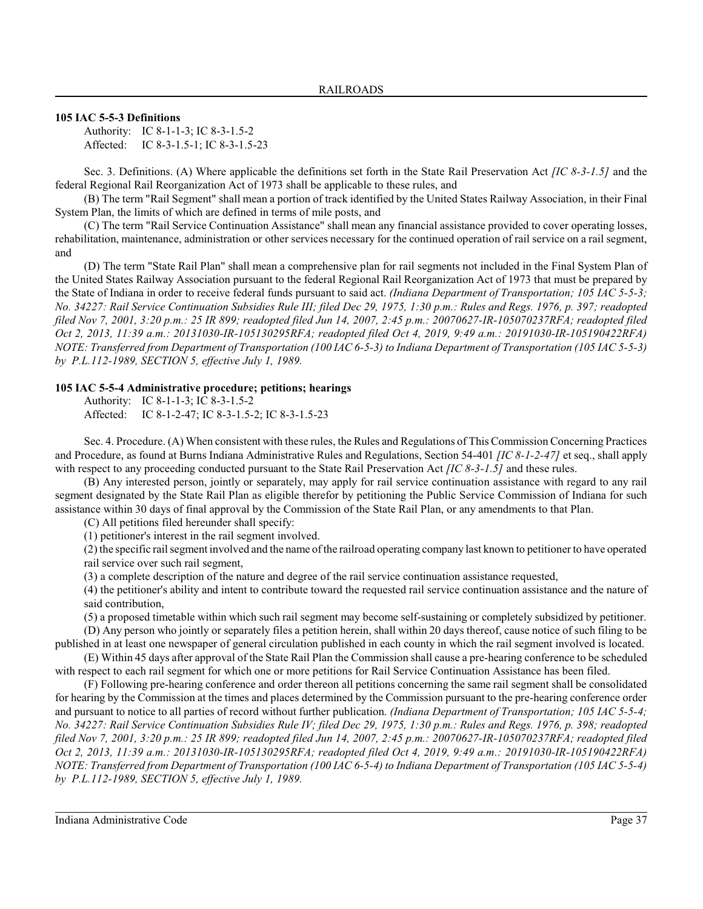# **105 IAC 5-5-3 Definitions**

Authority: IC 8-1-1-3; IC 8-3-1.5-2 Affected: IC 8-3-1.5-1; IC 8-3-1.5-23

Sec. 3. Definitions. (A) Where applicable the definitions set forth in the State Rail Preservation Act *[IC 8-3-1.5]* and the federal Regional Rail Reorganization Act of 1973 shall be applicable to these rules, and

(B) The term "Rail Segment" shall mean a portion of track identified by the United States Railway Association, in their Final System Plan, the limits of which are defined in terms of mile posts, and

(C) The term "Rail Service Continuation Assistance" shall mean any financial assistance provided to cover operating losses, rehabilitation, maintenance, administration or other services necessary for the continued operation of rail service on a rail segment, and

(D) The term "State Rail Plan" shall mean a comprehensive plan for rail segments not included in the Final System Plan of the United States Railway Association pursuant to the federal Regional Rail Reorganization Act of 1973 that must be prepared by the State of Indiana in order to receive federal funds pursuant to said act. *(Indiana Department of Transportation; 105 IAC 5-5-3; No. 34227: Rail Service Continuation Subsidies Rule III; filed Dec 29, 1975, 1:30 p.m.: Rules and Regs. 1976, p. 397; readopted filed Nov 7, 2001, 3:20 p.m.: 25 IR 899; readopted filed Jun 14, 2007, 2:45 p.m.: 20070627-IR-105070237RFA; readopted filed Oct 2, 2013, 11:39 a.m.: 20131030-IR-105130295RFA; readopted filed Oct 4, 2019, 9:49 a.m.: 20191030-IR-105190422RFA) NOTE: Transferred from Department of Transportation (100 IAC 6-5-3) to Indiana Department of Transportation (105 IAC 5-5-3) by P.L.112-1989, SECTION 5, effective July 1, 1989.*

# **105 IAC 5-5-4 Administrative procedure; petitions; hearings**

Authority: IC 8-1-1-3; IC 8-3-1.5-2 Affected: IC 8-1-2-47; IC 8-3-1.5-2; IC 8-3-1.5-23

Sec. 4. Procedure. (A) When consistent with these rules, the Rules and Regulations of ThisCommission Concerning Practices and Procedure, as found at Burns Indiana Administrative Rules and Regulations, Section 54-401 *[IC 8-1-2-47]* et seq., shall apply with respect to any proceeding conducted pursuant to the State Rail Preservation Act *[IC 8-3-1.5]* and these rules.

(B) Any interested person, jointly or separately, may apply for rail service continuation assistance with regard to any rail segment designated by the State Rail Plan as eligible therefor by petitioning the Public Service Commission of Indiana for such assistance within 30 days of final approval by the Commission of the State Rail Plan, or any amendments to that Plan.

(C) All petitions filed hereunder shall specify:

(1) petitioner's interest in the rail segment involved.

(2) the specific rail segment involved and the name of the railroad operating company last known to petitioner to have operated rail service over such rail segment,

(3) a complete description of the nature and degree of the rail service continuation assistance requested,

(4) the petitioner's ability and intent to contribute toward the requested rail service continuation assistance and the nature of said contribution,

(5) a proposed timetable within which such rail segment may become self-sustaining or completely subsidized by petitioner.

(D) Any person who jointly or separately files a petition herein, shall within 20 days thereof, cause notice of such filing to be published in at least one newspaper of general circulation published in each county in which the rail segment involved is located.

(E) Within 45 days after approval of the State Rail Plan the Commission shall cause a pre-hearing conference to be scheduled with respect to each rail segment for which one or more petitions for Rail Service Continuation Assistance has been filed.

(F) Following pre-hearing conference and order thereon all petitions concerning the same rail segment shall be consolidated for hearing by the Commission at the times and places determined by the Commission pursuant to the pre-hearing conference order and pursuant to notice to all parties of record without further publication. *(Indiana Department of Transportation; 105 IAC 5-5-4; No. 34227: Rail Service Continuation Subsidies Rule IV; filed Dec 29, 1975, 1:30 p.m.: Rules and Regs. 1976, p. 398; readopted filed Nov 7, 2001, 3:20 p.m.: 25 IR 899; readopted filed Jun 14, 2007, 2:45 p.m.: 20070627-IR-105070237RFA; readopted filed Oct 2, 2013, 11:39 a.m.: 20131030-IR-105130295RFA; readopted filed Oct 4, 2019, 9:49 a.m.: 20191030-IR-105190422RFA) NOTE: Transferred from Department of Transportation (100 IAC 6-5-4) to Indiana Department of Transportation (105 IAC 5-5-4) by P.L.112-1989, SECTION 5, effective July 1, 1989.*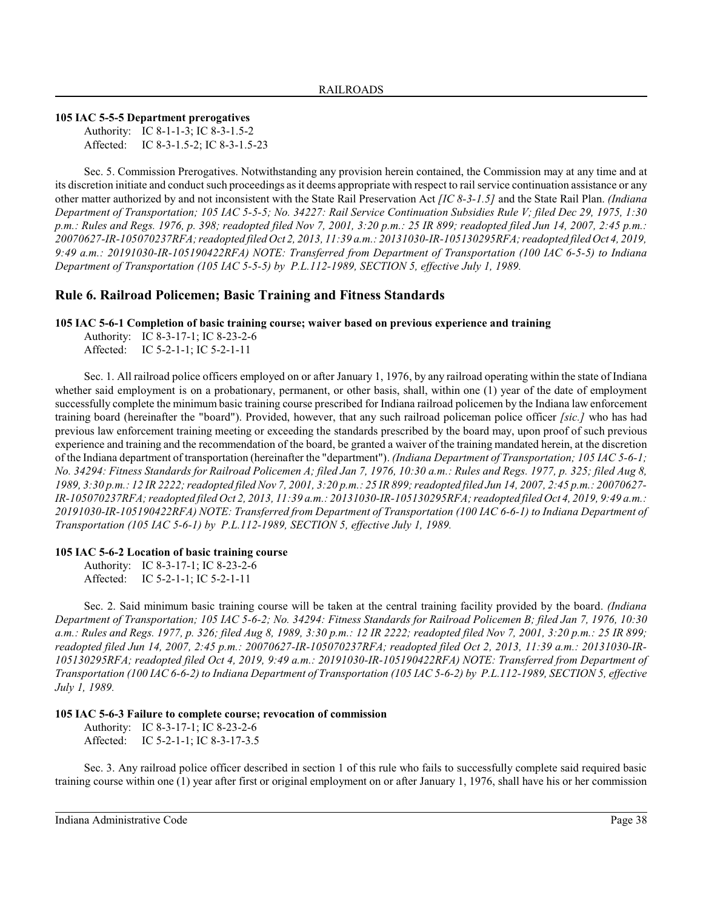**105 IAC 5-5-5 Department prerogatives**

Authority: IC 8-1-1-3; IC 8-3-1.5-2 Affected: IC 8-3-1.5-2; IC 8-3-1.5-23

Sec. 5. Commission Prerogatives. Notwithstanding any provision herein contained, the Commission may at any time and at its discretion initiate and conduct such proceedings as it deems appropriate with respect to rail service continuation assistance or any other matter authorized by and not inconsistent with the State Rail Preservation Act *[IC 8-3-1.5]* and the State Rail Plan. *(Indiana Department of Transportation; 105 IAC 5-5-5; No. 34227: Rail Service Continuation Subsidies Rule V; filed Dec 29, 1975, 1:30 p.m.: Rules and Regs. 1976, p. 398; readopted filed Nov 7, 2001, 3:20 p.m.: 25 IR 899; readopted filed Jun 14, 2007, 2:45 p.m.: 20070627-IR-105070237RFA; readopted filed Oct 2, 2013, 11:39 a.m.: 20131030-IR-105130295RFA; readopted filed Oct 4, 2019, 9:49 a.m.: 20191030-IR-105190422RFA) NOTE: Transferred from Department of Transportation (100 IAC 6-5-5) to Indiana Department of Transportation (105 IAC 5-5-5) by P.L.112-1989, SECTION 5, effective July 1, 1989.*

# **Rule 6. Railroad Policemen; Basic Training and Fitness Standards**

**105 IAC 5-6-1 Completion of basic training course; waiver based on previous experience and training**

Authority: IC 8-3-17-1; IC 8-23-2-6 Affected: IC 5-2-1-1; IC 5-2-1-11

Sec. 1. All railroad police officers employed on or after January 1, 1976, by any railroad operating within the state of Indiana whether said employment is on a probationary, permanent, or other basis, shall, within one (1) year of the date of employment successfully complete the minimum basic training course prescribed for Indiana railroad policemen by the Indiana law enforcement training board (hereinafter the "board"). Provided, however, that any such railroad policeman police officer *[sic.]* who has had previous law enforcement training meeting or exceeding the standards prescribed by the board may, upon proof of such previous experience and training and the recommendation of the board, be granted a waiver of the training mandated herein, at the discretion of the Indiana department of transportation (hereinafter the "department"). *(Indiana Department of Transportation; 105 IAC 5-6-1; No. 34294: Fitness Standards for Railroad Policemen A; filed Jan 7, 1976, 10:30 a.m.: Rules and Regs. 1977, p. 325; filed Aug 8, 1989, 3:30 p.m.: 12 IR 2222; readopted filed Nov 7, 2001, 3:20 p.m.: 25 IR 899; readopted filed Jun 14, 2007, 2:45 p.m.: 20070627*-*IR-105070237RFA; readopted filed Oct 2, 2013, 11:39 a.m.: 20131030-IR-105130295RFA; readopted filed Oct 4, 2019, 9:49 a.m.: 20191030-IR-105190422RFA) NOTE: Transferred from Department of Transportation (100 IAC 6-6-1) to Indiana Department of Transportation (105 IAC 5-6-1) by P.L.112-1989, SECTION 5, effective July 1, 1989.*

#### **105 IAC 5-6-2 Location of basic training course**

Authority: IC 8-3-17-1; IC 8-23-2-6 Affected: IC 5-2-1-1; IC 5-2-1-11

Sec. 2. Said minimum basic training course will be taken at the central training facility provided by the board. *(Indiana Department of Transportation; 105 IAC 5-6-2; No. 34294: Fitness Standards for Railroad Policemen B; filed Jan 7, 1976, 10:30 a.m.: Rules and Regs. 1977, p. 326; filed Aug 8, 1989, 3:30 p.m.: 12 IR 2222; readopted filed Nov 7, 2001, 3:20 p.m.: 25 IR 899; readopted filed Jun 14, 2007, 2:45 p.m.: 20070627-IR-105070237RFA; readopted filed Oct 2, 2013, 11:39 a.m.: 20131030-IR-105130295RFA; readopted filed Oct 4, 2019, 9:49 a.m.: 20191030-IR-105190422RFA) NOTE: Transferred from Department of Transportation (100 IAC 6-6-2) to Indiana Department of Transportation (105 IAC 5-6-2) by P.L.112-1989, SECTION 5, effective July 1, 1989.*

# **105 IAC 5-6-3 Failure to complete course; revocation of commission**

Authority: IC 8-3-17-1; IC 8-23-2-6 Affected: IC 5-2-1-1; IC 8-3-17-3.5

Sec. 3. Any railroad police officer described in section 1 of this rule who fails to successfully complete said required basic training course within one (1) year after first or original employment on or after January 1, 1976, shall have his or her commission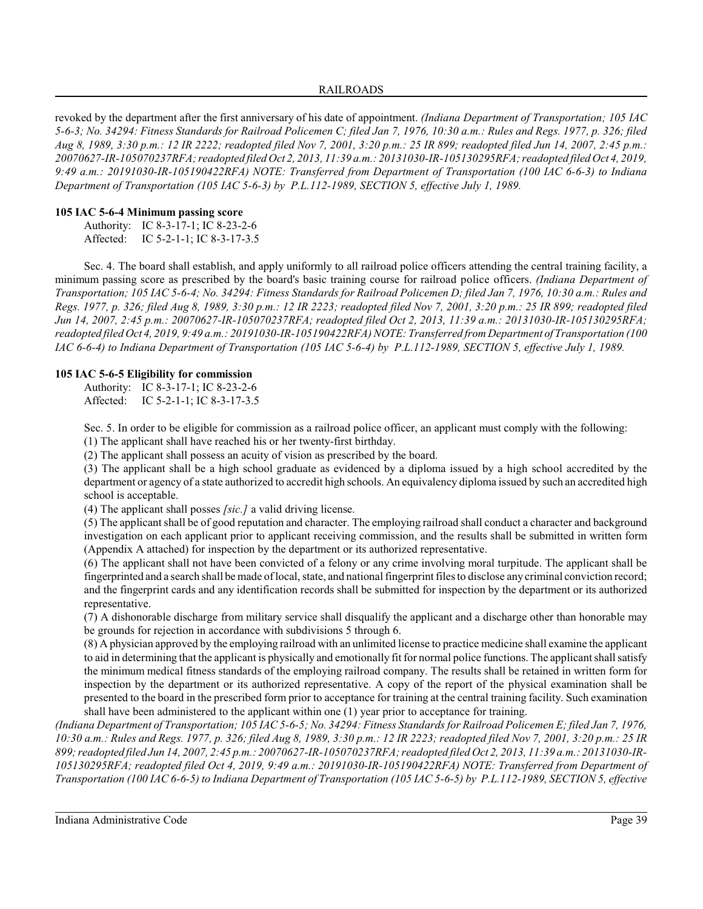revoked by the department after the first anniversary of his date of appointment. *(Indiana Department of Transportation; 105 IAC 5-6-3; No. 34294: Fitness Standards for Railroad Policemen C; filed Jan 7, 1976, 10:30 a.m.: Rules and Regs. 1977, p. 326; filed Aug 8, 1989, 3:30 p.m.: 12 IR 2222; readopted filed Nov 7, 2001, 3:20 p.m.: 25 IR 899; readopted filed Jun 14, 2007, 2:45 p.m.: 20070627-IR-105070237RFA; readopted filed Oct 2, 2013, 11:39 a.m.: 20131030-IR-105130295RFA; readopted filed Oct 4, 2019, 9:49 a.m.: 20191030-IR-105190422RFA) NOTE: Transferred from Department of Transportation (100 IAC 6-6-3) to Indiana Department of Transportation (105 IAC 5-6-3) by P.L.112-1989, SECTION 5, effective July 1, 1989.*

# **105 IAC 5-6-4 Minimum passing score**

Authority: IC 8-3-17-1; IC 8-23-2-6 Affected: IC 5-2-1-1; IC 8-3-17-3.5

Sec. 4. The board shall establish, and apply uniformly to all railroad police officers attending the central training facility, a minimum passing score as prescribed by the board's basic training course for railroad police officers. *(Indiana Department of Transportation; 105 IAC 5-6-4; No. 34294: Fitness Standards for Railroad Policemen D; filed Jan 7, 1976, 10:30 a.m.: Rules and Regs. 1977, p. 326; filed Aug 8, 1989, 3:30 p.m.: 12 IR 2223; readopted filed Nov 7, 2001, 3:20 p.m.: 25 IR 899; readopted filed Jun 14, 2007, 2:45 p.m.: 20070627-IR-105070237RFA; readopted filed Oct 2, 2013, 11:39 a.m.: 20131030-IR-105130295RFA; readopted filed Oct 4, 2019, 9:49 a.m.: 20191030-IR-105190422RFA) NOTE: Transferred from Department of Transportation (100 IAC 6-6-4) to Indiana Department of Transportation (105 IAC 5-6-4) by P.L.112-1989, SECTION 5, effective July 1, 1989.*

# **105 IAC 5-6-5 Eligibility for commission**

Authority: IC 8-3-17-1; IC 8-23-2-6 Affected: IC 5-2-1-1; IC 8-3-17-3.5

Sec. 5. In order to be eligible for commission as a railroad police officer, an applicant must comply with the following:

(1) The applicant shall have reached his or her twenty-first birthday. (2) The applicant shall possess an acuity of vision as prescribed by the board.

(3) The applicant shall be a high school graduate as evidenced by a diploma issued by a high school accredited by the department or agency of a state authorized to accredit high schools. An equivalency diploma issued by such an accredited high school is acceptable.

(4) The applicant shall posses *[sic.]* a valid driving license.

(5) The applicant shall be of good reputation and character. The employing railroad shall conduct a character and background investigation on each applicant prior to applicant receiving commission, and the results shall be submitted in written form (Appendix A attached) for inspection by the department or its authorized representative.

(6) The applicant shall not have been convicted of a felony or any crime involving moral turpitude. The applicant shall be fingerprinted and a search shall be made of local, state, and national fingerprint files to disclose any criminal conviction record; and the fingerprint cards and any identification records shall be submitted for inspection by the department or its authorized representative.

(7) A dishonorable discharge from military service shall disqualify the applicant and a discharge other than honorable may be grounds for rejection in accordance with subdivisions 5 through 6.

(8) A physician approved by the employing railroad with an unlimited license to practice medicine shall examine the applicant to aid in determining that the applicant is physically and emotionally fit for normal police functions. The applicant shall satisfy the minimum medical fitness standards of the employing railroad company. The results shall be retained in written form for inspection by the department or its authorized representative. A copy of the report of the physical examination shall be presented to the board in the prescribed form prior to acceptance for training at the central training facility. Such examination shall have been administered to the applicant within one (1) year prior to acceptance for training.

*(Indiana Department of Transportation; 105 IAC 5-6-5; No. 34294: Fitness Standards for Railroad Policemen E; filed Jan 7, 1976, 10:30 a.m.: Rules and Regs. 1977, p. 326; filed Aug 8, 1989, 3:30 p.m.: 12 IR 2223; readopted filed Nov 7, 2001, 3:20 p.m.: 25 IR 899;readopted filed Jun 14, 2007, 2:45 p.m.: 20070627-IR-105070237RFA; readopted filed Oct 2, 2013, 11:39 a.m.: 20131030-IR-105130295RFA; readopted filed Oct 4, 2019, 9:49 a.m.: 20191030-IR-105190422RFA) NOTE: Transferred from Department of Transportation (100 IAC 6-6-5) to Indiana Department of Transportation (105 IAC 5-6-5) by P.L.112-1989, SECTION 5, effective*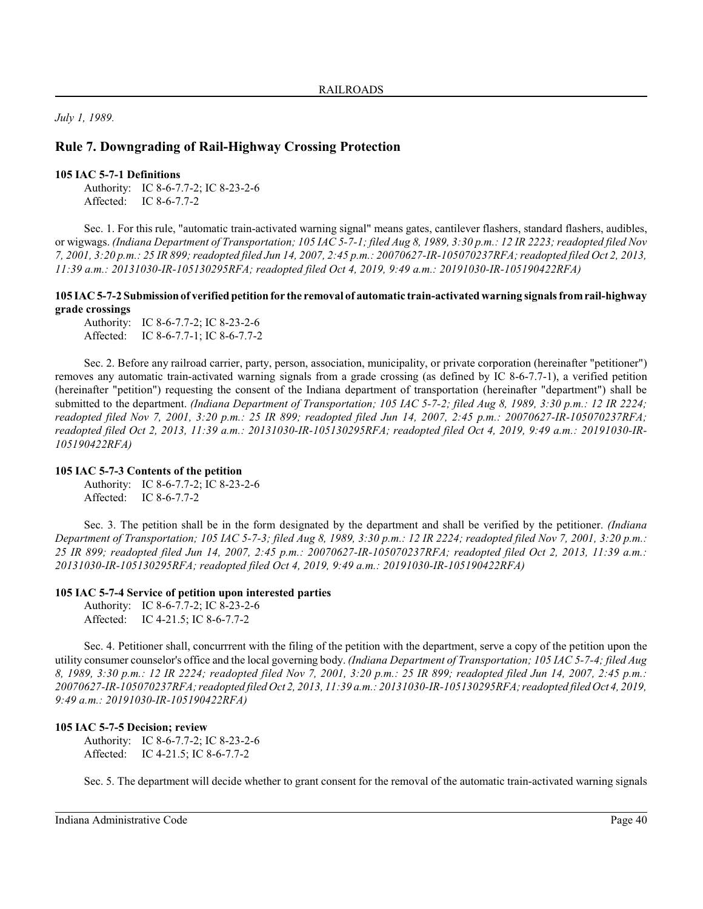*July 1, 1989.*

# **Rule 7. Downgrading of Rail-Highway Crossing Protection**

#### **105 IAC 5-7-1 Definitions**

Authority: IC 8-6-7.7-2; IC 8-23-2-6 Affected: IC 8-6-7.7-2

Sec. 1. For this rule, "automatic train-activated warning signal" means gates, cantilever flashers, standard flashers, audibles, or wigwags. *(Indiana Department of Transportation; 105 IAC 5-7-1; filed Aug 8, 1989, 3:30 p.m.: 12 IR 2223; readopted filed Nov 7, 2001, 3:20 p.m.: 25 IR 899;readopted filed Jun 14, 2007, 2:45 p.m.: 20070627-IR-105070237RFA; readopted filed Oct 2, 2013, 11:39 a.m.: 20131030-IR-105130295RFA; readopted filed Oct 4, 2019, 9:49 a.m.: 20191030-IR-105190422RFA)*

# **105 IAC 5-7-2 Submission of verified petition for the removal of automatic train-activated warning signals fromrail-highway grade crossings**

Authority: IC 8-6-7.7-2; IC 8-23-2-6 Affected: IC 8-6-7.7-1; IC 8-6-7.7-2

Sec. 2. Before any railroad carrier, party, person, association, municipality, or private corporation (hereinafter "petitioner") removes any automatic train-activated warning signals from a grade crossing (as defined by IC 8-6-7.7-1), a verified petition (hereinafter "petition") requesting the consent of the Indiana department of transportation (hereinafter "department") shall be submitted to the department. *(Indiana Department of Transportation; 105 IAC 5-7-2; filed Aug 8, 1989, 3:30 p.m.: 12 IR 2224; readopted filed Nov 7, 2001, 3:20 p.m.: 25 IR 899; readopted filed Jun 14, 2007, 2:45 p.m.: 20070627-IR-105070237RFA; readopted filed Oct 2, 2013, 11:39 a.m.: 20131030-IR-105130295RFA; readopted filed Oct 4, 2019, 9:49 a.m.: 20191030-IR-105190422RFA)*

# **105 IAC 5-7-3 Contents of the petition**

Authority: IC 8-6-7.7-2; IC 8-23-2-6 Affected: IC 8-6-7.7-2

Sec. 3. The petition shall be in the form designated by the department and shall be verified by the petitioner. *(Indiana Department of Transportation; 105 IAC 5-7-3; filed Aug 8, 1989, 3:30 p.m.: 12 IR 2224; readopted filed Nov 7, 2001, 3:20 p.m.: 25 IR 899; readopted filed Jun 14, 2007, 2:45 p.m.: 20070627-IR-105070237RFA; readopted filed Oct 2, 2013, 11:39 a.m.: 20131030-IR-105130295RFA; readopted filed Oct 4, 2019, 9:49 a.m.: 20191030-IR-105190422RFA)*

# **105 IAC 5-7-4 Service of petition upon interested parties**

Authority: IC 8-6-7.7-2; IC 8-23-2-6 Affected: IC 4-21.5; IC 8-6-7.7-2

Sec. 4. Petitioner shall, concurrrent with the filing of the petition with the department, serve a copy of the petition upon the utility consumer counselor's office and the local governing body. *(Indiana Department of Transportation; 105 IAC 5-7-4; filed Aug 8, 1989, 3:30 p.m.: 12 IR 2224; readopted filed Nov 7, 2001, 3:20 p.m.: 25 IR 899; readopted filed Jun 14, 2007, 2:45 p.m.: 20070627-IR-105070237RFA; readopted filed Oct 2, 2013, 11:39 a.m.: 20131030-IR-105130295RFA; readopted filed Oct 4, 2019, 9:49 a.m.: 20191030-IR-105190422RFA)*

# **105 IAC 5-7-5 Decision; review**

Authority: IC 8-6-7.7-2; IC 8-23-2-6 Affected: IC 4-21.5; IC 8-6-7.7-2

Sec. 5. The department will decide whether to grant consent for the removal of the automatic train-activated warning signals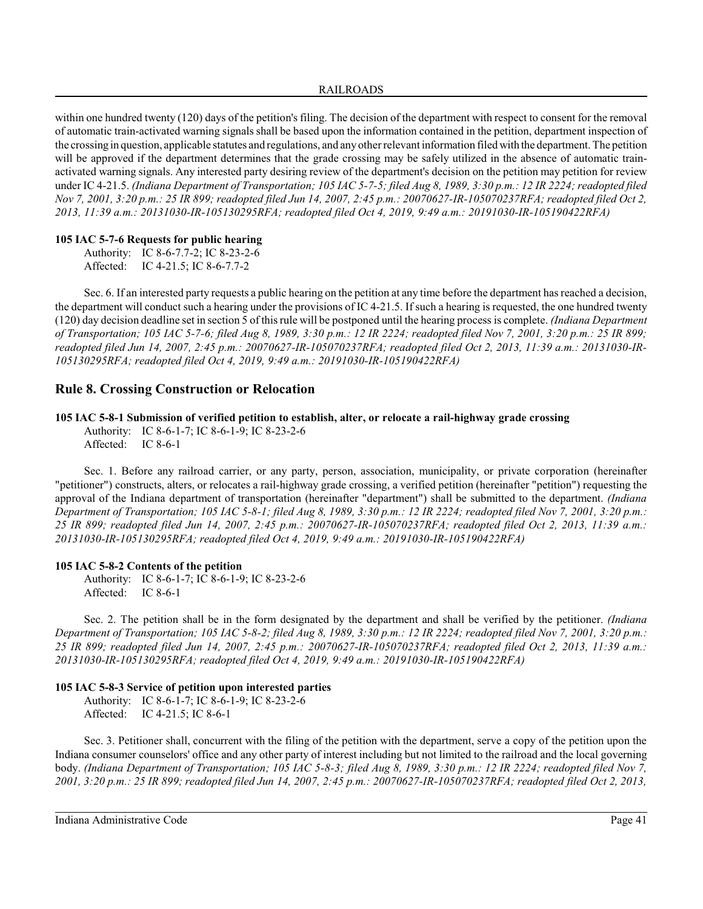within one hundred twenty (120) days of the petition's filing. The decision of the department with respect to consent for the removal of automatic train-activated warning signals shall be based upon the information contained in the petition, department inspection of the crossing in question, applicable statutes and regulations, and anyother relevant information filed with the department. The petition will be approved if the department determines that the grade crossing may be safely utilized in the absence of automatic trainactivated warning signals. Any interested party desiring review of the department's decision on the petition may petition for review under IC 4-21.5. *(Indiana Department of Transportation; 105 IAC 5-7-5; filed Aug 8, 1989, 3:30 p.m.: 12 IR 2224; readopted filed Nov 7, 2001, 3:20 p.m.: 25 IR 899; readopted filed Jun 14, 2007, 2:45 p.m.: 20070627-IR-105070237RFA; readopted filed Oct 2, 2013, 11:39 a.m.: 20131030-IR-105130295RFA; readopted filed Oct 4, 2019, 9:49 a.m.: 20191030-IR-105190422RFA)*

# **105 IAC 5-7-6 Requests for public hearing**

Authority: IC 8-6-7.7-2; IC 8-23-2-6 Affected: IC 4-21.5; IC 8-6-7.7-2

Sec. 6. If an interested party requests a public hearing on the petition at any time before the department has reached a decision, the department will conduct such a hearing under the provisions of IC 4-21.5. If such a hearing is requested, the one hundred twenty (120) day decision deadline set in section 5 of thisrule will be postponed until the hearing process is complete. *(Indiana Department of Transportation; 105 IAC 5-7-6; filed Aug 8, 1989, 3:30 p.m.: 12 IR 2224; readopted filed Nov 7, 2001, 3:20 p.m.: 25 IR 899; readopted filed Jun 14, 2007, 2:45 p.m.: 20070627-IR-105070237RFA; readopted filed Oct 2, 2013, 11:39 a.m.: 20131030-IR-105130295RFA; readopted filed Oct 4, 2019, 9:49 a.m.: 20191030-IR-105190422RFA)*

# **Rule 8. Crossing Construction or Relocation**

# **105 IAC 5-8-1 Submission of verified petition to establish, alter, or relocate a rail-highway grade crossing**

Authority: IC 8-6-1-7; IC 8-6-1-9; IC 8-23-2-6 Affected: IC 8-6-1

Sec. 1. Before any railroad carrier, or any party, person, association, municipality, or private corporation (hereinafter "petitioner") constructs, alters, or relocates a rail-highway grade crossing, a verified petition (hereinafter "petition") requesting the approval of the Indiana department of transportation (hereinafter "department") shall be submitted to the department. *(Indiana Department of Transportation; 105 IAC 5-8-1; filed Aug 8, 1989, 3:30 p.m.: 12 IR 2224; readopted filed Nov 7, 2001, 3:20 p.m.: 25 IR 899; readopted filed Jun 14, 2007, 2:45 p.m.: 20070627-IR-105070237RFA; readopted filed Oct 2, 2013, 11:39 a.m.: 20131030-IR-105130295RFA; readopted filed Oct 4, 2019, 9:49 a.m.: 20191030-IR-105190422RFA)*

# **105 IAC 5-8-2 Contents of the petition**

Authority: IC 8-6-1-7; IC 8-6-1-9; IC 8-23-2-6 Affected: IC 8-6-1

Sec. 2. The petition shall be in the form designated by the department and shall be verified by the petitioner. *(Indiana Department of Transportation; 105 IAC 5-8-2; filed Aug 8, 1989, 3:30 p.m.: 12 IR 2224; readopted filed Nov 7, 2001, 3:20 p.m.: 25 IR 899; readopted filed Jun 14, 2007, 2:45 p.m.: 20070627-IR-105070237RFA; readopted filed Oct 2, 2013, 11:39 a.m.: 20131030-IR-105130295RFA; readopted filed Oct 4, 2019, 9:49 a.m.: 20191030-IR-105190422RFA)*

# **105 IAC 5-8-3 Service of petition upon interested parties**

Authority: IC 8-6-1-7; IC 8-6-1-9; IC 8-23-2-6 Affected: IC 4-21.5; IC 8-6-1

Sec. 3. Petitioner shall, concurrent with the filing of the petition with the department, serve a copy of the petition upon the Indiana consumer counselors' office and any other party of interest including but not limited to the railroad and the local governing body. *(Indiana Department of Transportation; 105 IAC 5-8-3; filed Aug 8, 1989, 3:30 p.m.: 12 IR 2224; readopted filed Nov 7, 2001, 3:20 p.m.: 25 IR 899; readopted filed Jun 14, 2007, 2:45 p.m.: 20070627-IR-105070237RFA; readopted filed Oct 2, 2013,*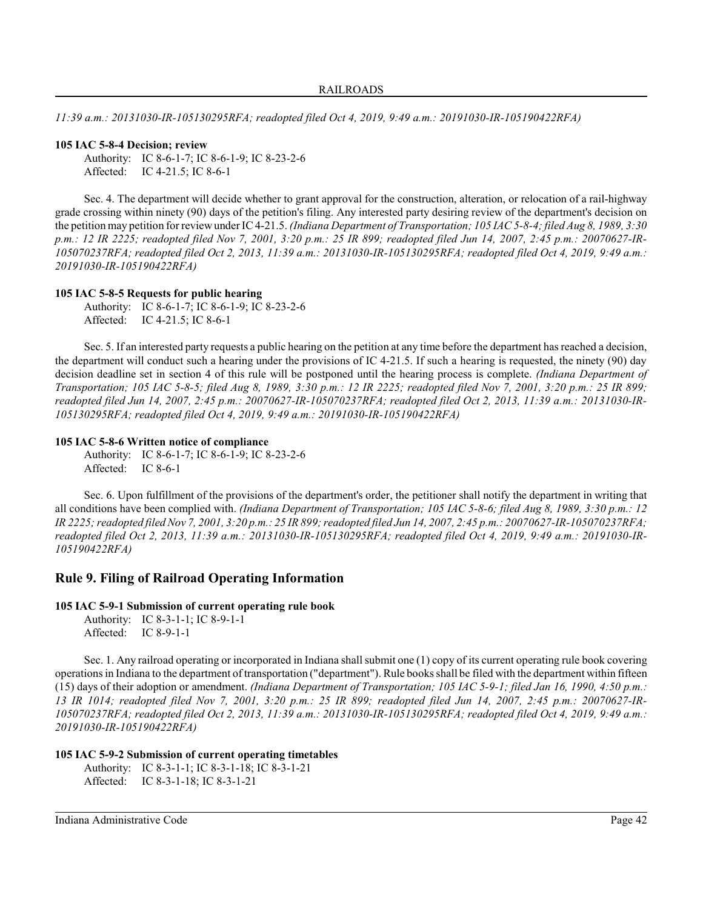*11:39 a.m.: 20131030-IR-105130295RFA; readopted filed Oct 4, 2019, 9:49 a.m.: 20191030-IR-105190422RFA)*

#### **105 IAC 5-8-4 Decision; review**

Authority: IC 8-6-1-7; IC 8-6-1-9; IC 8-23-2-6 Affected: IC 4-21.5; IC 8-6-1

Sec. 4. The department will decide whether to grant approval for the construction, alteration, or relocation of a rail-highway grade crossing within ninety (90) days of the petition's filing. Any interested party desiring review of the department's decision on the petition may petition for reviewunder IC 4-21.5. *(Indiana Department of Transportation; 105 IAC 5-8-4; filed Aug 8, 1989, 3:30 p.m.: 12 IR 2225; readopted filed Nov 7, 2001, 3:20 p.m.: 25 IR 899; readopted filed Jun 14, 2007, 2:45 p.m.: 20070627-IR-105070237RFA; readopted filed Oct 2, 2013, 11:39 a.m.: 20131030-IR-105130295RFA; readopted filed Oct 4, 2019, 9:49 a.m.: 20191030-IR-105190422RFA)*

#### **105 IAC 5-8-5 Requests for public hearing**

Authority: IC 8-6-1-7; IC 8-6-1-9; IC 8-23-2-6 Affected: IC 4-21.5; IC 8-6-1

Sec. 5. If an interested party requests a public hearing on the petition at any time before the department has reached a decision, the department will conduct such a hearing under the provisions of IC 4-21.5. If such a hearing is requested, the ninety (90) day decision deadline set in section 4 of this rule will be postponed until the hearing process is complete. *(Indiana Department of Transportation; 105 IAC 5-8-5; filed Aug 8, 1989, 3:30 p.m.: 12 IR 2225; readopted filed Nov 7, 2001, 3:20 p.m.: 25 IR 899; readopted filed Jun 14, 2007, 2:45 p.m.: 20070627-IR-105070237RFA; readopted filed Oct 2, 2013, 11:39 a.m.: 20131030-IR-105130295RFA; readopted filed Oct 4, 2019, 9:49 a.m.: 20191030-IR-105190422RFA)*

### **105 IAC 5-8-6 Written notice of compliance**

Authority: IC 8-6-1-7; IC 8-6-1-9; IC 8-23-2-6 Affected: IC 8-6-1

Sec. 6. Upon fulfillment of the provisions of the department's order, the petitioner shall notify the department in writing that all conditions have been complied with. *(Indiana Department of Transportation; 105 IAC 5-8-6; filed Aug 8, 1989, 3:30 p.m.: 12 IR 2225; readopted filed Nov 7, 2001, 3:20 p.m.: 25 IR 899;readopted filed Jun 14, 2007, 2:45 p.m.: 20070627-IR-105070237RFA; readopted filed Oct 2, 2013, 11:39 a.m.: 20131030-IR-105130295RFA; readopted filed Oct 4, 2019, 9:49 a.m.: 20191030-IR-105190422RFA)*

# **Rule 9. Filing of Railroad Operating Information**

**105 IAC 5-9-1 Submission of current operating rule book**

Authority: IC 8-3-1-1; IC 8-9-1-1 Affected: IC 8-9-1-1

Sec. 1. Any railroad operating or incorporated in Indiana shall submit one (1) copy of its current operating rule book covering operations in Indiana to the department of transportation ("department"). Rule books shall be filed with the department within fifteen (15) days of their adoption or amendment. *(Indiana Department of Transportation; 105 IAC 5-9-1; filed Jan 16, 1990, 4:50 p.m.: 13 IR 1014; readopted filed Nov 7, 2001, 3:20 p.m.: 25 IR 899; readopted filed Jun 14, 2007, 2:45 p.m.: 20070627-IR-105070237RFA; readopted filed Oct 2, 2013, 11:39 a.m.: 20131030-IR-105130295RFA; readopted filed Oct 4, 2019, 9:49 a.m.: 20191030-IR-105190422RFA)*

#### **105 IAC 5-9-2 Submission of current operating timetables**

Authority: IC 8-3-1-1; IC 8-3-1-18; IC 8-3-1-21 Affected: IC 8-3-1-18; IC 8-3-1-21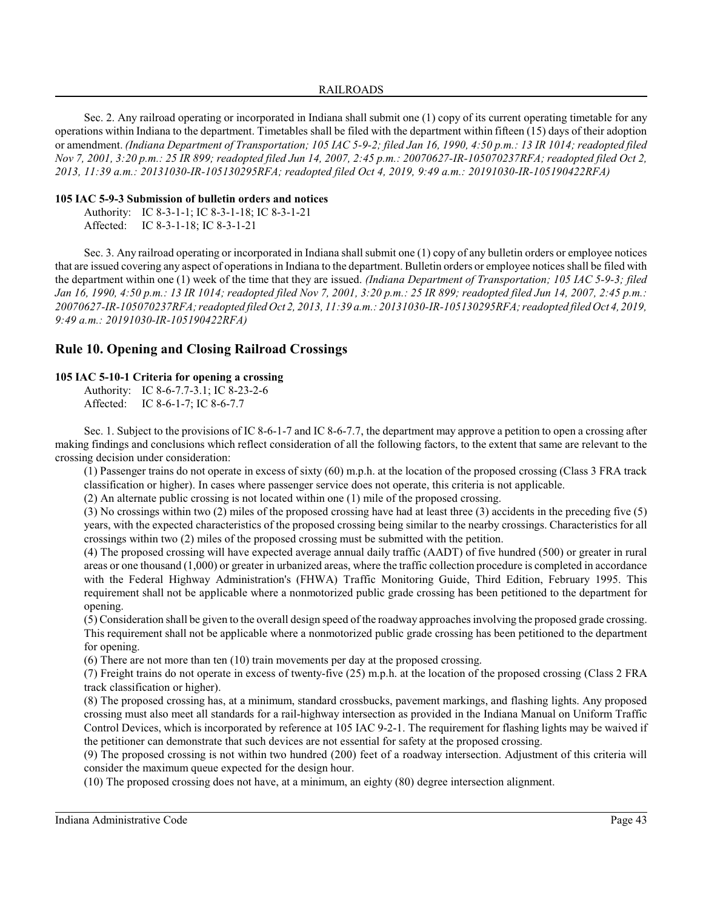### RAILROADS

Sec. 2. Any railroad operating or incorporated in Indiana shall submit one (1) copy of its current operating timetable for any operations within Indiana to the department. Timetables shall be filed with the department within fifteen (15) days of their adoption or amendment. *(Indiana Department of Transportation; 105 IAC 5-9-2; filed Jan 16, 1990, 4:50 p.m.: 13 IR 1014; readopted filed Nov 7, 2001, 3:20 p.m.: 25 IR 899; readopted filed Jun 14, 2007, 2:45 p.m.: 20070627-IR-105070237RFA; readopted filed Oct 2, 2013, 11:39 a.m.: 20131030-IR-105130295RFA; readopted filed Oct 4, 2019, 9:49 a.m.: 20191030-IR-105190422RFA)*

# **105 IAC 5-9-3 Submission of bulletin orders and notices**

Authority: IC 8-3-1-1; IC 8-3-1-18; IC 8-3-1-21 Affected: IC 8-3-1-18; IC 8-3-1-21

Sec. 3. Any railroad operating or incorporated in Indiana shall submit one (1) copy of any bulletin orders or employee notices that are issued covering any aspect of operations in Indiana to the department. Bulletin orders or employee notices shall be filed with the department within one (1) week of the time that they are issued. *(Indiana Department of Transportation; 105 IAC 5-9-3; filed Jan 16, 1990, 4:50 p.m.: 13 IR 1014; readopted filed Nov 7, 2001, 3:20 p.m.: 25 IR 899; readopted filed Jun 14, 2007, 2:45 p.m.: 20070627-IR-105070237RFA; readopted filed Oct 2, 2013, 11:39 a.m.: 20131030-IR-105130295RFA; readopted filed Oct 4, 2019, 9:49 a.m.: 20191030-IR-105190422RFA)*

# **Rule 10. Opening and Closing Railroad Crossings**

### **105 IAC 5-10-1 Criteria for opening a crossing**

Authority: IC 8-6-7.7-3.1; IC 8-23-2-6

Sec. 1. Subject to the provisions of IC 8-6-1-7 and IC 8-6-7.7, the department may approve a petition to open a crossing after making findings and conclusions which reflect consideration of all the following factors, to the extent that same are relevant to the crossing decision under consideration:

(1) Passenger trains do not operate in excess of sixty (60) m.p.h. at the location of the proposed crossing (Class 3 FRA track classification or higher). In cases where passenger service does not operate, this criteria is not applicable.

(2) An alternate public crossing is not located within one (1) mile of the proposed crossing.

(3) No crossings within two (2) miles of the proposed crossing have had at least three (3) accidents in the preceding five (5) years, with the expected characteristics of the proposed crossing being similar to the nearby crossings. Characteristics for all crossings within two (2) miles of the proposed crossing must be submitted with the petition.

(4) The proposed crossing will have expected average annual daily traffic (AADT) of five hundred (500) or greater in rural areas or one thousand (1,000) or greater in urbanized areas, where the traffic collection procedure is completed in accordance with the Federal Highway Administration's (FHWA) Traffic Monitoring Guide, Third Edition, February 1995. This requirement shall not be applicable where a nonmotorized public grade crossing has been petitioned to the department for opening.

(5) Consideration shall be given to the overall design speed of the roadway approaches involving the proposed grade crossing. This requirement shall not be applicable where a nonmotorized public grade crossing has been petitioned to the department for opening.

(6) There are not more than ten (10) train movements per day at the proposed crossing.

(7) Freight trains do not operate in excess of twenty-five (25) m.p.h. at the location of the proposed crossing (Class 2 FRA track classification or higher).

(8) The proposed crossing has, at a minimum, standard crossbucks, pavement markings, and flashing lights. Any proposed crossing must also meet all standards for a rail-highway intersection as provided in the Indiana Manual on Uniform Traffic Control Devices, which is incorporated by reference at 105 IAC 9-2-1. The requirement for flashing lights may be waived if the petitioner can demonstrate that such devices are not essential for safety at the proposed crossing.

(9) The proposed crossing is not within two hundred (200) feet of a roadway intersection. Adjustment of this criteria will consider the maximum queue expected for the design hour.

(10) The proposed crossing does not have, at a minimum, an eighty (80) degree intersection alignment.

Affected: IC 8-6-1-7; IC 8-6-7.7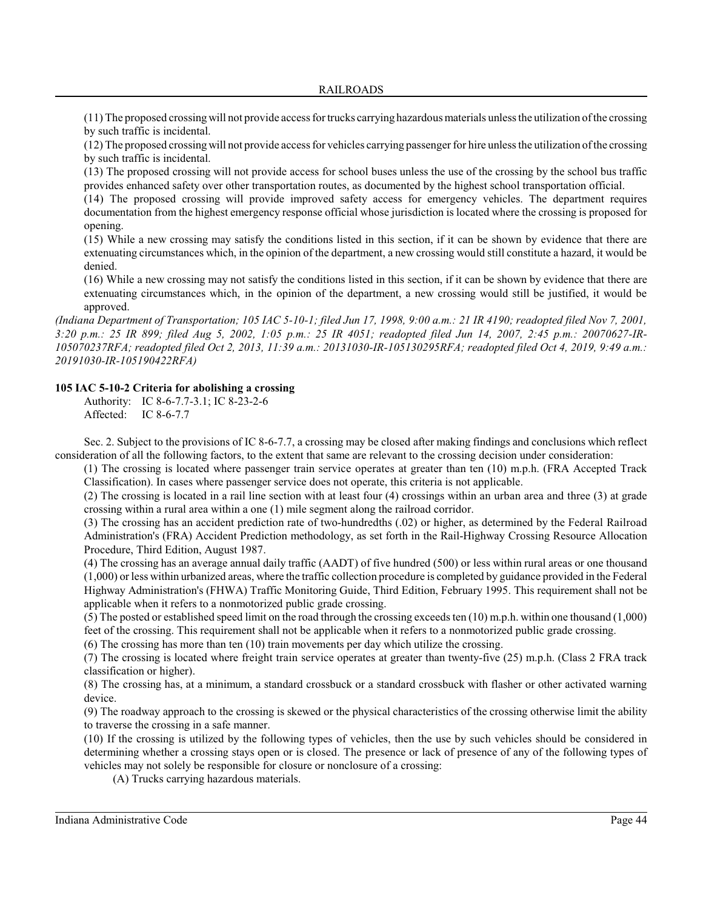(11) The proposed crossing will not provide access for trucks carrying hazardous materials unless the utilization of the crossing by such traffic is incidental.

(12) The proposed crossing will not provide access for vehicles carrying passenger for hire unless the utilization of the crossing by such traffic is incidental.

(13) The proposed crossing will not provide access for school buses unless the use of the crossing by the school bus traffic provides enhanced safety over other transportation routes, as documented by the highest school transportation official.

(14) The proposed crossing will provide improved safety access for emergency vehicles. The department requires documentation from the highest emergency response official whose jurisdiction is located where the crossing is proposed for opening.

(15) While a new crossing may satisfy the conditions listed in this section, if it can be shown by evidence that there are extenuating circumstances which, in the opinion of the department, a new crossing would still constitute a hazard, it would be denied.

(16) While a new crossing may not satisfy the conditions listed in this section, if it can be shown by evidence that there are extenuating circumstances which, in the opinion of the department, a new crossing would still be justified, it would be approved.

*(Indiana Department of Transportation; 105 IAC 5-10-1; filed Jun 17, 1998, 9:00 a.m.: 21 IR 4190; readopted filed Nov 7, 2001, 3:20 p.m.: 25 IR 899; filed Aug 5, 2002, 1:05 p.m.: 25 IR 4051; readopted filed Jun 14, 2007, 2:45 p.m.: 20070627-IR-105070237RFA; readopted filed Oct 2, 2013, 11:39 a.m.: 20131030-IR-105130295RFA; readopted filed Oct 4, 2019, 9:49 a.m.: 20191030-IR-105190422RFA)*

# **105 IAC 5-10-2 Criteria for abolishing a crossing**

Authority: IC 8-6-7.7-3.1; IC 8-23-2-6 Affected: IC 8-6-7.7

Sec. 2. Subject to the provisions of IC 8-6-7.7, a crossing may be closed after making findings and conclusions which reflect consideration of all the following factors, to the extent that same are relevant to the crossing decision under consideration:

(1) The crossing is located where passenger train service operates at greater than ten (10) m.p.h. (FRA Accepted Track Classification). In cases where passenger service does not operate, this criteria is not applicable.

(2) The crossing is located in a rail line section with at least four (4) crossings within an urban area and three (3) at grade crossing within a rural area within a one (1) mile segment along the railroad corridor.

(3) The crossing has an accident prediction rate of two-hundredths (.02) or higher, as determined by the Federal Railroad Administration's (FRA) Accident Prediction methodology, as set forth in the Rail-Highway Crossing Resource Allocation Procedure, Third Edition, August 1987.

(4) The crossing has an average annual daily traffic (AADT) of five hundred (500) or less within rural areas or one thousand (1,000) or less within urbanized areas, where the traffic collection procedure is completed by guidance provided in the Federal Highway Administration's (FHWA) Traffic Monitoring Guide, Third Edition, February 1995. This requirement shall not be applicable when it refers to a nonmotorized public grade crossing.

(5) The posted or established speed limit on the road through the crossing exceeds ten (10) m.p.h. within one thousand (1,000) feet of the crossing. This requirement shall not be applicable when it refers to a nonmotorized public grade crossing.

(6) The crossing has more than ten (10) train movements per day which utilize the crossing.

(7) The crossing is located where freight train service operates at greater than twenty-five (25) m.p.h. (Class 2 FRA track classification or higher).

(8) The crossing has, at a minimum, a standard crossbuck or a standard crossbuck with flasher or other activated warning device.

(9) The roadway approach to the crossing is skewed or the physical characteristics of the crossing otherwise limit the ability to traverse the crossing in a safe manner.

(10) If the crossing is utilized by the following types of vehicles, then the use by such vehicles should be considered in determining whether a crossing stays open or is closed. The presence or lack of presence of any of the following types of vehicles may not solely be responsible for closure or nonclosure of a crossing:

(A) Trucks carrying hazardous materials.